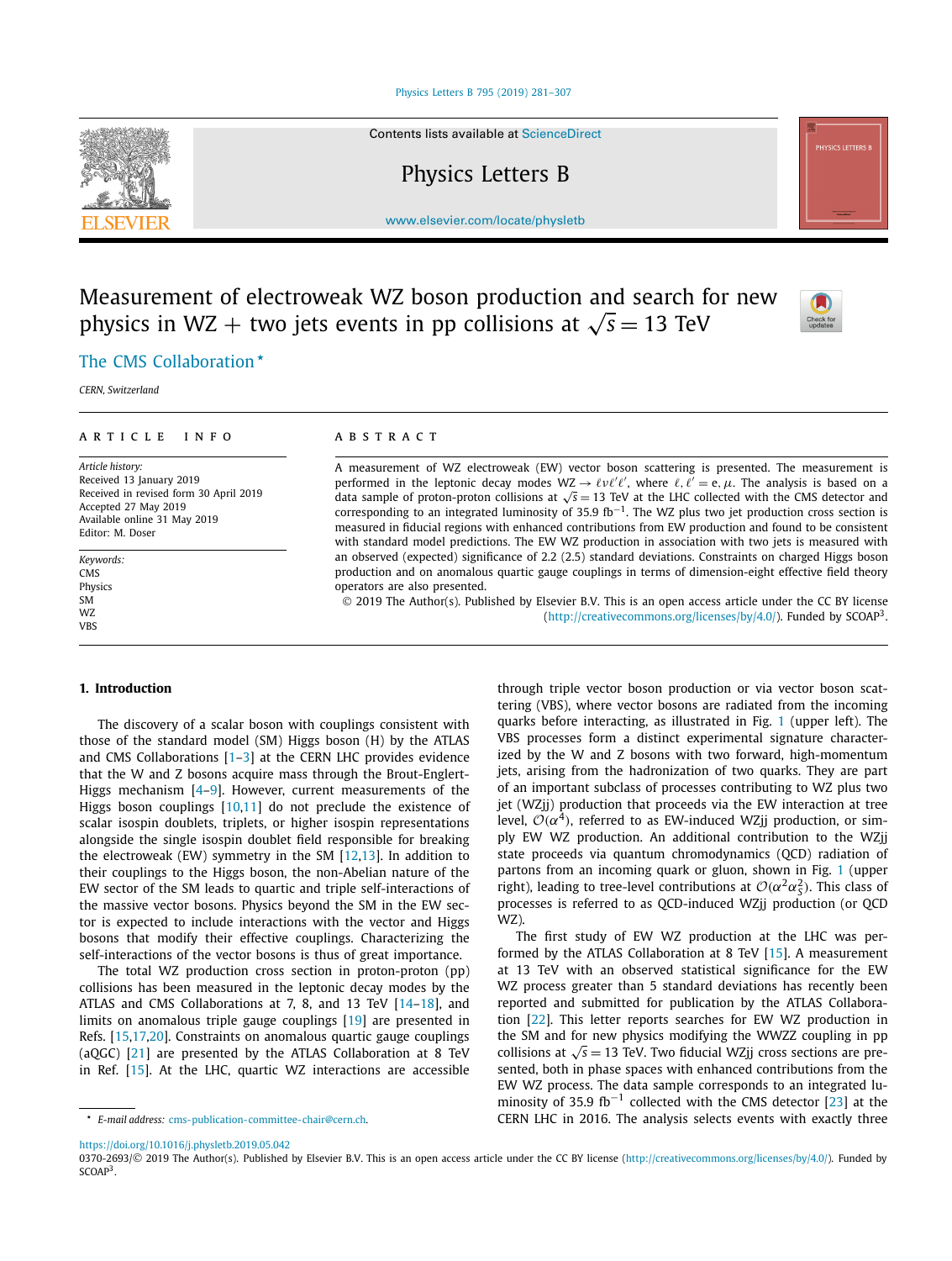#### [Physics Letters B 795 \(2019\) 281–307](https://doi.org/10.1016/j.physletb.2019.05.042)

Contents lists available at [ScienceDirect](http://www.ScienceDirect.com/)

Physics Letters B

[www.elsevier.com/locate/physletb](http://www.elsevier.com/locate/physletb)



# Measurement of electroweak WZ boson production and search for new physics in WZ + two jets events in pp collisions at  $\sqrt{s} = 13$  TeV



## .The CMS [Collaboration](#page-11-0) *-*

*CERN, Switzerland*

#### A R T I C L E I N F O A B S T R A C T

*Article history:* Received 13 January 2019 Received in revised form 30 April 2019 Accepted 27 May 2019 Available online 31 May 2019 Editor: M. Doser

*Keywords:* CMS **Physics** SM WZ VBS

A measurement of WZ electroweak (EW) vector boson scattering is presented. The measurement is performed in the leptonic decay modes  $W_Z \to \ell \nu \ell' \ell'$ , where  $\ell, \ell' = e, \mu$ . The analysis is based on a data sample of proton-proton collisions at  $\sqrt{s}$  = 13 TeV at the LHC collected with the CMS detector and corresponding to an integrated luminosity of 35.9 fb<sup>-1</sup>. The WZ plus two jet production cross section is measured in fiducial regions with enhanced contributions from EW production and found to be consistent with standard model predictions. The EW WZ production in association with two jets is measured with an observed (expected) significance of 2.2 (2.5) standard deviations. Constraints on charged Higgs boson production and on anomalous quartic gauge couplings in terms of dimension-eight effective field theory operators are also presented.

© 2019 The Author(s). Published by Elsevier B.V. This is an open access article under the CC BY license [\(http://creativecommons.org/licenses/by/4.0/\)](http://creativecommons.org/licenses/by/4.0/). Funded by SCOAP3.

#### **1. Introduction**

The discovery of a scalar boson with couplings consistent with those of the standard model (SM) Higgs boson (H) by the ATLAS and CMS Collaborations  $[1-3]$  at the CERN LHC provides evidence that the W and Z bosons acquire mass through the Brout-Englert-Higgs mechanism [\[4–9\]](#page-9-0). However, current measurements of the Higgs boson couplings [\[10,11\]](#page-9-0) do not preclude the existence of scalar isospin doublets, triplets, or higher isospin representations alongside the single isospin doublet field responsible for breaking the electroweak (EW) symmetry in the SM  $[12,13]$ . In addition to their couplings to the Higgs boson, the non-Abelian nature of the EW sector of the SM leads to quartic and triple self-interactions of the massive vector bosons. Physics beyond the SM in the EW sector is expected to include interactions with the vector and Higgs bosons that modify their effective couplings. Characterizing the self-interactions of the vector bosons is thus of great importance.

The total WZ production cross section in proton-proton (pp) collisions has been measured in the leptonic decay modes by the ATLAS and CMS Collaborations at 7, 8, and 13 TeV [14-18], and limits on anomalous triple gauge couplings [\[19\]](#page-10-0) are presented in Refs. [\[15,17,](#page-9-0)[20\]](#page-10-0). Constraints on anomalous quartic gauge couplings (aQGC) [\[21\]](#page-10-0) are presented by the ATLAS Collaboration at 8 TeV in Ref. [\[15\]](#page-9-0). At the LHC, quartic WZ interactions are accessible through triple vector boson production or via vector boson scattering (VBS), where vector bosons are radiated from the incoming quarks before interacting, as illustrated in Fig. [1](#page-1-0) (upper left). The VBS processes form a distinct experimental signature characterized by the W and Z bosons with two forward, high-momentum jets, arising from the hadronization of two quarks. They are part of an important subclass of processes contributing to WZ plus two jet (WZjj) production that proceeds via the EW interaction at tree level,  $O(\alpha^4)$ , referred to as EW-induced WZjj production, or simply EW WZ production. An additional contribution to the WZjj state proceeds via quantum chromodynamics (QCD) radiation of partons from an incoming quark or gluon, shown in Fig. [1](#page-1-0) (upper right), leading to tree-level contributions at  $\mathcal{O}(\alpha^2 \alpha_5^2)$ . This class of processes is referred to as QCD-induced WZjj production (or QCD WZ).

The first study of EW WZ production at the LHC was performed by the ATLAS Collaboration at 8 TeV [\[15\]](#page-9-0). A measurement at 13 TeV with an observed statistical significance for the EW WZ process greater than 5 standard deviations has recently been reported and submitted for publication by the ATLAS Collaboration [\[22\]](#page-10-0). This letter reports searches for EW WZ production in the SM and for new physics modifying the WWZZ coupling in pp collisions at  $\sqrt{s}$  = 13 TeV. Two fiducial WZjj cross sections are presented, both in phase spaces with enhanced contributions from the EW WZ process. The data sample corresponds to an integrated lu-minosity of 35.9 fb<sup>-1</sup> collected with the CMS detector [\[23\]](#page-10-0) at the CERN LHC in 2016. The analysis selects events with exactly three

*<sup>-</sup> E-mail address:* [cms-publication-committee-chair@cern.ch.](mailto:cms-publication-committee-chair@cern.ch)

<https://doi.org/10.1016/j.physletb.2019.05.042>

<sup>0370-2693/© 2019</sup> The Author(s). Published by Elsevier B.V. This is an open access article under the CC BY license [\(http://creativecommons.org/licenses/by/4.0/\)](http://creativecommons.org/licenses/by/4.0/). Funded by SCOAP<sup>3</sup>.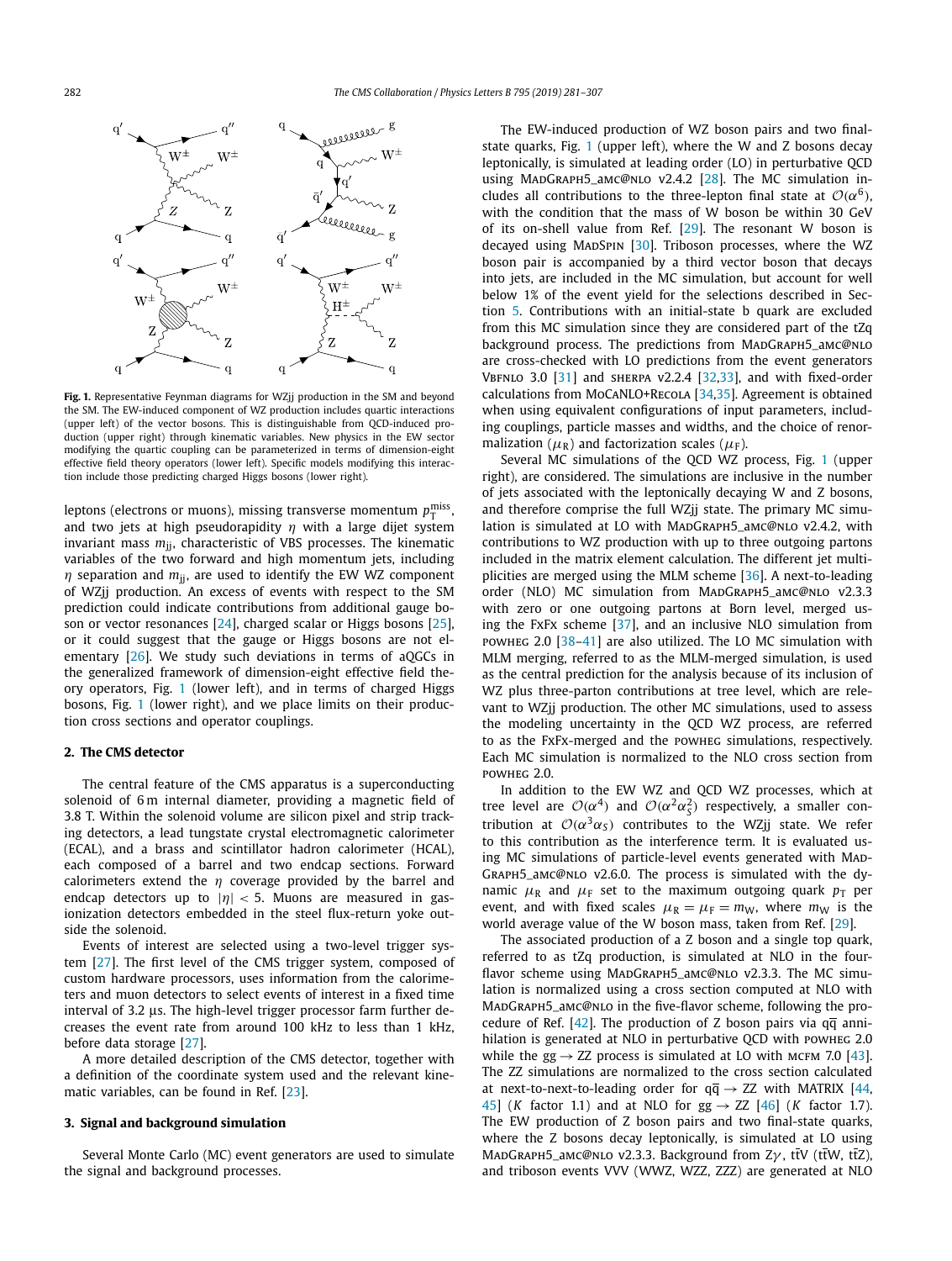<span id="page-1-0"></span>

Fig. 1. Representative Feynman diagrams for WZjj production in the SM and beyond the SM. The EW-induced component of WZ production includes quartic interactions (upper left) of the vector bosons. This is distinguishable from QCD-induced production (upper right) through kinematic variables. New physics in the EW sector modifying the quartic coupling can be parameterized in terms of dimension-eight effective field theory operators (lower left). Specific models modifying this interaction include those predicting charged Higgs bosons (lower right).

leptons (electrons or muons), missing transverse momentum  $p_{\rm T}^{\rm miss}$ , and two jets at high pseudorapidity *η* with a large dijet system invariant mass  $m_{ii}$ , characteristic of VBS processes. The kinematic variables of the two forward and high momentum jets, including *η* separation and *m*<sub>ii</sub>, are used to identify the EW WZ component of WZjj production. An excess of events with respect to the SM prediction could indicate contributions from additional gauge boson or vector resonances [\[24\]](#page-10-0), charged scalar or Higgs bosons [\[25\]](#page-10-0), or it could suggest that the gauge or Higgs bosons are not el-ementary [\[26\]](#page-10-0). We study such deviations in terms of aQGCs in the generalized framework of dimension-eight effective field theory operators, Fig. 1 (lower left), and in terms of charged Higgs bosons, Fig. 1 (lower right), and we place limits on their production cross sections and operator couplings.

#### **2. The CMS detector**

The central feature of the CMS apparatus is a superconducting solenoid of 6 m internal diameter, providing a magnetic field of 3.8 T. Within the solenoid volume are silicon pixel and strip tracking detectors, a lead tungstate crystal electromagnetic calorimeter (ECAL), and a brass and scintillator hadron calorimeter (HCAL), each composed of a barrel and two endcap sections. Forward calorimeters extend the *η* coverage provided by the barrel and endcap detectors up to |*η*| *<* 5. Muons are measured in gasionization detectors embedded in the steel flux-return yoke outside the solenoid.

Events of interest are selected using a two-level trigger system [\[27\]](#page-10-0). The first level of the CMS trigger system, composed of custom hardware processors, uses information from the calorimeters and muon detectors to select events of interest in a fixed time interval of 3.2 μs. The high-level trigger processor farm further decreases the event rate from around 100 kHz to less than 1 kHz, before data storage [\[27\]](#page-10-0).

A more detailed description of the CMS detector, together with a definition of the coordinate system used and the relevant kinematic variables, can be found in Ref. [\[23\]](#page-10-0).

#### **3. Signal and background simulation**

Several Monte Carlo (MC) event generators are used to simulate the signal and background processes.

The EW-induced production of WZ boson pairs and two finalstate quarks, Fig. 1 (upper left), where the W and Z bosons decay leptonically, is simulated at leading order (LO) in perturbative QCD using MADGRAPH5\_aMC@NLO v2.4.2 [\[28\]](#page-10-0). The MC simulation includes all contributions to the three-lepton final state at  $\mathcal{O}(\alpha^6)$ , with the condition that the mass of W boson be within 30 GeV of its on-shell value from Ref. [\[29\]](#page-10-0). The resonant W boson is decayed using MADSPIN [\[30\]](#page-10-0). Triboson processes, where the WZ boson pair is accompanied by a third vector boson that decays into jets, are included in the MC simulation, but account for well below 1% of the event yield for the selections described in Section [5.](#page-3-0) Contributions with an initial-state b quark are excluded from this MC simulation since they are considered part of the tZq background process. The predictions from MADGRAPH5\_aMC@NLO are cross-checked with LO predictions from the event generators VBFNLO 3.0  $[31]$  and SHERPA v2.2.4  $[32,33]$ , and with fixed-order calculations from MoCaNLO+Recola [\[34,35\]](#page-10-0). Agreement is obtained when using equivalent configurations of input parameters, including couplings, particle masses and widths, and the choice of renormalization ( $\mu$ <sub>R</sub>) and factorization scales ( $\mu$ <sub>F</sub>).

Several MC simulations of the QCD WZ process, Fig. 1 (upper right), are considered. The simulations are inclusive in the number of jets associated with the leptonically decaying W and Z bosons, and therefore comprise the full WZjj state. The primary MC simulation is simulated at LO with MADGRAPH5\_aMC@NLO v2.4.2, with contributions to WZ production with up to three outgoing partons included in the matrix element calculation. The different jet multiplicities are merged using the MLM scheme [\[36\]](#page-10-0). A next-to-leading order (NLO) MC simulation from MADGRAPH5\_aMC@NLO v2.3.3 with zero or one outgoing partons at Born level, merged using the FxFx scheme [\[37\]](#page-10-0), and an inclusive NLO simulation from powheg 2.0 [\[38–41\]](#page-10-0) are also utilized. The LO MC simulation with MLM merging, referred to as the MLM-merged simulation, is used as the central prediction for the analysis because of its inclusion of WZ plus three-parton contributions at tree level, which are relevant to WZjj production. The other MC simulations, used to assess the modeling uncertainty in the QCD WZ process, are referred to as the FxFx-merged and the powheg simulations, respectively. Each MC simulation is normalized to the NLO cross section from powheg 2.0.

In addition to the EW WZ and QCD WZ processes, which at tree level are  $O(α^4)$  and  $O(α^2α<sub>S</sub><sup>2</sup>)$  respectively, a smaller contribution at  $\mathcal{O}(\alpha^3 \alpha_S)$  contributes to the WZjj state. We refer to this contribution as the interference term. It is evaluated using MC simulations of particle-level events generated with MAD-Graph5\_amc@nlo v2.6.0. The process is simulated with the dynamic  $\mu_R$  and  $\mu_F$  set to the maximum outgoing quark  $p_T$  per event, and with fixed scales  $\mu_R = \mu_F = m_W$ , where  $m_W$  is the world average value of the W boson mass, taken from Ref. [\[29\]](#page-10-0).

The associated production of a Z boson and a single top quark, referred to as tZq production, is simulated at NLO in the fourflavor scheme using MADGRAPH5\_aMC@NLO v2.3.3. The MC simulation is normalized using a cross section computed at NLO with MADGRAPH5\_aMC@NLO in the five-flavor scheme, following the pro-cedure of Ref. [\[42\]](#page-10-0). The production of Z boson pairs via  $q\bar{q}$  annihilation is generated at NLO in perturbative QCD with powheg 2.0 while the  $gg \rightarrow ZZ$  process is simulated at LO with MCFM 7.0 [\[43\]](#page-10-0). The ZZ simulations are normalized to the cross section calculated at next-to-next-to-leading order for  $q\overline{q} \rightarrow ZZ$  with MATRIX [\[44,](#page-10-0) [45\]](#page-10-0) (*K* factor 1.1) and at NLO for  $gg \to ZZ$  [\[46\]](#page-10-0) (*K* factor 1.7). The EW production of Z boson pairs and two final-state quarks, where the Z bosons decay leptonically, is simulated at LO using MadGraph5\_amc@nlo v2.3.3. Background from Z*γ* , ttV (ttW, ttZ), and triboson events VVV (WWZ, WZZ, ZZZ) are generated at NLO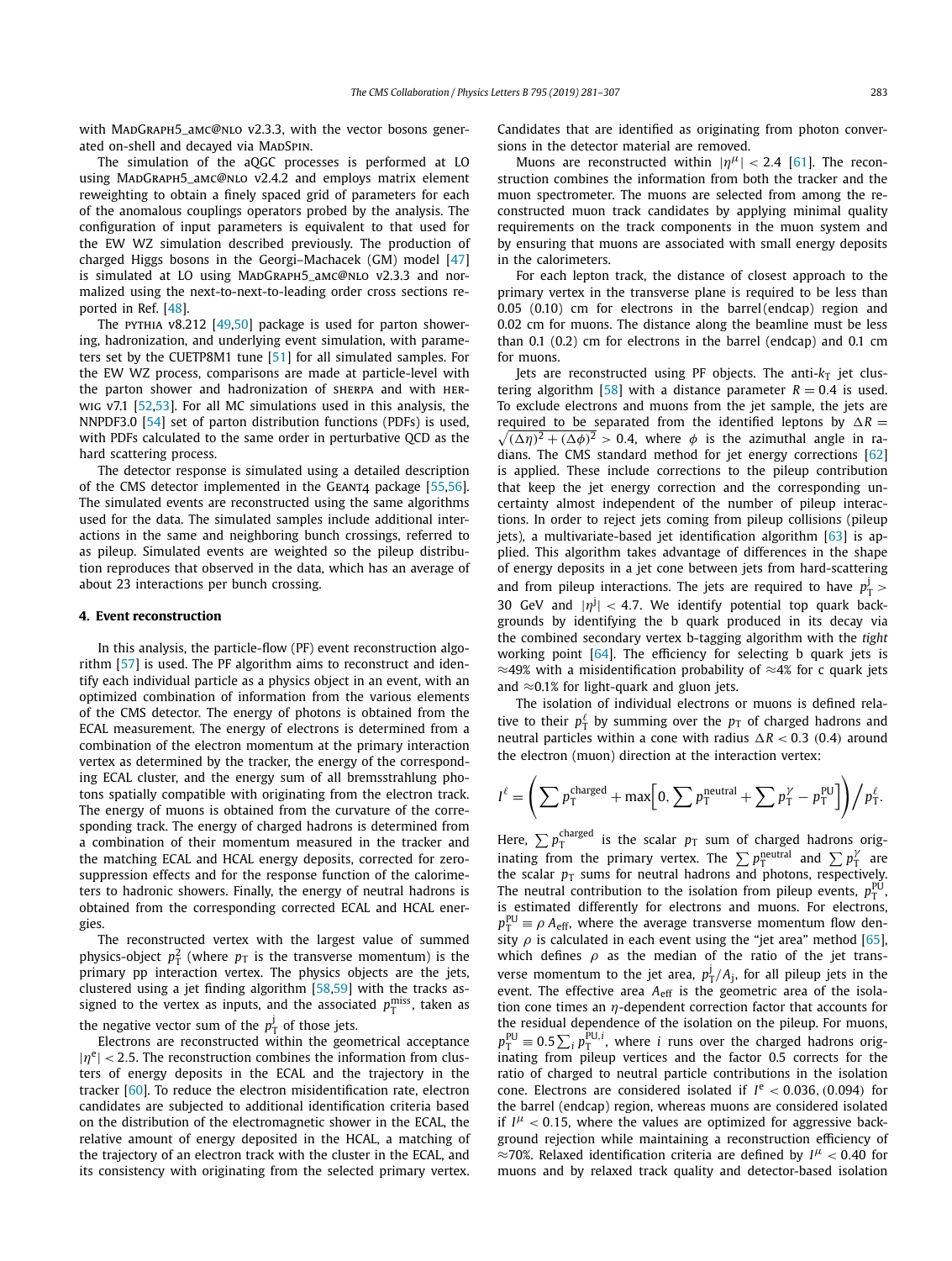<span id="page-2-0"></span>with MADGRAPH5\_aMC@NLO v2.3.3, with the vector bosons generated on-shell and decayed via MADSPIN.

The simulation of the aQGC processes is performed at LO using MADGRAPH5\_aMC@NLO v2.4.2 and employs matrix element reweighting to obtain a finely spaced grid of parameters for each of the anomalous couplings operators probed by the analysis. The configuration of input parameters is equivalent to that used for the EW WZ simulation described previously. The production of charged Higgs bosons in the Georgi–Machacek (GM) model [\[47\]](#page-10-0) is simulated at LO using MADGRAPH5\_aMC@NLO v2.3.3 and normalized using the next-to-next-to-leading order cross sections reported in Ref. [\[48\]](#page-10-0).

The PYTHIA v8.212  $[49,50]$  package is used for parton showering, hadronization, and underlying event simulation, with parameters set by the CUETP8M1 tune [\[51\]](#page-10-0) for all simulated samples. For the EW WZ process, comparisons are made at particle-level with the parton shower and hadronization of sherpa and with herwig v7.1 [\[52,53\]](#page-10-0). For all MC simulations used in this analysis, the NNPDF3.0 [\[54\]](#page-10-0) set of parton distribution functions (PDFs) is used, with PDFs calculated to the same order in perturbative QCD as the hard scattering process.

The detector response is simulated using a detailed description of the CMS detector implemented in the GEANT4 package  $[55,56]$ . The simulated events are reconstructed using the same algorithms used for the data. The simulated samples include additional interactions in the same and neighboring bunch crossings, referred to as pileup. Simulated events are weighted so the pileup distribution reproduces that observed in the data, which has an average of about 23 interactions per bunch crossing.

#### **4. Event reconstruction**

In this analysis, the particle-flow (PF) event reconstruction algorithm [\[57\]](#page-10-0) is used. The PF algorithm aims to reconstruct and identify each individual particle as a physics object in an event, with an optimized combination of information from the various elements of the CMS detector. The energy of photons is obtained from the ECAL measurement. The energy of electrons is determined from a combination of the electron momentum at the primary interaction vertex as determined by the tracker, the energy of the corresponding ECAL cluster, and the energy sum of all bremsstrahlung photons spatially compatible with originating from the electron track. The energy of muons is obtained from the curvature of the corresponding track. The energy of charged hadrons is determined from a combination of their momentum measured in the tracker and the matching ECAL and HCAL energy deposits, corrected for zerosuppression effects and for the response function of the calorimeters to hadronic showers. Finally, the energy of neutral hadrons is obtained from the corresponding corrected ECAL and HCAL energies.

The reconstructed vertex with the largest value of summed physics-object  $p_{\text{T}}^2$  (where  $p_{\text{T}}$  is the transverse momentum) is the primary pp interaction vertex. The physics objects are the jets, clustered using a jet finding algorithm [\[58,59\]](#page-10-0) with the tracks assigned to the vertex as inputs, and the associated  $p_T^{\text{miss}}$ , taken as the negative vector sum of the  $p_{\rm T}^{\rm j}$  of those jets.

Electrons are reconstructed within the geometrical acceptance  $|\eta^e|$  < 2.5. The reconstruction combines the information from clusters of energy deposits in the ECAL and the trajectory in the tracker [\[60\]](#page-10-0). To reduce the electron misidentification rate, electron candidates are subjected to additional identification criteria based on the distribution of the electromagnetic shower in the ECAL, the relative amount of energy deposited in the HCAL, a matching of the trajectory of an electron track with the cluster in the ECAL, and its consistency with originating from the selected primary vertex. Candidates that are identified as originating from photon conversions in the detector material are removed.

Muons are reconstructed within  $|\eta^{\mu}| < 2.4$  [\[61\]](#page-10-0). The reconstruction combines the information from both the tracker and the muon spectrometer. The muons are selected from among the reconstructed muon track candidates by applying minimal quality requirements on the track components in the muon system and by ensuring that muons are associated with small energy deposits in the calorimeters.

For each lepton track, the distance of closest approach to the primary vertex in the transverse plane is required to be less than 0.05 (0.10) cm for electrons in the barrel (endcap) region and 0.02 cm for muons. The distance along the beamline must be less than 0.1 (0.2) cm for electrons in the barrel (endcap) and 0.1 cm for muons.

Jets are reconstructed using PF objects. The anti- $k_T$  jet clus-tering algorithm [\[58\]](#page-10-0) with a distance parameter  $R = 0.4$  is used. To exclude electrons and muons from the jet sample, the jets are  $\sqrt{(\Delta \eta)^2 + (\Delta \phi)^2} > 0.4$ , where  $\phi$  is the azimuthal angle in rarequired to be separated from the identified leptons by  $\Delta R =$ dians. The CMS standard method for jet energy corrections [\[62\]](#page-10-0) is applied. These include corrections to the pileup contribution that keep the jet energy correction and the corresponding uncertainty almost independent of the number of pileup interactions. In order to reject jets coming from pileup collisions (pileup jets), a multivariate-based jet identification algorithm  $[63]$  is applied. This algorithm takes advantage of differences in the shape of energy deposits in a jet cone between jets from hard-scattering and from pileup interactions. The jets are required to have  $p_T^j$  > 30 GeV and |*η*<sup>j</sup> | *<* 4*.*7. We identify potential top quark backgrounds by identifying the b quark produced in its decay via the combined secondary vertex b-tagging algorithm with the *tight* working point [\[64\]](#page-10-0). The efficiency for selecting b quark jets is  $\approx$ 49% with a misidentification probability of  $\approx$ 4% for c quark jets and ≈0.1% for light-quark and gluon jets.

The isolation of individual electrons or muons is defined relative to their  $p_{\text{T}}^{\ell}$  by summing over the  $p_{\text{T}}$  of charged hadrons and neutral particles within a cone with radius  $\Delta R < 0.3$  (0.4) around the electron (muon) direction at the interaction vertex:

$$
I^{\ell} = \left( \sum p_{\text{T}}^{\text{charged}} + \max \Big[ 0, \sum p_{\text{T}}^{\text{neutral}} + \sum p_{\text{T}}^{\gamma} - p_{\text{T}}^{\text{PU}} \Big] \right) / p_{\text{T}}^{\ell}.
$$

Here,  $\sum p_T^{\text{charged}}$  is the scalar  $p_T$  sum of charged hadrons originating from the primary vertex. The  $\sum p_{\text{T}}^{\text{neutral}}$  and  $\sum p_{\text{T}}^{\gamma}$  are the scalar  $p_{\text{T}}$  sums for neutral hadrons and photons, respectively. The neutral contribution to the isolation from pileup events,  $p_T^{\text{PU}}$ , is estimated differently for electrons and muons. For electrons,  $p_{\text{T}}^{\text{PU}} \equiv \rho A_{\text{eff}}$ , where the average transverse momentum flow density  $\rho$  is calculated in each event using the "jet area" method [\[65\]](#page-10-0), which defines  $\rho$  as the median of the ratio of the jet transverse momentum to the jet area,  $p_T^j/A_j$ , for all pileup jets in the event. The effective area  $A_{\text{eff}}$  is the geometric area of the isolation cone times an *η*-dependent correction factor that accounts for the residual dependence of the isolation on the pileup. For muons,  $p_{\text{T}}^{\text{PU}} \equiv 0.5 \sum_{i} p_{\text{T}}^{\text{PU},i}$ , where *i* runs over the charged hadrons originating from pileup vertices and the factor 0.5 corrects for the ratio of charged to neutral particle contributions in the isolation cone. Electrons are considered isolated if  $I^e < 0.036$ , (0.094) for the barrel (endcap) region, whereas muons are considered isolated if  $I^{\mu}$  < 0.15, where the values are optimized for aggressive background rejection while maintaining a reconstruction efficiency of ≈70%. Relaxed identification criteria are defined by *I <sup>μ</sup> <* 0*.*40 for muons and by relaxed track quality and detector-based isolation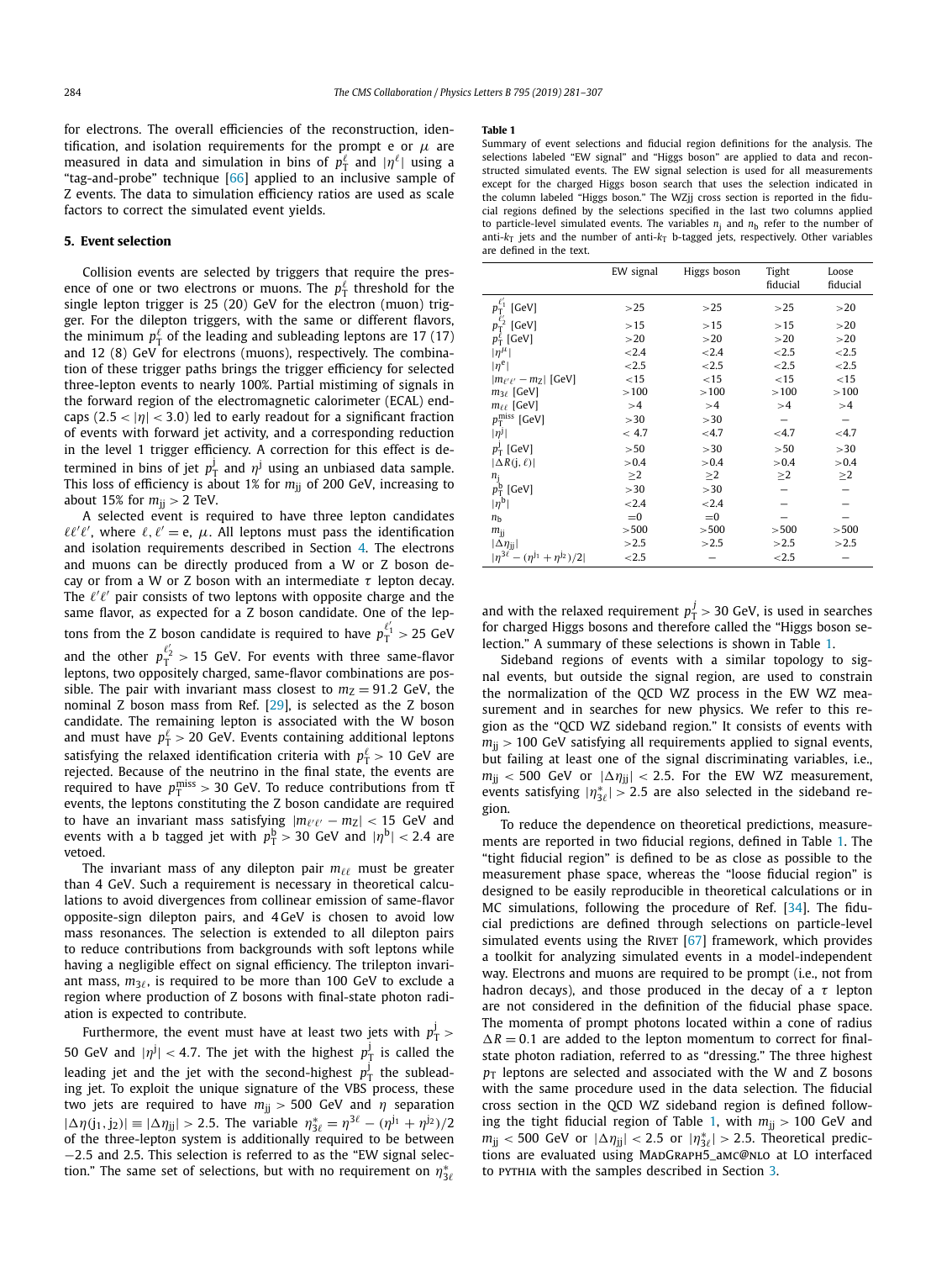<span id="page-3-0"></span>for electrons. The overall efficiencies of the reconstruction, identification, and isolation requirements for the prompt e or  $\mu$  are measured in data and simulation in bins of  $p_T^{\ell}$  and  $|\eta^{\ell}|$  using a "tag-and-probe" technique [\[66\]](#page-10-0) applied to an inclusive sample of Z events. The data to simulation efficiency ratios are used as scale factors to correct the simulated event yields.

#### **5. Event selection**

Collision events are selected by triggers that require the presence of one or two electrons or muons. The  $p_{\text{T}}^{\ell}$  threshold for the single lepton trigger is 25 (20) GeV for the electron (muon) trigger. For the dilepton triggers, with the same or different flavors, the minimum  $p_{\rm T}^{\ell}$  of the leading and subleading leptons are 17 (17) and 12 (8) GeV for electrons (muons), respectively. The combination of these trigger paths brings the trigger efficiency for selected three-lepton events to nearly 100%. Partial mistiming of signals in the forward region of the electromagnetic calorimeter (ECAL) endcaps  $(2.5 < |\eta| < 3.0)$  led to early readout for a significant fraction of events with forward jet activity, and a corresponding reduction in the level 1 trigger efficiency. A correction for this effect is determined in bins of jet  $p_T^j$  and  $\eta^j$  using an unbiased data sample. This loss of efficiency is about 1% for *m*jj of 200 GeV, increasing to about 15% for  $m_{ij} > 2$  TeV.

A selected event is required to have three lepton candidates  $\ell\ell'\ell'$ , where  $\ell, \ell' = e$ ,  $\mu$ . All leptons must pass the identification and isolation requirements described in Section [4.](#page-2-0) The electrons and muons can be directly produced from a W or Z boson decay or from a W or Z boson with an intermediate *τ* lepton decay. The  $\ell'\ell'$  pair consists of two leptons with opposite charge and the same flavor, as expected for a Z boson candidate. One of the leptons from the Z boson candidate is required to have  $p_{\textrm{T}}^{\ell_1} > 25$  GeV and the other  $p_T^{\ell_2} > 15$  GeV. For events with three same-flavor leptons, two oppositely charged, same-flavor combinations are possible. The pair with invariant mass closest to  $m_Z = 91.2$  GeV, the nominal Z boson mass from Ref. [\[29\]](#page-10-0), is selected as the Z boson candidate. The remaining lepton is associated with the W boson and must have  $p_{\text{T}}^{\ell} > 20$  GeV. Events containing additional leptons satisfying the relaxed identification criteria with  $p_{\textrm{T}}^{\ell} > 10$  GeV are rejected. Because of the neutrino in the final state, the events are required to have  $p_T^{\text{miss}} > 30$  GeV. To reduce contributions from tt events, the leptons constituting the Z boson candidate are required to have an invariant mass satisfying  $|m_{\ell' \ell'} - m_Z| < 15$  GeV and events with a b tagged jet with  $p_T^{\rm b} > 30$  GeV and  $|\eta^{\rm b}| < 2.4$  are vetoed.

The invariant mass of any dilepton pair  $m_{\ell\ell}$  must be greater than 4 GeV. Such a requirement is necessary in theoretical calculations to avoid divergences from collinear emission of same-flavor opposite-sign dilepton pairs, and 4 GeV is chosen to avoid low mass resonances. The selection is extended to all dilepton pairs to reduce contributions from backgrounds with soft leptons while having a negligible effect on signal efficiency. The trilepton invariant mass,  $m_{3\ell}$ , is required to be more than 100 GeV to exclude a region where production of Z bosons with final-state photon radiation is expected to contribute.

Furthermore, the event must have at least two jets with  $p_{\textrm{T}}^{\textrm{j}} >$ 50 GeV and  $|\eta^j| < 4.7$ . The jet with the highest  $p^j_T$  is called the leading jet and the jet with the second-highest  $p_T^j$  the subleading jet. To exploit the unique signature of the VBS process, these two jets are required to have  $m_{jj} > 500$  GeV and  $\eta$  separation  $|\Delta \eta(j_1, j_2)| \equiv |\Delta \eta_{jj}| > 2.5$ . The variable  $\eta_{3\ell}^* = \eta^{3\ell} - (\eta^{j_1} + \eta^{j_2})/2$ of the three-lepton system is additionally required to be between −2*.*5 and 2.5. This selection is referred to as the "EW signal selection." The same set of selections, but with no requirement on  $\eta_{3\ell}^*$ 

#### **Table 1**

Summary of event selections and fiducial region definitions for the analysis. The selections labeled "EW signal" and "Higgs boson" are applied to data and reconstructed simulated events. The EW signal selection is used for all measurements except for the charged Higgs boson search that uses the selection indicated in the column labeled "Higgs boson." The WZjj cross section is reported in the fiducial regions defined by the selections specified in the last two columns applied to particle-level simulated events. The variables *n*<sup>j</sup> and *n*<sup>b</sup> refer to the number of anti- $k_T$  jets and the number of anti- $k_T$  b-tagged jets, respectively. Other variables are defined in the text.

|                                                | EW signal | Higgs boson | Tight<br>fiducial | Loose<br>fiducial |
|------------------------------------------------|-----------|-------------|-------------------|-------------------|
| $p_{\textrm{T}}^{\ell_1'}$<br>[GeV]            | >25       | >25         | >25               | >20               |
| $p_{\mathrm{T}}^{\ell_2'}$ [GeV]               | >15       | >15         | >15               | >20               |
| $p_T^{\ell}$ [GeV]                             | >20       | >20         | >20               | >20               |
| $ \eta^{\mu} $                                 | < 2.4     | < 2.4       | < 2.5             | < 2.5             |
| $ \eta^e $                                     | ${<}2.5$  | < 2.5       | < 2.5             | < 2.5             |
| $ m_{e' e'} - m_Z $ [GeV]                      | <15       | <15         | <15               | <15               |
| $m_{3\ell}$ [GeV]                              | >100      | >100        | >100              | >100              |
| $m_{\ell\ell}$ [GeV]                           | >4        | >4          | >4                | >4                |
| $p_{\text{T}}^{\text{miss}}$ [GeV]             | >30       | >30         |                   |                   |
| $ \eta^{\rm J} $                               | < 4.7     | $<$ 4.7     | $<$ 4.7           | $<$ 4.7           |
| $p_T^{\mathrm{J}}$ [GeV]                       | >50       | >30         | >50               | >30               |
| $ \Delta R(j,\ell) $                           | > 0.4     | > 0.4       | > 0.4             | > 0.4             |
| $n_i$                                          | $\geq$ 2  | $\geq$ 2    | $\geq$ 2          | $\geq$ 2          |
| $p_T^{\rm b}$ [GeV]                            | >30       | >30         |                   |                   |
| $ \eta^{\rm b} $                               | ${<}2.4$  | < 2.4       |                   |                   |
| n <sub>b</sub>                                 | $= 0$     | $=0$        |                   |                   |
| $m_{\rm jj}$                                   | > 500     | > 500       | > 500             | > 500             |
| $ \Delta\eta_{\rm ii} $                        | >2.5      | >2.5        | >2.5              | >2.5              |
| $ \eta^{3\ell} - (\eta^{j_1} + \eta^{j_2})/2 $ | ${<}2.5$  |             | < 2.5             |                   |

and with the relaxed requirement  $p_T^j > 30$  GeV, is used in searches for charged Higgs bosons and therefore called the "Higgs boson selection." A summary of these selections is shown in Table 1.

Sideband regions of events with a similar topology to signal events, but outside the signal region, are used to constrain the normalization of the QCD WZ process in the EW WZ measurement and in searches for new physics. We refer to this region as the "QCD WZ sideband region." It consists of events with  $m_{ii}$   $>$  100 GeV satisfying all requirements applied to signal events, but failing at least one of the signal discriminating variables, i.e.,  $m_{ij}$  < 500 GeV or  $|\Delta \eta_{ij}|$  < 2.5. For the EW WZ measurement, events satisfying  $|\eta_{3\ell}^*| > 2.5$  are also selected in the sideband region.

To reduce the dependence on theoretical predictions, measurements are reported in two fiducial regions, defined in Table 1. The "tight fiducial region" is defined to be as close as possible to the measurement phase space, whereas the "loose fiducial region" is designed to be easily reproducible in theoretical calculations or in MC simulations, following the procedure of Ref. [\[34\]](#page-10-0). The fiducial predictions are defined through selections on particle-level simulated events using the RIVET  $[67]$  framework, which provides a toolkit for analyzing simulated events in a model-independent way. Electrons and muons are required to be prompt (i.e., not from hadron decays), and those produced in the decay of a *τ* lepton are not considered in the definition of the fiducial phase space. The momenta of prompt photons located within a cone of radius  $\Delta R = 0.1$  are added to the lepton momentum to correct for finalstate photon radiation, referred to as "dressing." The three highest  $p_T$  leptons are selected and associated with the W and Z bosons with the same procedure used in the data selection. The fiducial cross section in the QCD WZ sideband region is defined following the tight fiducial region of Table 1, with  $m_{ij} > 100$  GeV and  $m_{jj}$  < 500 GeV or  $|\Delta \eta_{jj}|$  < 2.5 or  $|\eta_{3\ell}^{*}|$  > 2.5. Theoretical predictions are evaluated using MADGRAPH5\_aMC@NLO at LO interfaced to pythia with the samples described in Section [3.](#page-1-0)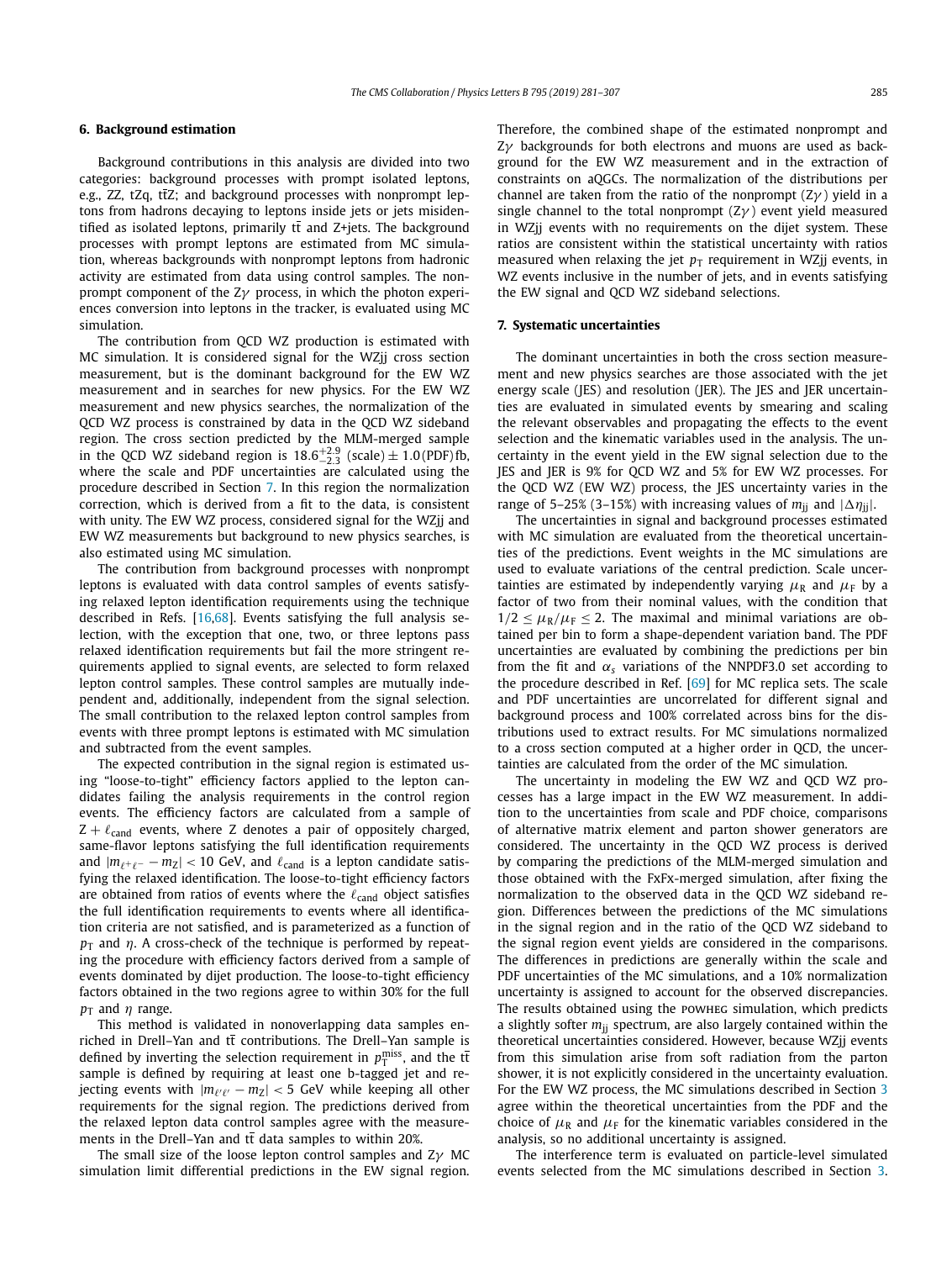#### **6. Background estimation**

Background contributions in this analysis are divided into two categories: background processes with prompt isolated leptons, e.g., ZZ, tZq, ttZ; and background processes with nonprompt leptons from hadrons decaying to leptons inside jets or jets misidentified as isolated leptons, primarily tt and Z+jets. The background processes with prompt leptons are estimated from MC simulation, whereas backgrounds with nonprompt leptons from hadronic activity are estimated from data using control samples. The nonprompt component of the Z*γ* process, in which the photon experiences conversion into leptons in the tracker, is evaluated using MC simulation.

The contribution from QCD WZ production is estimated with MC simulation. It is considered signal for the WZjj cross section measurement, but is the dominant background for the EW WZ measurement and in searches for new physics. For the EW WZ measurement and new physics searches, the normalization of the QCD WZ process is constrained by data in the QCD WZ sideband region. The cross section predicted by the MLM-merged sample in the QCD WZ sideband region is  $18.6^{+2.9}_{-2.3}$  (scale)  $\pm 1.0$  (PDF) fb, where the scale and PDF uncertainties are calculated using the procedure described in Section 7. In this region the normalization correction, which is derived from a fit to the data, is consistent with unity. The EW WZ process, considered signal for the WZjj and EW WZ measurements but background to new physics searches, is also estimated using MC simulation.

The contribution from background processes with nonprompt leptons is evaluated with data control samples of events satisfying relaxed lepton identification requirements using the technique described in Refs. [\[16,](#page-9-0)[68\]](#page-10-0). Events satisfying the full analysis selection, with the exception that one, two, or three leptons pass relaxed identification requirements but fail the more stringent requirements applied to signal events, are selected to form relaxed lepton control samples. These control samples are mutually independent and, additionally, independent from the signal selection. The small contribution to the relaxed lepton control samples from events with three prompt leptons is estimated with MC simulation and subtracted from the event samples.

The expected contribution in the signal region is estimated using "loose-to-tight" efficiency factors applied to the lepton candidates failing the analysis requirements in the control region events. The efficiency factors are calculated from a sample of  $Z + \ell_{\text{cand}}$  events, where Z denotes a pair of oppositely charged, same-flavor leptons satisfying the full identification requirements and  $|m_{\ell^+\ell^-} - m_Z| < 10$  GeV, and  $\ell_{\text{cand}}$  is a lepton candidate satisfying the relaxed identification. The loose-to-tight efficiency factors are obtained from ratios of events where the  $\ell_{\mathrm{cand}}$  object satisfies the full identification requirements to events where all identification criteria are not satisfied, and is parameterized as a function of  $p_T$  and *η*. A cross-check of the technique is performed by repeating the procedure with efficiency factors derived from a sample of events dominated by dijet production. The loose-to-tight efficiency factors obtained in the two regions agree to within 30% for the full  $p_T$  and  $\eta$  range.

This method is validated in nonoverlapping data samples enriched in Drell–Yan and tt contributions. The Drell–Yan sample is defined by inverting the selection requirement in  $p_{\rm T}^{\rm miss}$ , and the tt sample is defined by requiring at least one b-tagged jet and re- $\left| \int_{\mathcal{C}}^{\mathcal{C}} e^{i \omega t} \right| \leq \left| \int_{\mathcal{C}}^{\mathcal{C}} e^{i \omega t} \right| \leq \left| \int_{\mathcal{C}}^{\mathcal{C}} e^{i \omega t} \right| \leq \left| \int_{\mathcal{C}}^{\mathcal{C}} e^{i \omega t} \right| \leq \left| \int_{\mathcal{C}}^{\mathcal{C}} e^{i \omega t} \right| \leq \left| \int_{\mathcal{C}}^{\mathcal{C}} e^{i \omega t} \right| \leq \left| \int_{\mathcal{C}}^{\mathcal{C}} e^{i \omega t} \right$ requirements for the signal region. The predictions derived from the relaxed lepton data control samples agree with the measurements in the Drell–Yan and tt data samples to within 20%.

The small size of the loose lepton control samples and Z*γ* MC simulation limit differential predictions in the EW signal region. Therefore, the combined shape of the estimated nonprompt and Z*γ* backgrounds for both electrons and muons are used as background for the EW WZ measurement and in the extraction of constraints on aQGCs. The normalization of the distributions per channel are taken from the ratio of the nonprompt (Z*γ* ) yield in a single channel to the total nonprompt (Z*γ* ) event yield measured in WZjj events with no requirements on the dijet system. These ratios are consistent within the statistical uncertainty with ratios measured when relaxing the jet  $p<sub>T</sub>$  requirement in WZjj events, in WZ events inclusive in the number of jets, and in events satisfying the EW signal and QCD WZ sideband selections.

#### **7. Systematic uncertainties**

The dominant uncertainties in both the cross section measurement and new physics searches are those associated with the jet energy scale (JES) and resolution (JER). The JES and JER uncertainties are evaluated in simulated events by smearing and scaling the relevant observables and propagating the effects to the event selection and the kinematic variables used in the analysis. The uncertainty in the event yield in the EW signal selection due to the JES and JER is 9% for QCD WZ and 5% for EW WZ processes. For the QCD WZ (EW WZ) process, the JES uncertainty varies in the range of 5–25% (3–15%) with increasing values of  $m_{ij}$  and  $|\Delta \eta_{ij}|$ .

The uncertainties in signal and background processes estimated with MC simulation are evaluated from the theoretical uncertainties of the predictions. Event weights in the MC simulations are used to evaluate variations of the central prediction. Scale uncertainties are estimated by independently varying  $\mu_R$  and  $\mu_F$  by a factor of two from their nominal values, with the condition that  $1/2 \leq \mu_R/\mu_F \leq 2$ . The maximal and minimal variations are obtained per bin to form a shape-dependent variation band. The PDF uncertainties are evaluated by combining the predictions per bin from the fit and  $\alpha_s$  variations of the NNPDF3.0 set according to the procedure described in Ref. [\[69\]](#page-11-0) for MC replica sets. The scale and PDF uncertainties are uncorrelated for different signal and background process and 100% correlated across bins for the distributions used to extract results. For MC simulations normalized to a cross section computed at a higher order in QCD, the uncertainties are calculated from the order of the MC simulation.

The uncertainty in modeling the EW WZ and QCD WZ processes has a large impact in the EW WZ measurement. In addition to the uncertainties from scale and PDF choice, comparisons of alternative matrix element and parton shower generators are considered. The uncertainty in the QCD WZ process is derived by comparing the predictions of the MLM-merged simulation and those obtained with the FxFx-merged simulation, after fixing the normalization to the observed data in the QCD WZ sideband region. Differences between the predictions of the MC simulations in the signal region and in the ratio of the QCD WZ sideband to the signal region event yields are considered in the comparisons. The differences in predictions are generally within the scale and PDF uncertainties of the MC simulations, and a 10% normalization uncertainty is assigned to account for the observed discrepancies. The results obtained using the powheg simulation, which predicts a slightly softer *m*jj spectrum, are also largely contained within the theoretical uncertainties considered. However, because WZjj events from this simulation arise from soft radiation from the parton shower, it is not explicitly considered in the uncertainty evaluation. For the EW WZ process, the MC simulations described in Section [3](#page-1-0) agree within the theoretical uncertainties from the PDF and the choice of  $\mu_R$  and  $\mu_F$  for the kinematic variables considered in the analysis, so no additional uncertainty is assigned.

The interference term is evaluated on particle-level simulated events selected from the MC simulations described in Section [3.](#page-1-0)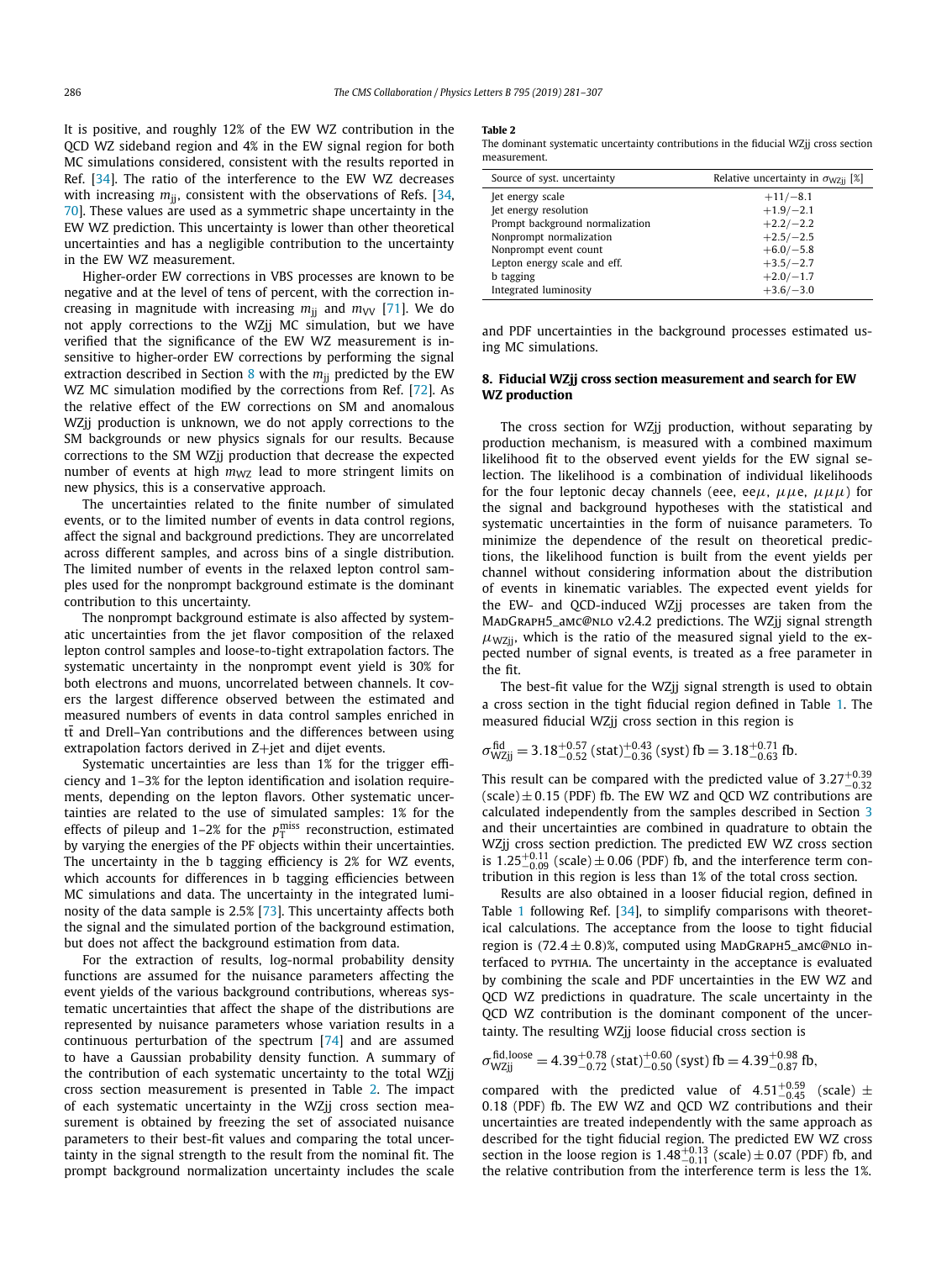It is positive, and roughly 12% of the EW WZ contribution in the QCD WZ sideband region and 4% in the EW signal region for both MC simulations considered, consistent with the results reported in Ref. [\[34\]](#page-10-0). The ratio of the interference to the EW WZ decreases with increasing  $m_{\text{jj}}$ , consistent with the observations of Refs. [\[34,](#page-10-0) [70\]](#page-11-0). These values are used as a symmetric shape uncertainty in the EW WZ prediction. This uncertainty is lower than other theoretical uncertainties and has a negligible contribution to the uncertainty in the EW WZ measurement.

Higher-order EW corrections in VBS processes are known to be negative and at the level of tens of percent, with the correction increasing in magnitude with increasing  $m_{ii}$  and  $m_{VV}$  [\[71\]](#page-11-0). We do not apply corrections to the WZjj MC simulation, but we have verified that the significance of the EW WZ measurement is insensitive to higher-order EW corrections by performing the signal extraction described in Section 8 with the  $m_{ij}$  predicted by the EW WZ MC simulation modified by the corrections from Ref. [\[72\]](#page-11-0). As the relative effect of the EW corrections on SM and anomalous WZjj production is unknown, we do not apply corrections to the SM backgrounds or new physics signals for our results. Because corrections to the SM WZjj production that decrease the expected number of events at high  $m_{WZ}$  lead to more stringent limits on new physics, this is a conservative approach.

The uncertainties related to the finite number of simulated events, or to the limited number of events in data control regions, affect the signal and background predictions. They are uncorrelated across different samples, and across bins of a single distribution. The limited number of events in the relaxed lepton control samples used for the nonprompt background estimate is the dominant contribution to this uncertainty.

The nonprompt background estimate is also affected by systematic uncertainties from the jet flavor composition of the relaxed lepton control samples and loose-to-tight extrapolation factors. The systematic uncertainty in the nonprompt event yield is 30% for both electrons and muons, uncorrelated between channels. It covers the largest difference observed between the estimated and measured numbers of events in data control samples enriched in tt and Drell–Yan contributions and the differences between using extrapolation factors derived in Z+jet and dijet events.

Systematic uncertainties are less than 1% for the trigger efficiency and 1–3% for the lepton identification and isolation requirements, depending on the lepton flavors. Other systematic uncertainties are related to the use of simulated samples: 1% for the effects of pileup and 1–2% for the  $p_{\text{T}}^{\text{miss}}$  reconstruction, estimated by varying the energies of the PF objects within their uncertainties. The uncertainty in the b tagging efficiency is 2% for WZ events, which accounts for differences in b tagging efficiencies between MC simulations and data. The uncertainty in the integrated luminosity of the data sample is 2.5% [\[73\]](#page-11-0). This uncertainty affects both the signal and the simulated portion of the background estimation, but does not affect the background estimation from data.

For the extraction of results, log-normal probability density functions are assumed for the nuisance parameters affecting the event yields of the various background contributions, whereas systematic uncertainties that affect the shape of the distributions are represented by nuisance parameters whose variation results in a continuous perturbation of the spectrum [\[74\]](#page-11-0) and are assumed to have a Gaussian probability density function. A summary of the contribution of each systematic uncertainty to the total WZjj cross section measurement is presented in Table 2. The impact of each systematic uncertainty in the WZjj cross section measurement is obtained by freezing the set of associated nuisance parameters to their best-fit values and comparing the total uncertainty in the signal strength to the result from the nominal fit. The prompt background normalization uncertainty includes the scale

#### **Table 2**

The dominant systematic uncertainty contributions in the fiducial WZjj cross section measurement.

| Source of syst. uncertainty     | Relative uncertainty in $\sigma_{\text{WZii}}$ [%] |
|---------------------------------|----------------------------------------------------|
| Jet energy scale                | $+11/-8.1$                                         |
| Jet energy resolution           | $+1.9/-2.1$                                        |
| Prompt background normalization | $+2.2/-2.2$                                        |
| Nonprompt normalization         | $+2.5/-2.5$                                        |
| Nonprompt event count           | $+6.0 - 5.8$                                       |
| Lepton energy scale and eff.    | $+3.5/-2.7$                                        |
| b tagging                       | $+2.0/-1.7$                                        |
| Integrated luminosity           | $+3.6/-3.0$                                        |

and PDF uncertainties in the background processes estimated using MC simulations.

#### **8. Fiducial WZjj cross section measurement and search for EW WZ production**

The cross section for WZjj production, without separating by production mechanism, is measured with a combined maximum likelihood fit to the observed event yields for the EW signal selection. The likelihood is a combination of individual likelihoods for the four leptonic decay channels (eee, ee*μ*, *μμ*e, *μμμ*) for the signal and background hypotheses with the statistical and systematic uncertainties in the form of nuisance parameters. To minimize the dependence of the result on theoretical predictions, the likelihood function is built from the event yields per channel without considering information about the distribution of events in kinematic variables. The expected event yields for the EW- and QCD-induced WZjj processes are taken from the MADGRAPH5\_aMC@NLO v2.4.2 predictions. The WZjj signal strength  $\mu_{\text{WZii}}$ , which is the ratio of the measured signal yield to the expected number of signal events, is treated as a free parameter in the fit.

The best-fit value for the WZjj signal strength is used to obtain a cross section in the tight fiducial region defined in Table [1.](#page-3-0) The measured fiducial WZjj cross section in this region is

$$
\sigma_{WZjj}^{fid}=3.18^{+0.57}_{-0.52}\,(\text{stat})^{+0.43}_{-0.36}\,(\text{syst})\,\text{fb}=3.18^{+0.71}_{-0.63}\,\text{fb}.
$$

This result can be compared with the predicted value of  $3.27^{+0.39}_{-0.32}$  $(\text{scale}) \pm 0.15$  (PDF) fb. The EW WZ and QCD WZ contributions are calculated independently from the samples described in Section [3](#page-1-0) and their uncertainties are combined in quadrature to obtain the WZjj cross section prediction. The predicted EW WZ cross section is  $1.25_{-0.09}^{+0.11}$  (scale)  $\pm$  0.06 (PDF) fb, and the interference term contribution in this region is less than 1% of the total cross section.

Results are also obtained in a looser fiducial region, defined in Table [1](#page-3-0) following Ref. [\[34\]](#page-10-0), to simplify comparisons with theoretical calculations. The acceptance from the loose to tight fiducial region is  $(72.4 \pm 0.8)$ %, computed using MADGRAPH5\_aMC@NLO interfaced to pythia. The uncertainty in the acceptance is evaluated by combining the scale and PDF uncertainties in the EW WZ and QCD WZ predictions in quadrature. The scale uncertainty in the QCD WZ contribution is the dominant component of the uncertainty. The resulting WZjj loose fiducial cross section is

$$
\sigma_{WZjj}^{\text{fid,loose}} = 4.39_{-0.72}^{+0.78} \text{(stat)}_{-0.50}^{+0.60} \text{(syst) fb} = 4.39_{-0.87}^{+0.98} \text{fb},
$$

compared with the predicted value of  $4.51^{+0.59}_{-0.45}$  (scale) ± 0*.*18 (PDF) fb. The EW WZ and QCD WZ contributions and their uncertainties are treated independently with the same approach as described for the tight fiducial region. The predicted EW WZ cross section in the loose region is  $1.48^{+0.13}_{-0.11}$  (scale)  $\pm$  0.07 (PDF) fb, and the relative contribution from the interference term is less the 1%.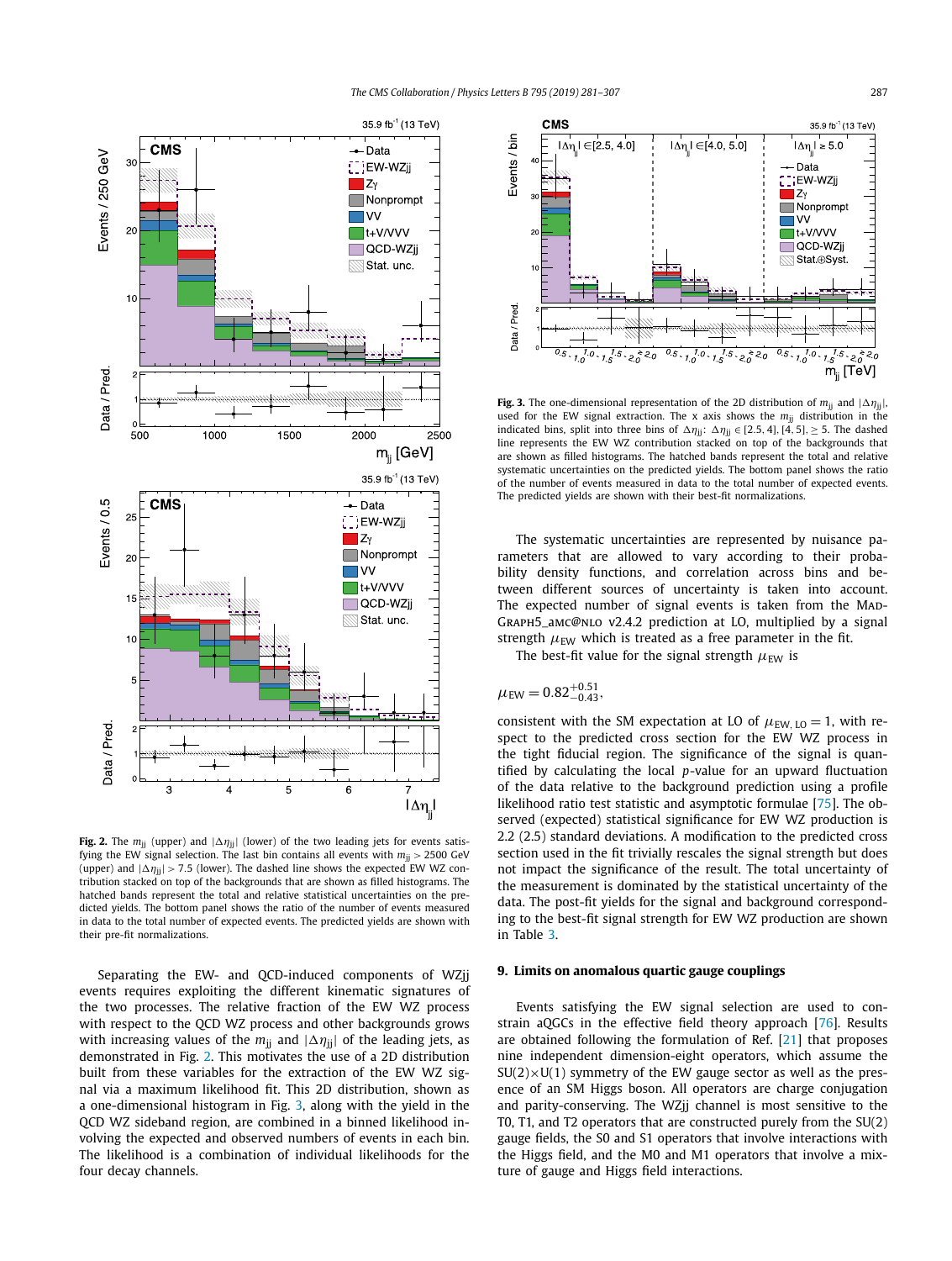

**Fig. 2.** The  $m_{jj}$  (upper) and  $|\Delta \eta_{jj}|$  (lower) of the two leading jets for events satisfying the EW signal selection. The last bin contains all events with  $m_{jj}$   $>$  2500 GeV (upper) and  $|\Delta \eta_{ij}|$  > 7.5 (lower). The dashed line shows the expected EW WZ contribution stacked on top of the backgrounds that are shown as filled histograms. The hatched bands represent the total and relative statistical uncertainties on the predicted yields. The bottom panel shows the ratio of the number of events measured in data to the total number of expected events. The predicted yields are shown with their pre-fit normalizations.

Separating the EW- and QCD-induced components of WZjj events requires exploiting the different kinematic signatures of the two processes. The relative fraction of the EW WZ process with respect to the QCD WZ process and other backgrounds grows with increasing values of the  $m_{ij}$  and  $|\Delta \eta_{ji}|$  of the leading jets, as demonstrated in Fig. 2. This motivates the use of a 2D distribution built from these variables for the extraction of the EW WZ signal via a maximum likelihood fit. This 2D distribution, shown as a one-dimensional histogram in Fig. 3, along with the yield in the QCD WZ sideband region, are combined in a binned likelihood involving the expected and observed numbers of events in each bin. The likelihood is a combination of individual likelihoods for the four decay channels.



**Fig. 3.** The one-dimensional representation of the 2D distribution of  $m_{ij}$  and  $| \Delta \eta_{ij} |$ , used for the EW signal extraction. The x axis shows the  $m_{ii}$  distribution in the indicated bins, split into three bins of  $\Delta \eta_{jj}$ :  $\Delta \eta_{jj} \in [2.5, 4]$ ,  $[4, 5]$ ,  $\geq$  5. The dashed line represents the EW WZ contribution stacked on top of the backgrounds that are shown as filled histograms. The hatched bands represent the total and relative systematic uncertainties on the predicted yields. The bottom panel shows the ratio of the number of events measured in data to the total number of expected events. The predicted yields are shown with their best-fit normalizations.

The systematic uncertainties are represented by nuisance parameters that are allowed to vary according to their probability density functions, and correlation across bins and between different sources of uncertainty is taken into account. The expected number of signal events is taken from the MAD-Graph5\_amc@nlo v2.4.2 prediction at LO, multiplied by a signal strength  $\mu_{\text{EW}}$  which is treated as a free parameter in the fit.

The best-fit value for the signal strength  $\mu_{EW}$  is

 $\mu_{\text{EW}} = 0.82^{+0.51}_{-0.43}$ 

consistent with the SM expectation at LO of  $\mu_{EW, IO} = 1$ , with respect to the predicted cross section for the EW WZ process in the tight fiducial region. The significance of the signal is quantified by calculating the local *p*-value for an upward fluctuation of the data relative to the background prediction using a profile likelihood ratio test statistic and asymptotic formulae [\[75\]](#page-11-0). The observed (expected) statistical significance for EW WZ production is 2.2 (2.5) standard deviations. A modification to the predicted cross section used in the fit trivially rescales the signal strength but does not impact the significance of the result. The total uncertainty of the measurement is dominated by the statistical uncertainty of the data. The post-fit yields for the signal and background corresponding to the best-fit signal strength for EW WZ production are shown in Table [3.](#page-7-0)

#### **9. Limits on anomalous quartic gauge couplings**

Events satisfying the EW signal selection are used to constrain aQGCs in the effective field theory approach [\[76\]](#page-11-0). Results are obtained following the formulation of Ref. [\[21\]](#page-10-0) that proposes nine independent dimension-eight operators, which assume the  $SU(2)\times U(1)$  symmetry of the EW gauge sector as well as the presence of an SM Higgs boson. All operators are charge conjugation and parity-conserving. The WZjj channel is most sensitive to the T0, T1, and T2 operators that are constructed purely from the SU(2) gauge fields, the S0 and S1 operators that involve interactions with the Higgs field, and the M0 and M1 operators that involve a mixture of gauge and Higgs field interactions.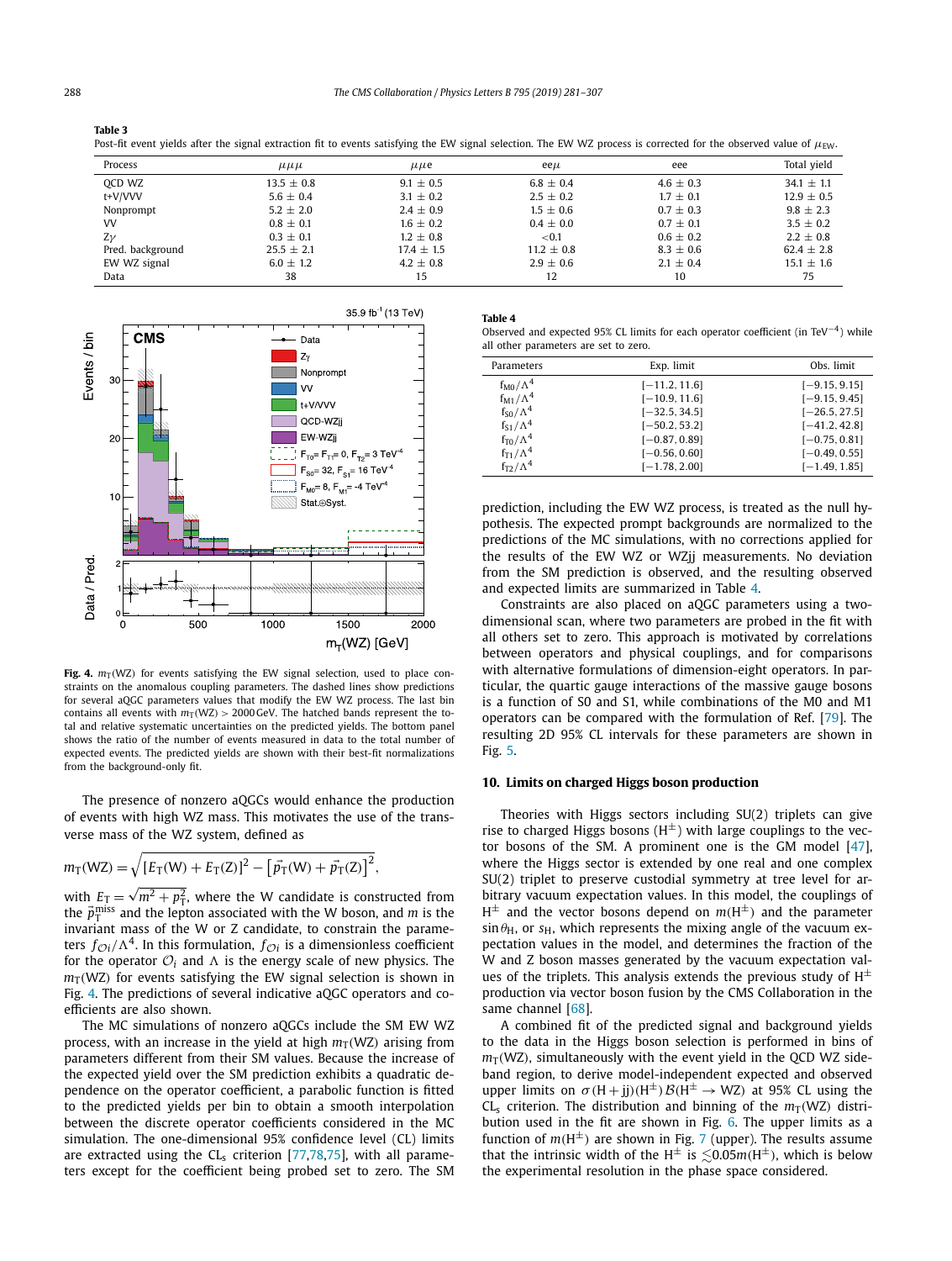<span id="page-7-0"></span>

**Table 3**

| Post-fit event yields after the signal extraction fit to events satisfying the EW signal selection. The EW WZ process is corrected for the observed value of $\mu_{\rm EW}$ |  |  |  |
|-----------------------------------------------------------------------------------------------------------------------------------------------------------------------------|--|--|--|
|-----------------------------------------------------------------------------------------------------------------------------------------------------------------------------|--|--|--|

| Process          | $\mu\mu\mu$    | $\mu \mu e$    | $ee\mu$        | eee           | Total yield    |
|------------------|----------------|----------------|----------------|---------------|----------------|
| OCD WZ           | $13.5 \pm 0.8$ | $9.1 \pm 0.5$  | $6.8 \pm 0.4$  | $4.6 \pm 0.3$ | $34.1 + 1.1$   |
| t+V/VVV          | $5.6 \pm 0.4$  | $3.1 \pm 0.2$  | $2.5 \pm 0.2$  | $1.7 \pm 0.1$ | $12.9 + 0.5$   |
| Nonprompt        | $5.2 \pm 2.0$  | $2.4 \pm 0.9$  | $1.5 \pm 0.6$  | $0.7 \pm 0.3$ | $9.8 \pm 2.3$  |
| VV               | $0.8 \pm 0.1$  | $1.6 \pm 0.2$  | $0.4 \pm 0.0$  | $0.7 \pm 0.1$ | $3.5 \pm 0.2$  |
| $Z\nu$           | $0.3 \pm 0.1$  | $1.2 \pm 0.8$  | ${<}0.1$       | $0.6 \pm 0.2$ | $2.2 \pm 0.8$  |
| Pred. background | $25.5 \pm 2.1$ | $17.4 \pm 1.5$ | $11.2 \pm 0.8$ | $8.3 \pm 0.6$ | $62.4 \pm 2.8$ |
| EW WZ signal     | $6.0 \pm 1.2$  | $4.2 \pm 0.8$  | $2.9 \pm 0.6$  | $2.1 \pm 0.4$ | $15.1 \pm 1.6$ |
| Data             | 38             | 15             | 12             | 10            | 75             |



**Fig. 4.**  $m_T(WZ)$  for events satisfying the EW signal selection, used to place constraints on the anomalous coupling parameters. The dashed lines show predictions for several aQGC parameters values that modify the EW WZ process. The last bin contains all events with  $m_T(WZ) > 2000$  GeV. The hatched bands represent the total and relative systematic uncertainties on the predicted yields. The bottom panel shows the ratio of the number of events measured in data to the total number of expected events. The predicted yields are shown with their best-fit normalizations from the background-only fit.

The presence of nonzero aQGCs would enhance the production of events with high WZ mass. This motivates the use of the transverse mass of the WZ system, defined as

$$
m_{\rm T}(WZ) = \sqrt{[E_{\rm T}(W) + E_{\rm T}(Z)]^2 - [ \vec{p}_{\rm T}(W) + \vec{p}_{\rm T}(Z)]^2},
$$

with  $E_T = \sqrt{m^2 + p_T^2}$ , where the W candidate is constructed from the  $\vec{p}_{\rm T}^{\rm miss}$  and the lepton associated with the W boson, and  $m$  is the invariant mass of the W or Z candidate, to constrain the parameters  $f_{\mathcal{O}i}/\Lambda^4$ . In this formulation,  $f_{\mathcal{O}i}$  is a dimensionless coefficient for the operator  $\mathcal{O}_i$  and  $\Lambda$  is the energy scale of new physics. The  $m_T(WZ)$  for events satisfying the EW signal selection is shown in Fig. 4. The predictions of several indicative aQGC operators and coefficients are also shown.

The MC simulations of nonzero aQGCs include the SM EW WZ process, with an increase in the yield at high  $m_T(WZ)$  arising from parameters different from their SM values. Because the increase of the expected yield over the SM prediction exhibits a quadratic dependence on the operator coefficient, a parabolic function is fitted to the predicted yields per bin to obtain a smooth interpolation between the discrete operator coefficients considered in the MC simulation. The one-dimensional 95% confidence level (CL) limits are extracted using the  $CL<sub>s</sub>$  criterion [\[77,78,75\]](#page-11-0), with all parameters except for the coefficient being probed set to zero. The SM **Table 4**

Observed and expected 95% CL limits for each operator coefficient (in TeV<sup>-4</sup>) while all other parameters are set to zero.

| Parameters                                       | Exp. limit                         | Obs. limit                         |
|--------------------------------------------------|------------------------------------|------------------------------------|
| $f_{\rm M0}/\Lambda^4$<br>$f_{\rm M1}/\Lambda^4$ | $[-11.2, 11.6]$<br>$[-10.9, 11.6]$ | $[-9.15, 9.15]$<br>$[-9.15, 9.45]$ |
| $f_{SO}/\Lambda^4$                               | $[-32.5, 34.5]$                    | $[-26.5, 27.5]$                    |
| $f_{S1}/\Lambda^4$                               | $[-50.2, 53.2]$                    | $[-41.2, 42.8]$                    |
| $f_{\text{T}0}/\Lambda^4$                        | $[-0.87, 0.89]$                    | $[-0.75, 0.81]$                    |
| $f_{T1}/\Lambda^4$                               | $[-0.56, 0.60]$                    | $[-0.49, 0.55]$                    |
| $f_{T2}/\Lambda^4$                               | $[-1.78, 2.00]$                    | $[-1.49, 1.85]$                    |

prediction, including the EW WZ process, is treated as the null hypothesis. The expected prompt backgrounds are normalized to the predictions of the MC simulations, with no corrections applied for the results of the EW WZ or WZjj measurements. No deviation from the SM prediction is observed, and the resulting observed and expected limits are summarized in Table 4.

Constraints are also placed on aQGC parameters using a twodimensional scan, where two parameters are probed in the fit with all others set to zero. This approach is motivated by correlations between operators and physical couplings, and for comparisons with alternative formulations of dimension-eight operators. In particular, the quartic gauge interactions of the massive gauge bosons is a function of S0 and S1, while combinations of the M0 and M1 operators can be compared with the formulation of Ref. [\[79\]](#page-11-0). The resulting 2D 95% CL intervals for these parameters are shown in Fig. [5.](#page-8-0)

#### **10. Limits on charged Higgs boson production**

Theories with Higgs sectors including SU(2) triplets can give rise to charged Higgs bosons ( $H^{\pm}$ ) with large couplings to the vector bosons of the SM. A prominent one is the GM model [\[47\]](#page-10-0), where the Higgs sector is extended by one real and one complex SU(2) triplet to preserve custodial symmetry at tree level for arbitrary vacuum expectation values. In this model, the couplings of  $H^{\pm}$  and the vector bosons depend on  $m(H^{\pm})$  and the parameter  $\sin \theta_H$ , or  $s_H$ , which represents the mixing angle of the vacuum expectation values in the model, and determines the fraction of the W and Z boson masses generated by the vacuum expectation values of the triplets. This analysis extends the previous study of  $H^{\pm}$ production via vector boson fusion by the CMS Collaboration in the same channel [\[68\]](#page-10-0).

A combined fit of the predicted signal and background yields to the data in the Higgs boson selection is performed in bins of  $m<sub>T</sub>(WZ)$ , simultaneously with the event yield in the QCD WZ sideband region, to derive model-independent expected and observed upper limits on  $\sigma(H+jj)(H^{\pm})\mathcal{B}(H^{\pm} \to WZ)$  at 95% CL using the  $CL<sub>s</sub>$  criterion. The distribution and binning of the  $m<sub>T</sub>(WZ)$  distribution used in the fit are shown in Fig. [6.](#page-8-0) The upper limits as a function of  $m(H^{\pm})$  are shown in Fig. [7](#page-9-0) (upper). The results assume that the intrinsic width of the H<sup> $\pm$ </sup> is  $\lesssim$ 0.05 $m$ (H $\pm$ ), which is below the experimental resolution in the phase space considered.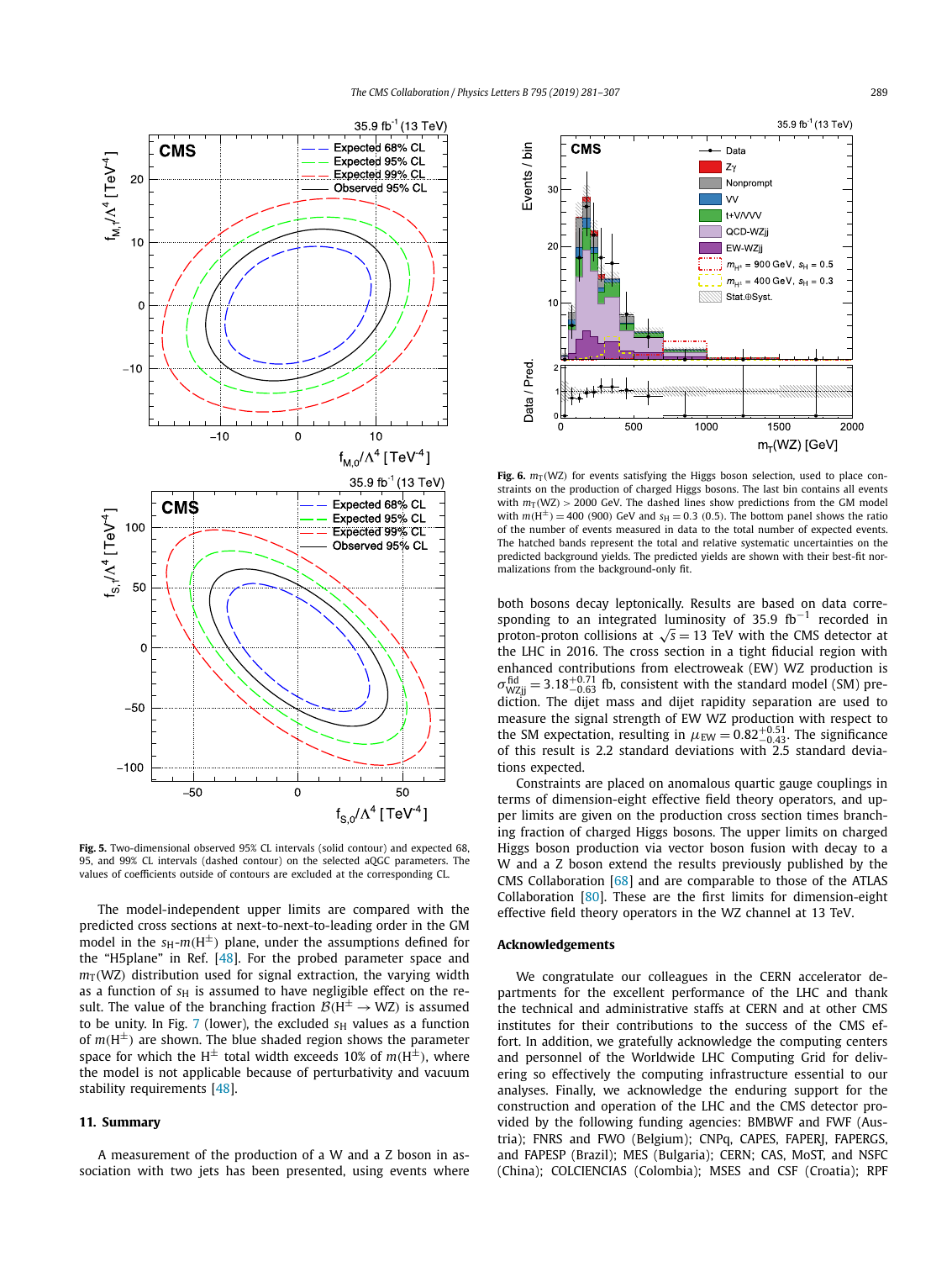<span id="page-8-0"></span>

**Fig. 5.** Two-dimensional observed 95% CL intervals (solid contour) and expected 68, 95, and 99% CL intervals (dashed contour) on the selected aQGC parameters. The values of coefficients outside of contours are excluded at the corresponding CL.

The model-independent upper limits are compared with the predicted cross sections at next-to-next-to-leading order in the GM model in the  $s_H$ - $m(H^{\pm})$  plane, under the assumptions defined for the "H5plane" in Ref. [\[48\]](#page-10-0). For the probed parameter space and  $m<sub>T</sub>(WZ)$  distribution used for signal extraction, the varying width as a function of  $s$ <sub>H</sub> is assumed to have negligible effect on the result. The value of the branching fraction  $\mathcal{B}(H^{\pm} \to WZ)$  is assumed to be unity. In Fig. [7](#page-9-0) (lower), the excluded  $s$ <sub>H</sub> values as a function of  $m(H^{\pm})$  are shown. The blue shaded region shows the parameter space for which the H<sup> $\pm$ </sup> total width exceeds 10% of  $m(H^{\pm})$ , where the model is not applicable because of perturbativity and vacuum stability requirements [\[48\]](#page-10-0).

#### **11. Summary**

A measurement of the production of a W and a Z boson in association with two jets has been presented, using events where



**Fig. 6.**  $m_T(WZ)$  for events satisfying the Higgs boson selection, used to place constraints on the production of charged Higgs bosons. The last bin contains all events with  $m_T(WZ) > 2000$  GeV. The dashed lines show predictions from the GM model with  $m(H^{\pm}) = 400$  (900) GeV and  $s_H = 0.3$  (0.5). The bottom panel shows the ratio of the number of events measured in data to the total number of expected events. The hatched bands represent the total and relative systematic uncertainties on the predicted background yields. The predicted yields are shown with their best-fit normalizations from the background-only fit.

both bosons decay leptonically. Results are based on data corresponding to an integrated luminosity of 35.9 fb<sup>-1</sup> recorded in proton-proton collisions at  $\sqrt{s}$  = 13 TeV with the CMS detector at the LHC in 2016. The cross section in a tight fiducial region with enhanced contributions from electroweak (EW) WZ production is  $\sigma_{\text{WZjj}}^{\text{fid}} = 3.18_{-0.63}^{+0.71}$  fb, consistent with the standard model (SM) prediction. The dijet mass and dijet rapidity separation are used to measure the signal strength of EW WZ production with respect to the SM expectation, resulting in  $\mu_{EW} = 0.82_{-0.43}^{+0.51}$ . The significance of this result is 2.2 standard deviations with 2.5 standard deviations expected.

Constraints are placed on anomalous quartic gauge couplings in terms of dimension-eight effective field theory operators, and upper limits are given on the production cross section times branching fraction of charged Higgs bosons. The upper limits on charged Higgs boson production via vector boson fusion with decay to a W and a Z boson extend the results previously published by the CMS Collaboration [\[68\]](#page-10-0) and are comparable to those of the ATLAS Collaboration [\[80\]](#page-11-0). These are the first limits for dimension-eight effective field theory operators in the WZ channel at 13 TeV.

#### **Acknowledgements**

We congratulate our colleagues in the CERN accelerator departments for the excellent performance of the LHC and thank the technical and administrative staffs at CERN and at other CMS institutes for their contributions to the success of the CMS effort. In addition, we gratefully acknowledge the computing centers and personnel of the Worldwide LHC Computing Grid for delivering so effectively the computing infrastructure essential to our analyses. Finally, we acknowledge the enduring support for the construction and operation of the LHC and the CMS detector provided by the following funding agencies: BMBWF and FWF (Austria); FNRS and FWO (Belgium); CNPq, CAPES, FAPERJ, FAPERGS, and FAPESP (Brazil); MES (Bulgaria); CERN; CAS, MoST, and NSFC (China); COLCIENCIAS (Colombia); MSES and CSF (Croatia); RPF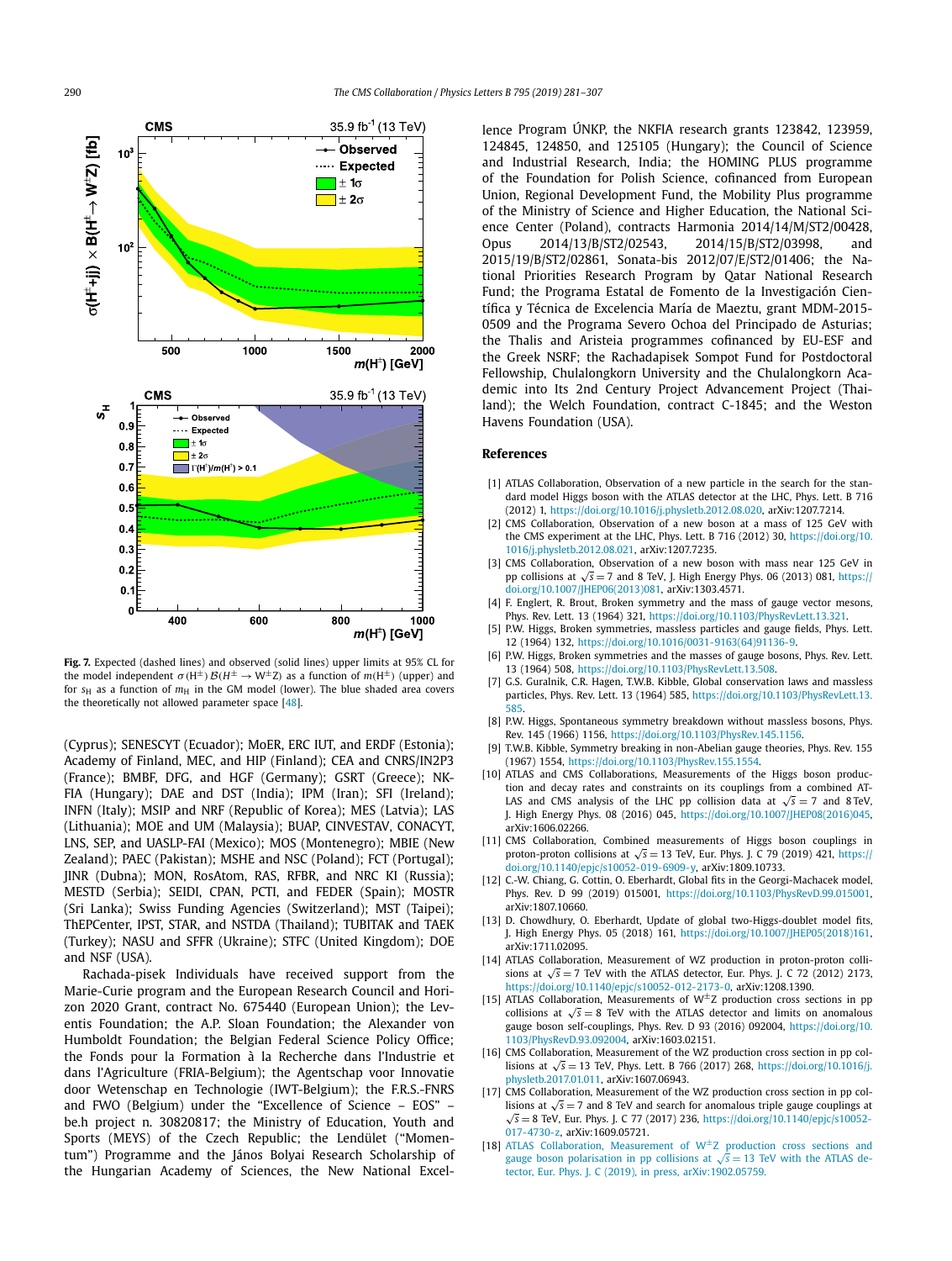<span id="page-9-0"></span>

**Fig. 7.** Expected (dashed lines) and observed (solid lines) upper limits at 95% CL for the model independent  $\sigma(H^{\pm})B(H^{\pm} \to W^{\pm}Z)$  as a function of  $m(H^{\pm})$  (upper) and for  $s_H$  as a function of  $m_H$  in the GM model (lower). The blue shaded area covers the theoretically not allowed parameter space [\[48\]](#page-10-0).

(Cyprus); SENESCYT (Ecuador); MoER, ERC IUT, and ERDF (Estonia); Academy of Finland, MEC, and HIP (Finland); CEA and CNRS/IN2P3 (France); BMBF, DFG, and HGF (Germany); GSRT (Greece); NK-FIA (Hungary); DAE and DST (India); IPM (Iran); SFI (Ireland); INFN (Italy); MSIP and NRF (Republic of Korea); MES (Latvia); LAS (Lithuania); MOE and UM (Malaysia); BUAP, CINVESTAV, CONACYT, LNS, SEP, and UASLP-FAI (Mexico); MOS (Montenegro); MBIE (New Zealand); PAEC (Pakistan); MSHE and NSC (Poland); FCT (Portugal); JINR (Dubna); MON, RosAtom, RAS, RFBR, and NRC KI (Russia); MESTD (Serbia); SEIDI, CPAN, PCTI, and FEDER (Spain); MOSTR (Sri Lanka); Swiss Funding Agencies (Switzerland); MST (Taipei); ThEPCenter, IPST, STAR, and NSTDA (Thailand); TUBITAK and TAEK (Turkey); NASU and SFFR (Ukraine); STFC (United Kingdom); DOE and NSF (USA).

Rachada-pisek Individuals have received support from the Marie-Curie program and the European Research Council and Horizon 2020 Grant, contract No. 675440 (European Union); the Leventis Foundation; the A.P. Sloan Foundation; the Alexander von Humboldt Foundation; the Belgian Federal Science Policy Office; the Fonds pour la Formation à la Recherche dans l'Industrie et dans l'Agriculture (FRIA-Belgium); the Agentschap voor Innovatie door Wetenschap en Technologie (IWT-Belgium); the F.R.S.-FNRS and FWO (Belgium) under the "Excellence of Science – EOS" – be.h project n. 30820817; the Ministry of Education, Youth and Sports (MEYS) of the Czech Republic; the Lendület ("Momentum") Programme and the János Bolyai Research Scholarship of the Hungarian Academy of Sciences, the New National Excellence Program ÚNKP, the NKFIA research grants 123842, 123959, 124845, 124850, and 125105 (Hungary); the Council of Science and Industrial Research, India; the HOMING PLUS programme of the Foundation for Polish Science, cofinanced from European Union, Regional Development Fund, the Mobility Plus programme of the Ministry of Science and Higher Education, the National Science Center (Poland), contracts Harmonia 2014/14/M/ST2/00428, Opus 2014/13/B/ST2/02543, 2014/15/B/ST2/03998, and 2015/19/B/ST2/02861, Sonata-bis 2012/07/E/ST2/01406; the National Priorities Research Program by Qatar National Research Fund; the Programa Estatal de Fomento de la Investigación Científica y Técnica de Excelencia María de Maeztu, grant MDM-2015- 0509 and the Programa Severo Ochoa del Principado de Asturias; the Thalis and Aristeia programmes cofinanced by EU-ESF and the Greek NSRF; the Rachadapisek Sompot Fund for Postdoctoral Fellowship, Chulalongkorn University and the Chulalongkorn Academic into Its 2nd Century Project Advancement Project (Thailand); the Welch Foundation, contract C-1845; and the Weston Havens Foundation (USA).

#### **References**

- [1] ATLAS Collaboration, Observation of a new particle in the search for the standard model Higgs boson with the ATLAS detector at the LHC, Phys. Lett. B 716 (2012) 1, [https://doi.org/10.1016/j.physletb.2012.08.020,](https://doi.org/10.1016/j.physletb.2012.08.020) arXiv:1207.7214.
- [2] CMS Collaboration, Observation of a new boson at a mass of 125 GeV with the CMS experiment at the LHC, Phys. Lett. B 716 (2012) 30, [https://doi.org/10.](https://doi.org/10.1016/j.physletb.2012.08.021) [1016/j.physletb.2012.08.021](https://doi.org/10.1016/j.physletb.2012.08.021), arXiv:1207.7235.
- [3] CMS Collaboration, Observation of a new boson with mass near 125 GeV in pp collisions at  $\sqrt{s}$  = 7 and 8 TeV, J. High Energy Phys. 06 (2013) 081, [https://](https://doi.org/10.1007/JHEP06(2013)081) [doi.org/10.1007/JHEP06\(2013\)081,](https://doi.org/10.1007/JHEP06(2013)081) arXiv:1303.4571.
- [4] F. Englert, R. Brout, Broken symmetry and the mass of gauge vector mesons, Phys. Rev. Lett. 13 (1964) 321, [https://doi.org/10.1103/PhysRevLett.13.321.](https://doi.org/10.1103/PhysRevLett.13.321)
- [5] P.W. Higgs, Broken symmetries, massless particles and gauge fields, Phys. Lett. 12 (1964) 132, [https://doi.org/10.1016/0031-9163\(64\)91136-9](https://doi.org/10.1016/0031-9163(64)91136-9).
- [6] P.W. Higgs, Broken symmetries and the masses of gauge bosons, Phys. Rev. Lett. 13 (1964) 508, [https://doi.org/10.1103/PhysRevLett.13.508.](https://doi.org/10.1103/PhysRevLett.13.508)
- [7] G.S. Guralnik, C.R. Hagen, T.W.B. Kibble, Global conservation laws and massless particles, Phys. Rev. Lett. 13 (1964) 585, [https://doi.org/10.1103/PhysRevLett.13.](https://doi.org/10.1103/PhysRevLett.13.585) [585.](https://doi.org/10.1103/PhysRevLett.13.585)
- [8] P.W. Higgs, Spontaneous symmetry breakdown without massless bosons, Phys. Rev. 145 (1966) 1156, <https://doi.org/10.1103/PhysRev.145.1156>.
- T.W.B. Kibble, Symmetry breaking in non-Abelian gauge theories, Phys. Rev. 155 (1967) 1554, [https://doi.org/10.1103/PhysRev.155.1554.](https://doi.org/10.1103/PhysRev.155.1554)
- [10] ATLAS and CMS Collaborations, Measurements of the Higgs boson production and decay rates and constraints on its couplings from a combined AT-LAS and CMS analysis of the LHC pp collision data at  $\sqrt{s} = 7$  and 8 TeV, J. High Energy Phys. 08 (2016) 045, [https://doi.org/10.1007/JHEP08\(2016\)045](https://doi.org/10.1007/JHEP08(2016)045), arXiv:1606.02266.
- [11] CMS Collaboration, Combined measurements of Higgs boson couplings in proton-proton collisions at  $\sqrt{s}$  = 13 TeV, Eur. Phys. J. C 79 (2019) 421, [https://](https://doi.org/10.1140/epjc/s10052-019-6909-y) [doi.org/10.1140/epjc/s10052-019-6909-y](https://doi.org/10.1140/epjc/s10052-019-6909-y), arXiv:1809.10733.
- [12] C.-W. Chiang, G. Cottin, O. Eberhardt, Global fits in the Georgi-Machacek model, Phys. Rev. D 99 (2019) 015001, <https://doi.org/10.1103/PhysRevD.99.015001>, arXiv:1807.10660.
- [13] D. Chowdhury, O. Eberhardt, Update of global two-Higgs-doublet model fits, J. High Energy Phys. 05 (2018) 161, [https://doi.org/10.1007/JHEP05\(2018\)161](https://doi.org/10.1007/JHEP05(2018)161), arXiv:1711.02095.
- [14] ATLAS Collaboration, Measurement of WZ production in proton-proton collisions at  $\sqrt{s}$  = 7 TeV with the ATLAS detector, Eur. Phys. I. C 72 (2012) 2173, <https://doi.org/10.1140/epjc/s10052-012-2173-0>, arXiv:1208.1390.
- [15] ATLAS Collaboration, Measurements of  $W^{\pm}Z$  production cross sections in pp collisions at  $\sqrt{s} = 8$  TeV with the ATLAS detector and limits on anomalous gauge boson self-couplings, Phys. Rev. D 93 (2016) 092004, [https://doi.org/10.](https://doi.org/10.1103/PhysRevD.93.092004) [1103/PhysRevD.93.092004](https://doi.org/10.1103/PhysRevD.93.092004), arXiv:1603.02151.
- [16] CMS Collaboration, Measurement of the WZ production cross section in pp collisions at <sup>√</sup>*<sup>s</sup>* <sup>=</sup> 13 TeV, Phys. Lett. <sup>B</sup> <sup>766</sup> (2017) 268, [https://doi.org/10.1016/j.](https://doi.org/10.1016/j.physletb.2017.01.011) [physletb.2017.01.011,](https://doi.org/10.1016/j.physletb.2017.01.011) arXiv:1607.06943.
- [17] CMS Collaboration, Measurement of the WZ production cross section in pp collisions at √*s* = 7 and 8 TeV and search for anomalous triple gauge couplings at √*s* = 8 TeV, Eur. Phys. J. C 77 (2017) 236, [https://doi.org/10.1140/epjc/s10052-](https://doi.org/10.1140/epjc/s10052-017-4730-z) [017-4730-z,](https://doi.org/10.1140/epjc/s10052-017-4730-z) arXiv:1609.05721.
- [18] ATLAS [Collaboration,](http://refhub.elsevier.com/S0370-2693(19)30363-6/bib4161626F75643A3230313967786Cs1) Measurement of W±Z production cross sections and gauge boson polarisation in [pp collisions](http://refhub.elsevier.com/S0370-2693(19)30363-6/bib4161626F75643A3230313967786Cs1) at  $\sqrt{s} = 13$  TeV with the ATLAS detector, Eur. Phys. J. C (2019), in press, [arXiv:1902.05759.](http://refhub.elsevier.com/S0370-2693(19)30363-6/bib4161626F75643A3230313967786Cs1)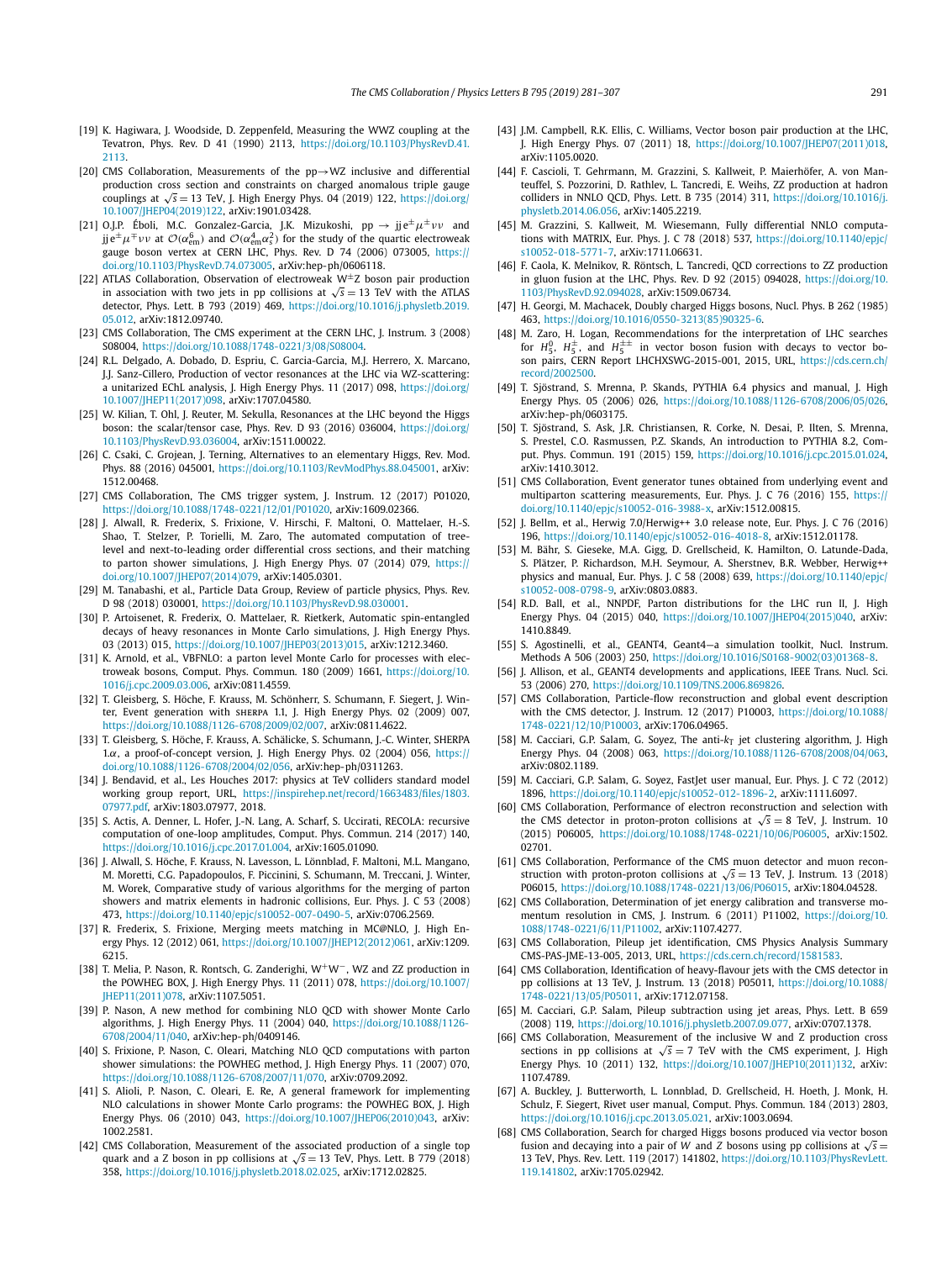- <span id="page-10-0"></span>[19] K. Hagiwara, J. Woodside, D. Zeppenfeld, Measuring the WWZ coupling at the Tevatron, Phys. Rev. D 41 (1990) 2113, [https://doi.org/10.1103/PhysRevD.41.](https://doi.org/10.1103/PhysRevD.41.2113) [2113](https://doi.org/10.1103/PhysRevD.41.2113).
- [20] CMS Collaboration, Measurements of the pp→WZ inclusive and differential production cross section and constraints on charged anomalous triple gauge couplings at  $\sqrt{s}$  = 13 TeV, J. High Energy Phys. 04 (2019) 122, [https://doi.org/](https://doi.org/10.1007/JHEP04(2019)122) [10.1007/JHEP04\(2019\)122,](https://doi.org/10.1007/JHEP04(2019)122) arXiv:1901.03428.
- [21] O.J.P. Éboli, M.C. Gonzalez-Garcia, J.K. Mizukoshi, pp → jj <sup>e</sup><sup>±</sup>*μ*±*νν* and  $\int$ jj e $\pm \mu \pm \nu \nu$  at  $\mathcal{O}(\alpha_{em}^6)$  and  $\mathcal{O}(\alpha_{em}^4 \alpha_s^2)$  for the study of the quartic electroweak gauge boson vertex at CERN LHC, Phys. Rev. D 74 (2006) 073005, [https://](https://doi.org/10.1103/PhysRevD.74.073005) [doi.org/10.1103/PhysRevD.74.073005,](https://doi.org/10.1103/PhysRevD.74.073005) arXiv:hep-ph/0606118.
- [22] ATLAS Collaboration, Observation of electroweak  $W^{\pm}Z$  boson pair production in association with two jets in pp collisions at  $\sqrt{s} = 13$  TeV with the ATLAS detector, Phys. Lett. B 793 (2019) 469, [https://doi.org/10.1016/j.physletb.2019.](https://doi.org/10.1016/j.physletb.2019.05.012) [05.012](https://doi.org/10.1016/j.physletb.2019.05.012), arXiv:1812.09740.
- [23] CMS Collaboration, The CMS experiment at the CERN LHC, J. Instrum. 3 (2008) S08004, <https://doi.org/10.1088/1748-0221/3/08/S08004>.
- [24] R.L. Delgado, A. Dobado, D. Espriu, C. Garcia-Garcia, M.J. Herrero, X. Marcano, J.J. Sanz-Cillero, Production of vector resonances at the LHC via WZ-scattering: a unitarized EChL analysis, J. High Energy Phys. 11 (2017) 098, [https://doi.org/](https://doi.org/10.1007/JHEP11(2017)098) [10.1007/JHEP11\(2017\)098,](https://doi.org/10.1007/JHEP11(2017)098) arXiv:1707.04580.
- [25] W. Kilian, T. Ohl, J. Reuter, M. Sekulla, Resonances at the LHC beyond the Higgs boson: the scalar/tensor case, Phys. Rev. D 93 (2016) 036004, [https://doi.org/](https://doi.org/10.1103/PhysRevD.93.036004) [10.1103/PhysRevD.93.036004](https://doi.org/10.1103/PhysRevD.93.036004), arXiv:1511.00022.
- [26] C. Csaki, C. Grojean, J. Terning, Alternatives to an elementary Higgs, Rev. Mod. Phys. 88 (2016) 045001, <https://doi.org/10.1103/RevModPhys.88.045001>, arXiv: 1512.00468.
- [27] CMS Collaboration, The CMS trigger system, J. Instrum. 12 (2017) P01020, [https://doi.org/10.1088/1748-0221/12/01/P01020,](https://doi.org/10.1088/1748-0221/12/01/P01020) arXiv:1609.02366.
- [28] J. Alwall, R. Frederix, S. Frixione, V. Hirschi, F. Maltoni, O. Mattelaer, H.-S. Shao, T. Stelzer, P. Torielli, M. Zaro, The automated computation of treelevel and next-to-leading order differential cross sections, and their matching to parton shower simulations, J. High Energy Phys. 07 (2014) 079, [https://](https://doi.org/10.1007/JHEP07(2014)079) [doi.org/10.1007/JHEP07\(2014\)079](https://doi.org/10.1007/JHEP07(2014)079), arXiv:1405.0301.
- [29] M. Tanabashi, et al., Particle Data Group, Review of particle physics, Phys. Rev. D 98 (2018) 030001, [https://doi.org/10.1103/PhysRevD.98.030001.](https://doi.org/10.1103/PhysRevD.98.030001)
- [30] P. Artoisenet, R. Frederix, O. Mattelaer, R. Rietkerk, Automatic spin-entangled decays of heavy resonances in Monte Carlo simulations, J. High Energy Phys. 03 (2013) 015, [https://doi.org/10.1007/JHEP03\(2013\)015,](https://doi.org/10.1007/JHEP03(2013)015) arXiv:1212.3460.
- [31] K. Arnold, et al., VBFNLO: a parton level Monte Carlo for processes with electroweak bosons, Comput. Phys. Commun. 180 (2009) 1661, [https://doi.org/10.](https://doi.org/10.1016/j.cpc.2009.03.006) [1016/j.cpc.2009.03.006](https://doi.org/10.1016/j.cpc.2009.03.006), arXiv:0811.4559.
- [32] T. Gleisberg, S. Höche, F. Krauss, M. Schönherr, S. Schumann, F. Siegert, J. Winter, Event generation with sherpa 1.1, J. High Energy Phys. 02 (2009) 007, <https://doi.org/10.1088/1126-6708/2009/02/007>, arXiv:0811.4622.
- [33] T. Gleisberg, S. Höche, F. Krauss, A. Schälicke, S. Schumann, J.-C. Winter, SHERPA 1.*α*, a proof-of-concept version, J. High Energy Phys. 02 (2004) 056, [https://](https://doi.org/10.1088/1126-6708/2004/02/056) [doi.org/10.1088/1126-6708/2004/02/056](https://doi.org/10.1088/1126-6708/2004/02/056), arXiv:hep-ph/0311263.
- [34] J. Bendavid, et al., Les Houches 2017: physics at TeV colliders standard model working group report, URL, [https://inspirehep.net/record/1663483/files/1803.](https://inspirehep.net/record/1663483/files/1803.07977.pdf) [07977.pdf](https://inspirehep.net/record/1663483/files/1803.07977.pdf), arXiv:1803.07977, 2018.
- [35] S. Actis, A. Denner, L. Hofer, J.-N. Lang, A. Scharf, S. Uccirati, RECOLA: recursive computation of one-loop amplitudes, Comput. Phys. Commun. 214 (2017) 140, [https://doi.org/10.1016/j.cpc.2017.01.004,](https://doi.org/10.1016/j.cpc.2017.01.004) arXiv:1605.01090.
- [36] J. Alwall, S. Höche, F. Krauss, N. Lavesson, L. Lönnblad, F. Maltoni, M.L. Mangano, M. Moretti, C.G. Papadopoulos, F. Piccinini, S. Schumann, M. Treccani, J. Winter, M. Worek, Comparative study of various algorithms for the merging of parton showers and matrix elements in hadronic collisions, Eur. Phys. J. C 53 (2008) 473, [https://doi.org/10.1140/epjc/s10052-007-0490-5,](https://doi.org/10.1140/epjc/s10052-007-0490-5) arXiv:0706.2569.
- [37] R. Frederix, S. Frixione, Merging meets matching in MC@NLO, J. High Energy Phys. 12 (2012) 061, [https://doi.org/10.1007/JHEP12\(2012\)061](https://doi.org/10.1007/JHEP12(2012)061), arXiv:1209. 6215.
- [38] T. Melia, P. Nason, R. Rontsch, G. Zanderighi, W+W−, WZ and ZZ production in the POWHEG BOX, J. High Energy Phys. 11 (2011) 078, [https://doi.org/10.1007/](https://doi.org/10.1007/JHEP11(2011)078) [JHEP11\(2011\)078](https://doi.org/10.1007/JHEP11(2011)078), arXiv:1107.5051.
- [39] P. Nason, A new method for combining NLO QCD with shower Monte Carlo algorithms, J. High Energy Phys. 11 (2004) 040, [https://doi.org/10.1088/1126-](https://doi.org/10.1088/1126-6708/2004/11/040) [6708/2004/11/040,](https://doi.org/10.1088/1126-6708/2004/11/040) arXiv:hep-ph/0409146.
- [40] S. Frixione, P. Nason, C. Oleari, Matching NLO OCD computations with parton shower simulations: the POWHEG method, J. High Energy Phys. 11 (2007) 070, <https://doi.org/10.1088/1126-6708/2007/11/070>, arXiv:0709.2092.
- [41] S. Alioli, P. Nason, C. Oleari, E. Re, A general framework for implementing NLO calculations in shower Monte Carlo programs: the POWHEG BOX, J. High Energy Phys. 06 (2010) 043, [https://doi.org/10.1007/JHEP06\(2010\)043](https://doi.org/10.1007/JHEP06(2010)043), arXiv: 1002.2581.
- [42] CMS Collaboration, Measurement of the associated production of a single top quark and a Z boson in pp collisions at  $\sqrt{s} = 13$  TeV, Phys. Lett. B 779 (2018) 358, [https://doi.org/10.1016/j.physletb.2018.02.025,](https://doi.org/10.1016/j.physletb.2018.02.025) arXiv:1712.02825.
- [43] J.M. Campbell, R.K. Ellis, C. Williams, Vector boson pair production at the LHC, J. High Energy Phys. 07 (2011) 18, [https://doi.org/10.1007/JHEP07\(2011\)018](https://doi.org/10.1007/JHEP07(2011)018), arXiv:1105.0020.
- [44] F. Cascioli, T. Gehrmann, M. Grazzini, S. Kallweit, P. Maierhöfer, A. von Manteuffel, S. Pozzorini, D. Rathlev, L. Tancredi, E. Weihs, ZZ production at hadron colliders in NNLO QCD, Phys. Lett. B 735 (2014) 311, [https://doi.org/10.1016/j.](https://doi.org/10.1016/j.physletb.2014.06.056) [physletb.2014.06.056,](https://doi.org/10.1016/j.physletb.2014.06.056) arXiv:1405.2219.
- [45] M. Grazzini, S. Kallweit, M. Wiesemann, Fully differential NNLO computations with MATRIX, Eur. Phys. J. C 78 (2018) 537, [https://doi.org/10.1140/epjc/](https://doi.org/10.1140/epjc/s10052-018-5771-7) [s10052-018-5771-7](https://doi.org/10.1140/epjc/s10052-018-5771-7), arXiv:1711.06631.
- [46] F. Caola, K. Melnikov, R. Röntsch, L. Tancredi, QCD corrections to ZZ production in gluon fusion at the LHC, Phys. Rev. D 92 (2015) 094028, [https://doi.org/10.](https://doi.org/10.1103/PhysRevD.92.094028) [1103/PhysRevD.92.094028](https://doi.org/10.1103/PhysRevD.92.094028), arXiv:1509.06734.
- [47] H. Georgi, M. Machacek, Doubly charged Higgs bosons, Nucl. Phys. B 262 (1985) 463, [https://doi.org/10.1016/0550-3213\(85\)90325-6](https://doi.org/10.1016/0550-3213(85)90325-6).
- [48] M. Zaro, H. Logan, Recommendations for the interpretation of LHC searches for  $H_5^0$ ,  $H_5^{\pm}$ , and  $H_5^{\pm \pm}$  in vector boson fusion with decays to vector boson pairs, CERN Report LHCHXSWG-2015-001, 2015, URL, [https://cds.cern.ch/](https://cds.cern.ch/record/2002500) [record/2002500](https://cds.cern.ch/record/2002500).
- [49] T. Sjöstrand, S. Mrenna, P. Skands, PYTHIA 6.4 physics and manual, J. High Energy Phys. 05 (2006) 026, [https://doi.org/10.1088/1126-6708/2006/05/026,](https://doi.org/10.1088/1126-6708/2006/05/026) arXiv:hep-ph/0603175.
- [50] T. Sjöstrand, S. Ask, J.R. Christiansen, R. Corke, N. Desai, P. Ilten, S. Mrenna, S. Prestel, C.O. Rasmussen, P.Z. Skands, An introduction to PYTHIA 8.2, Comput. Phys. Commun. 191 (2015) 159, [https://doi.org/10.1016/j.cpc.2015.01.024,](https://doi.org/10.1016/j.cpc.2015.01.024) arXiv:1410.3012.
- [51] CMS Collaboration, Event generator tunes obtained from underlying event and multiparton scattering measurements, Eur. Phys. J. C 76 (2016) 155, [https://](https://doi.org/10.1140/epjc/s10052-016-3988-x) [doi.org/10.1140/epjc/s10052-016-3988-x,](https://doi.org/10.1140/epjc/s10052-016-3988-x) arXiv:1512.00815.
- [52] J. Bellm, et al., Herwig 7.0/Herwig++ 3.0 release note, Eur. Phys. J. C 76 (2016) 196, [https://doi.org/10.1140/epjc/s10052-016-4018-8,](https://doi.org/10.1140/epjc/s10052-016-4018-8) arXiv:1512.01178.
- [53] M. Bähr, S. Gieseke, M.A. Gigg, D. Grellscheid, K. Hamilton, O. Latunde-Dada, S. Plätzer, P. Richardson, M.H. Seymour, A. Sherstnev, B.R. Webber, Herwig++ physics and manual, Eur. Phys. J. C 58 (2008) 639, [https://doi.org/10.1140/epjc/](https://doi.org/10.1140/epjc/s10052-008-0798-9) [s10052-008-0798-9](https://doi.org/10.1140/epjc/s10052-008-0798-9), arXiv:0803.0883.
- [54] R.D. Ball, et al., NNPDF, Parton distributions for the LHC run II, J. High Energy Phys. 04 (2015) 040, [https://doi.org/10.1007/JHEP04\(2015\)040](https://doi.org/10.1007/JHEP04(2015)040), arXiv: 1410.8849.
- [55] S. Agostinelli, et al., GEANT4, Geant4—a simulation toolkit, Nucl. Instrum. Methods A 506 (2003) 250, [https://doi.org/10.1016/S0168-9002\(03\)01368-8.](https://doi.org/10.1016/S0168-9002(03)01368-8)
- [56] J. Allison, et al., GEANT4 developments and applications, IEEE Trans. Nucl. Sci. 53 (2006) 270, <https://doi.org/10.1109/TNS.2006.869826>.
- [57] CMS Collaboration, Particle-flow reconstruction and global event description with the CMS detector, J. Instrum. 12 (2017) P10003, [https://doi.org/10.1088/](https://doi.org/10.1088/1748-0221/12/10/P10003) [1748-0221/12/10/P10003](https://doi.org/10.1088/1748-0221/12/10/P10003), arXiv:1706.04965.
- [58] M. Cacciari, G.P. Salam, G. Soyez, The anti- $k<sub>T</sub>$  jet clustering algorithm, J. High Energy Phys. 04 (2008) 063, [https://doi.org/10.1088/1126-6708/2008/04/063,](https://doi.org/10.1088/1126-6708/2008/04/063) arXiv:0802.1189.
- [59] M. Cacciari, G.P. Salam, G. Soyez, FastJet user manual, Eur. Phys. J. C 72 (2012) 1896, [https://doi.org/10.1140/epjc/s10052-012-1896-2,](https://doi.org/10.1140/epjc/s10052-012-1896-2) arXiv:1111.6097.
- [60] CMS Collaboration, Performance of electron reconstruction and selection with the CMS detector in proton-proton collisions at  $\sqrt{s} = 8$  TeV, J. Instrum. 10 (2015) P06005, <https://doi.org/10.1088/1748-0221/10/06/P06005>, arXiv:1502. 02701.
- [61] CMS Collaboration, Performance of the CMS muon detector and muon reconstruction with proton-proton collisions at  $\sqrt{s}$  = 13 TeV, J. Instrum. 13 (2018) P06015, <https://doi.org/10.1088/1748-0221/13/06/P06015>, arXiv:1804.04528.
- [62] CMS Collaboration, Determination of jet energy calibration and transverse momentum resolution in CMS, J. Instrum. 6 (2011) P11002, [https://doi.org/10.](https://doi.org/10.1088/1748-0221/6/11/P11002) [1088/1748-0221/6/11/P11002,](https://doi.org/10.1088/1748-0221/6/11/P11002) arXiv:1107.4277.
- [63] CMS Collaboration, Pileup jet identification, CMS Physics Analysis Summary CMS-PAS-JME-13-005, 2013, URL, [https://cds.cern.ch/record/1581583.](https://cds.cern.ch/record/1581583)
- [64] CMS Collaboration, Identification of heavy-flavour jets with the CMS detector in pp collisions at 13 TeV, J. Instrum. 13 (2018) P05011, [https://doi.org/10.1088/](https://doi.org/10.1088/1748-0221/13/05/P05011) [1748-0221/13/05/P05011](https://doi.org/10.1088/1748-0221/13/05/P05011), arXiv:1712.07158.
- [65] M. Cacciari, G.P. Salam, Pileup subtraction using jet areas, Phys. Lett. B 659 (2008) 119, [https://doi.org/10.1016/j.physletb.2007.09.077,](https://doi.org/10.1016/j.physletb.2007.09.077) arXiv:0707.1378.
- [66] CMS Collaboration, Measurement of the inclusive W and Z production cross sections in pp collisions at  $\sqrt{s} = 7$  TeV with the CMS experiment, J. High Energy Phys. 10 (2011) 132, [https://doi.org/10.1007/JHEP10\(2011\)132](https://doi.org/10.1007/JHEP10(2011)132), arXiv: 1107.4789.
- [67] A. Buckley, J. Butterworth, L. Lonnblad, D. Grellscheid, H. Hoeth, J. Monk, H. Schulz, F. Siegert, Rivet user manual, Comput. Phys. Commun. 184 (2013) 2803, [https://doi.org/10.1016/j.cpc.2013.05.021,](https://doi.org/10.1016/j.cpc.2013.05.021) arXiv:1003.0694.
- [68] CMS Collaboration, Search for charged Higgs bosons produced via vector boson fusion and decaying into a pair of *W* and *Z* bosons using pp collisions at  $\sqrt{s}$  = 13 TeV, Phys. Rev. Lett. 119 (2017) 141802, [https://doi.org/10.1103/PhysRevLett.](https://doi.org/10.1103/PhysRevLett.119.141802) [119.141802](https://doi.org/10.1103/PhysRevLett.119.141802), arXiv:1705.02942.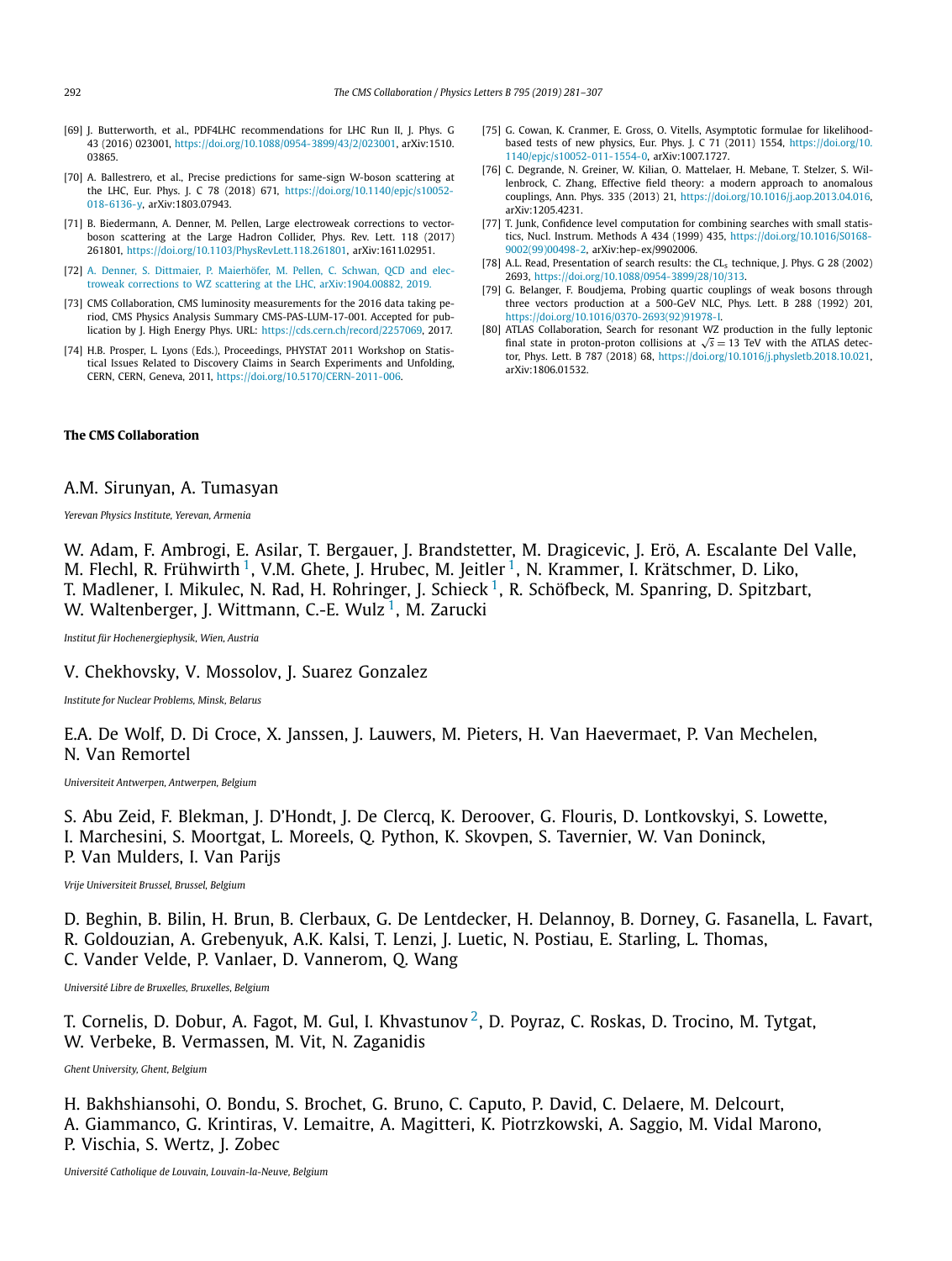- <span id="page-11-0"></span>[69] J. Butterworth, et al., PDF4LHC recommendations for LHC Run II, J. Phys. G 43 (2016) 023001, <https://doi.org/10.1088/0954-3899/43/2/023001>, arXiv:1510. 03865.
- [70] A. Ballestrero, et al., Precise predictions for same-sign W-boson scattering at the LHC, Eur. Phys. J. C 78 (2018) 671, [https://doi.org/10.1140/epjc/s10052-](https://doi.org/10.1140/epjc/s10052-018-6136-y) [018-6136-y](https://doi.org/10.1140/epjc/s10052-018-6136-y), arXiv:1803.07943.
- [71] B. Biedermann, A. Denner, M. Pellen, Large electroweak corrections to vectorboson scattering at the Large Hadron Collider, Phys. Rev. Lett. 118 (2017) 261801, [https://doi.org/10.1103/PhysRevLett.118.261801,](https://doi.org/10.1103/PhysRevLett.118.261801) arXiv:1611.02951.
- [72] A. Denner, S. Dittmaier, P. [Maierhöfer,](http://refhub.elsevier.com/S0370-2693(19)30363-6/bib44656E6E65723A32303139746D6Es1) M. Pellen, C. Schwan, OCD and electroweak corrections to WZ scattering at the LHC, [arXiv:1904.00882,](http://refhub.elsevier.com/S0370-2693(19)30363-6/bib44656E6E65723A32303139746D6Es1) 2019.
- [73] CMS Collaboration, CMS luminosity measurements for the 2016 data taking period, CMS Physics Analysis Summary CMS-PAS-LUM-17-001. Accepted for publication by J. High Energy Phys. URL: <https://cds.cern.ch/record/2257069>, 2017.
- [74] H.B. Prosper, L. Lyons (Eds.), Proceedings, PHYSTAT 2011 Workshop on Statistical Issues Related to Discovery Claims in Search Experiments and Unfolding, CERN, CERN, Geneva, 2011, <https://doi.org/10.5170/CERN-2011-006>.
- [75] G. Cowan, K. Cranmer, E. Gross, O. Vitells, Asymptotic formulae for likelihoodbased tests of new physics, Eur. Phys. J. C 71 (2011) 1554, [https://doi.org/10.](https://doi.org/10.1140/epjc/s10052-011-1554-0) [1140/epjc/s10052-011-1554-0,](https://doi.org/10.1140/epjc/s10052-011-1554-0) arXiv:1007.1727.
- [76] C. Degrande, N. Greiner, W. Kilian, O. Mattelaer, H. Mebane, T. Stelzer, S. Willenbrock, C. Zhang, Effective field theory: a modern approach to anomalous couplings, Ann. Phys. 335 (2013) 21, <https://doi.org/10.1016/j.aop.2013.04.016>, arXiv:1205.4231.
- [77] T. Junk, Confidence level computation for combining searches with small statistics, Nucl. Instrum. Methods A 434 (1999) 435, [https://doi.org/10.1016/S0168-](https://doi.org/10.1016/S0168-9002(99)00498-2) [9002\(99\)00498-2,](https://doi.org/10.1016/S0168-9002(99)00498-2) arXiv:hep-ex/9902006.
- [78] A.L. Read, Presentation of search results: the CL<sub>s</sub> technique, J. Phys. G 28 (2002) 2693, <https://doi.org/10.1088/0954-3899/28/10/313>.
- [79] G. Belanger, F. Boudjema, Probing quartic couplings of weak bosons through three vectors production at a 500-GeV NLC, Phys. Lett. B 288 (1992) 201, [https://doi.org/10.1016/0370-2693\(92\)91978- I.](https://doi.org/10.1016/0370-2693(92)91978-I)
- [80] ATLAS Collaboration, Search for resonant WZ production in the fully leptonic final state in proton-proton collisions at  $\sqrt{s} = 13$  TeV with the ATLAS detector, Phys. Lett. B 787 (2018) 68, <https://doi.org/10.1016/j.physletb.2018.10.021>, arXiv:1806.01532.

#### **The CMS Collaboration**

#### A.M. Sirunyan, A. Tumasyan

*Yerevan Physics Institute, Yerevan, Armenia*

W. Adam, F. Ambrogi, E. Asilar, T. Bergauer, J. Brandstetter, M. Dragicevic, J. Erö, A. Escalante Del Valle, M. Flechl, R. Frühwirth <sup>[1](#page-25-0)</sup>, V.M. Ghete, J. Hrubec, M. Jeitler <sup>1</sup>, N. Krammer, I. Krätschmer, D. Liko, T. Madlener, I. Mikulec, N. Rad, H. Rohringer, J. Schieck<sup>1</sup>, R. Schöfbeck, M. Spanring, D. Spitzbart, W. Waltenberger, J. Wittmann, C.-E. Wulz<sup>1</sup>, M. Zarucki

*Institut für Hochenergiephysik, Wien, Austria*

#### V. Chekhovsky, V. Mossolov, J. Suarez Gonzalez

*Institute for Nuclear Problems, Minsk, Belarus*

E.A. De Wolf, D. Di Croce, X. Janssen, J. Lauwers, M. Pieters, H. Van Haevermaet, P. Van Mechelen, N. Van Remortel

*Universiteit Antwerpen, Antwerpen, Belgium*

S. Abu Zeid, F. Blekman, J. D'Hondt, J. De Clercq, K. Deroover, G. Flouris, D. Lontkovskyi, S. Lowette, I. Marchesini, S. Moortgat, L. Moreels, Q. Python, K. Skovpen, S. Tavernier, W. Van Doninck, P. Van Mulders, I. Van Parijs

*Vrije Universiteit Brussel, Brussel, Belgium*

D. Beghin, B. Bilin, H. Brun, B. Clerbaux, G. De Lentdecker, H. Delannoy, B. Dorney, G. Fasanella, L. Favart, R. Goldouzian, A. Grebenyuk, A.K. Kalsi, T. Lenzi, J. Luetic, N. Postiau, E. Starling, L. Thomas, C. Vander Velde, P. Vanlaer, D. Vannerom, Q. Wang

*Université Libre de Bruxelles, Bruxelles, Belgium*

T. Cornelis, D. Dobur, A. Fagot, M. Gul, I. Khvastunov<sup>2</sup>, D. Poyraz, C. Roskas, D. Trocino, M. Tytgat, W. Verbeke, B. Vermassen, M. Vit, N. Zaganidis

*Ghent University, Ghent, Belgium*

H. Bakhshiansohi, O. Bondu, S. Brochet, G. Bruno, C. Caputo, P. David, C. Delaere, M. Delcourt, A. Giammanco, G. Krintiras, V. Lemaitre, A. Magitteri, K. Piotrzkowski, A. Saggio, M. Vidal Marono, P. Vischia, S. Wertz, J. Zobec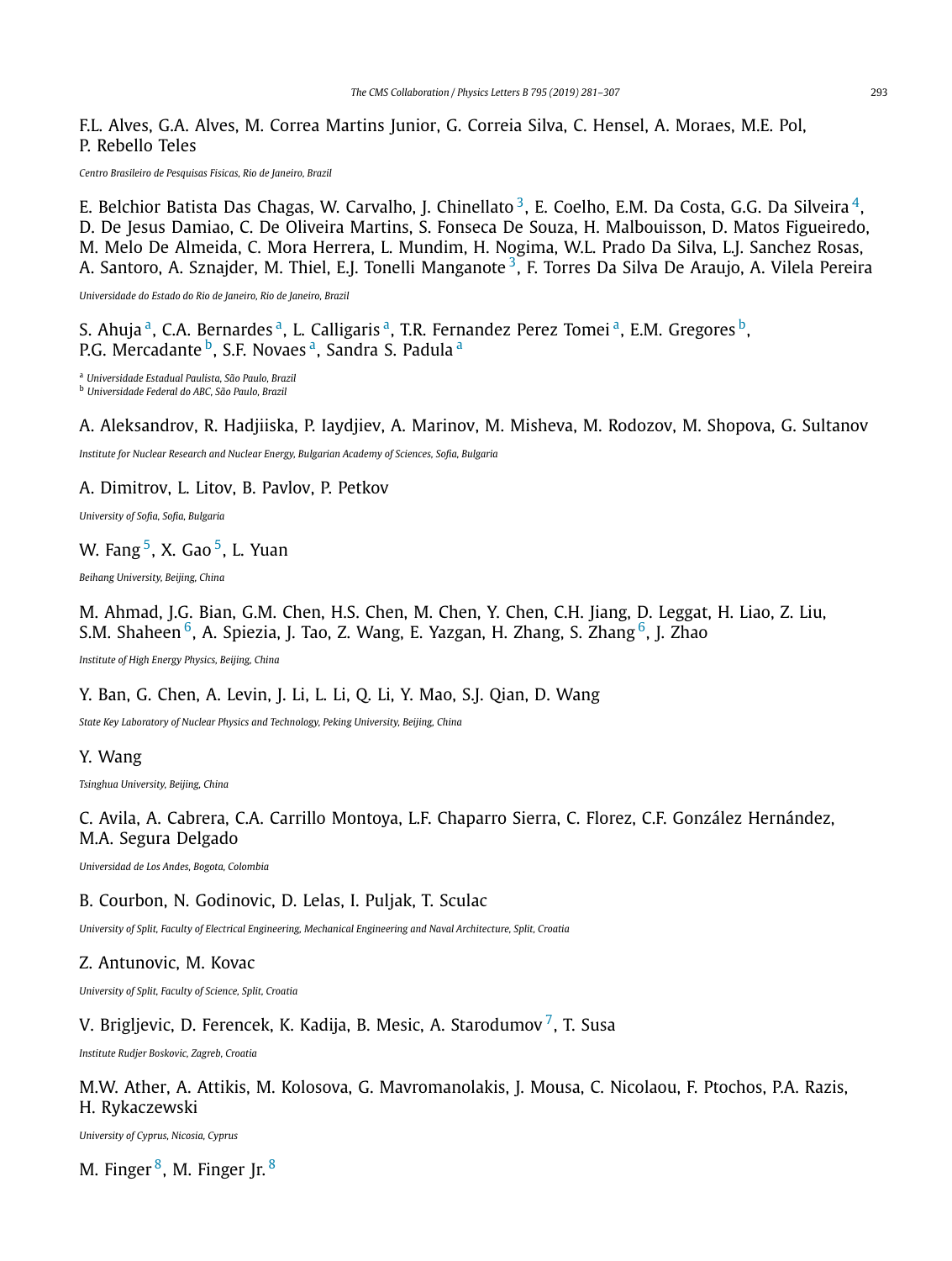## F.L. Alves, G.A. Alves, M. Correa Martins Junior, G. Correia Silva, C. Hensel, A. Moraes, M.E. Pol, P. Rebello Teles

*Centro Brasileiro de Pesquisas Fisicas, Rio de Janeiro, Brazil*

E. Belchior Batista Das Chagas, W. Carvalho, J. Chinellato<sup>[3](#page-25-0)</sup>, E. Coelho, E.M. Da Costa, G.G. Da Silveira<sup>4</sup>, D. De Jesus Damiao, C. De Oliveira Martins, S. Fonseca De Souza, H. Malbouisson, D. Matos Figueiredo, M. Melo De Almeida, C. Mora Herrera, L. Mundim, H. Nogima, W.L. Prado Da Silva, L.J. Sanchez Rosas, A. Santoro, A. Sznajder, M. Thiel, E.J. Tonelli Manganote<sup>[3](#page-25-0)</sup>, F. Torres Da Silva De Araujo, A. Vilela Pereira

*Universidade do Estado do Rio de Janeiro, Rio de Janeiro, Brazil*

S. Ahuja<sup>a</sup>, C.A. Bernardes<sup>a</sup>, L. Calligaris<sup>a</sup>, T.R. Fernandez Perez Tomei<sup>a</sup>, E.M. Gregores<sup>b</sup>, P.G. Mercadante <sup>b</sup>, S.F. Novaes <sup>a</sup>, Sandra S. Padula <sup>a</sup>

<sup>a</sup> *Universidade Estadual Paulista, São Paulo, Brazil*

<sup>b</sup> *Universidade Federal do ABC, São Paulo, Brazil*

A. Aleksandrov, R. Hadjiiska, P. Iaydjiev, A. Marinov, M. Misheva, M. Rodozov, M. Shopova, G. Sultanov

*Institute for Nuclear Research and Nuclear Energy, Bulgarian Academy of Sciences, Sofia, Bulgaria*

### A. Dimitrov, L. Litov, B. Pavlov, P. Petkov

*University of Sofia, Sofia, Bulgaria*

## W. Fang  $^5$ , X. Gao  $^5$ , L. Yuan

*Beihang University, Beijing, China*

M. Ahmad, J.G. Bian, G.M. Chen, H.S. Chen, M. Chen, Y. Chen, C.H. Jiang, D. Leggat, H. Liao, Z. Liu, S.M. Shaheen  $^6$ , A. Spiezia, J. Tao, Z. Wang, E. Yazgan, H. Zhang, S. Zhang  $^6$ , J. Zhao

*Institute of High Energy Physics, Beijing, China*

### Y. Ban, G. Chen, A. Levin, J. Li, L. Li, Q. Li, Y. Mao, S.J. Qian, D. Wang

*State Key Laboratory of Nuclear Physics and Technology, Peking University, Beijing, China*

#### Y. Wang

*Tsinghua University, Beijing, China*

## C. Avila, A. Cabrera, C.A. Carrillo Montoya, L.F. Chaparro Sierra, C. Florez, C.F. González Hernández, M.A. Segura Delgado

*Universidad de Los Andes, Bogota, Colombia*

### B. Courbon, N. Godinovic, D. Lelas, I. Puljak, T. Sculac

*University of Split, Faculty of Electrical Engineering, Mechanical Engineering and Naval Architecture, Split, Croatia*

#### Z. Antunovic, M. Kovac

*University of Split, Faculty of Science, Split, Croatia*

## V. Brigljevic, D. Ferencek, K. Kadija, B. Mesic, A. Starodumov<sup>7</sup>, T. Susa

*Institute Rudjer Boskovic, Zagreb, Croatia*

## M.W. Ather, A. Attikis, M. Kolosova, G. Mavromanolakis, J. Mousa, C. Nicolaou, F. Ptochos, P.A. Razis, H. Rykaczewski

*University of Cyprus, Nicosia, Cyprus*

M. Finger  $\frac{8}{3}$  $\frac{8}{3}$  $\frac{8}{3}$ , M. Finger Jr.  $\frac{8}{3}$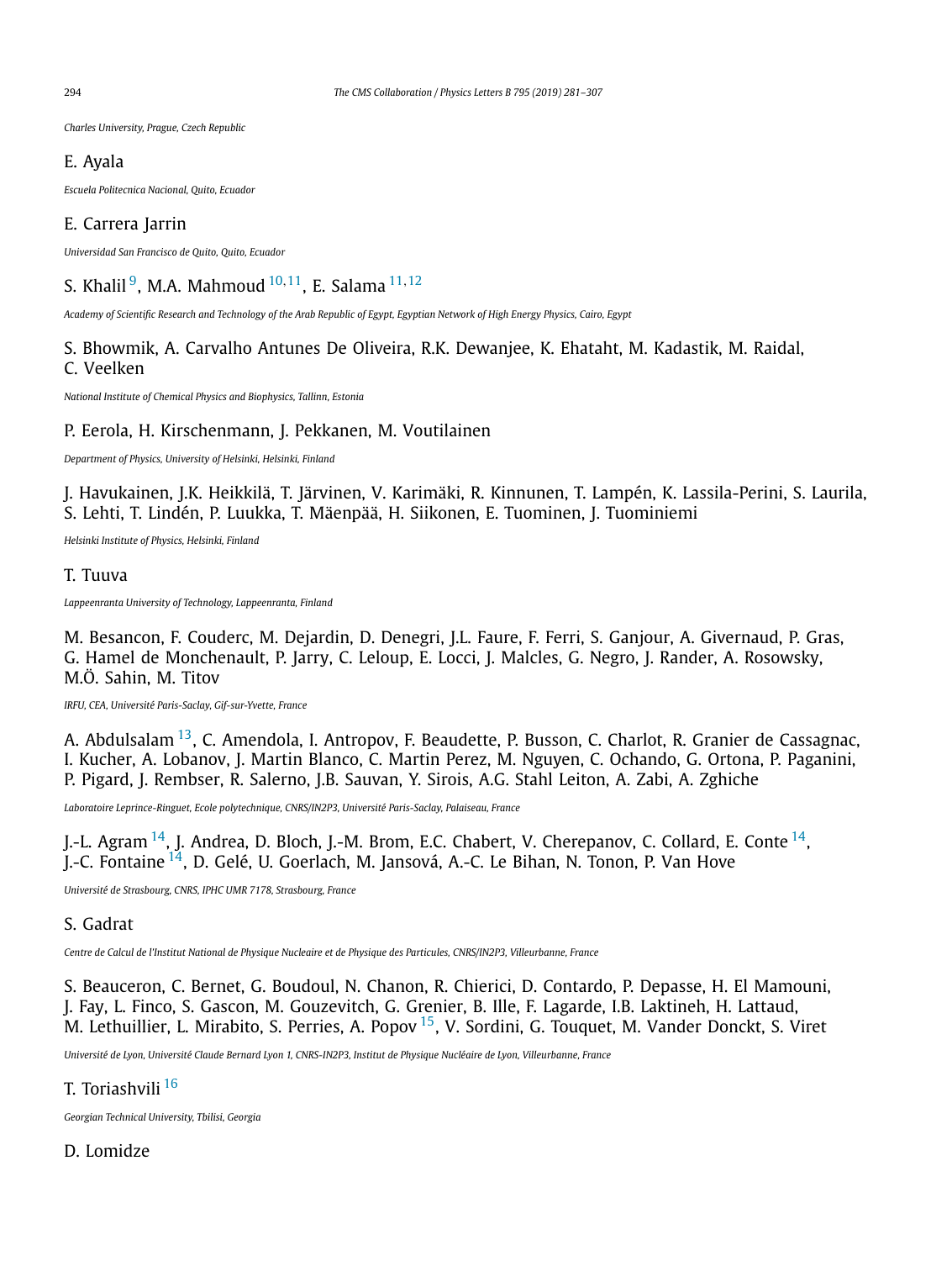*Charles University, Prague, Czech Republic*

#### E. Ayala

*Escuela Politecnica Nacional, Quito, Ecuador*

## E. Carrera Jarrin

*Universidad San Francisco de Quito, Quito, Ecuador*

## S. Khalil [9,](#page-25-0) M.A. Mahmoud [10](#page-25-0)*,*[11,](#page-26-0) E. Salama [11](#page-26-0)*,*[12](#page-26-0)

Academy of Scientific Research and Technology of the Arab Republic of Egypt. Egyptian Network of High Energy Physics. Cairo, Egypt

## S. Bhowmik, A. Carvalho Antunes De Oliveira, R.K. Dewanjee, K. Ehataht, M. Kadastik, M. Raidal, C. Veelken

*National Institute of Chemical Physics and Biophysics, Tallinn, Estonia*

### P. Eerola, H. Kirschenmann, J. Pekkanen, M. Voutilainen

*Department of Physics, University of Helsinki, Helsinki, Finland*

J. Havukainen, J.K. Heikkilä, T. Järvinen, V. Karimäki, R. Kinnunen, T. Lampén, K. Lassila-Perini, S. Laurila, S. Lehti, T. Lindén, P. Luukka, T. Mäenpää, H. Siikonen, E. Tuominen, J. Tuominiemi

*Helsinki Institute of Physics, Helsinki, Finland*

#### T. Tuuva

*Lappeenranta University of Technology, Lappeenranta, Finland*

M. Besancon, F. Couderc, M. Dejardin, D. Denegri, J.L. Faure, F. Ferri, S. Ganjour, A. Givernaud, P. Gras, G. Hamel de Monchenault, P. Jarry, C. Leloup, E. Locci, J. Malcles, G. Negro, J. Rander, A. Rosowsky, M.Ö. Sahin, M. Titov

*IRFU, CEA, Université Paris-Saclay, Gif-sur-Yvette, France*

A. Abdulsalam [13,](#page-26-0) C. Amendola, I. Antropov, F. Beaudette, P. Busson, C. Charlot, R. Granier de Cassagnac, I. Kucher, A. Lobanov, J. Martin Blanco, C. Martin Perez, M. Nguyen, C. Ochando, G. Ortona, P. Paganini, P. Pigard, J. Rembser, R. Salerno, J.B. Sauvan, Y. Sirois, A.G. Stahl Leiton, A. Zabi, A. Zghiche

*Laboratoire Leprince-Ringuet, Ecole polytechnique, CNRS/IN2P3, Université Paris-Saclay, Palaiseau, France*

J.-L. Agram  $^{14}$ , J. Andrea, D. Bloch, J.-M. Brom, E.C. Chabert, V. Cherepanov, C. Collard, E. Conte  $^{14}$ , J.-C. Fontaine <sup>14</sup>, D. Gelé, U. Goerlach, M. Jansová, A.-C. Le Bihan, N. Tonon, P. Van Hove

*Université de Strasbourg, CNRS, IPHC UMR 7178, Strasbourg, France*

### S. Gadrat

Centre de Calcul de l'Institut National de Physique Nucleaire et de Physique des Particules, CNRS/IN2P3, Villeurbanne, France

S. Beauceron, C. Bernet, G. Boudoul, N. Chanon, R. Chierici, D. Contardo, P. Depasse, H. El Mamouni, J. Fay, L. Finco, S. Gascon, M. Gouzevitch, G. Grenier, B. Ille, F. Lagarde, I.B. Laktineh, H. Lattaud, M. Lethuillier, L. Mirabito, S. Perries, A. Popov <sup>15</sup>, V. Sordini, G. Touquet, M. Vander Donckt, S. Viret

Université de Lyon, Université Claude Bernard Lyon 1, CNRS-IN2P3, Institut de Physique Nucléaire de Lyon, Villeurbanne, France

## T. Toriashvili [16](#page-26-0)

*Georgian Technical University, Tbilisi, Georgia*

## D. Lomidze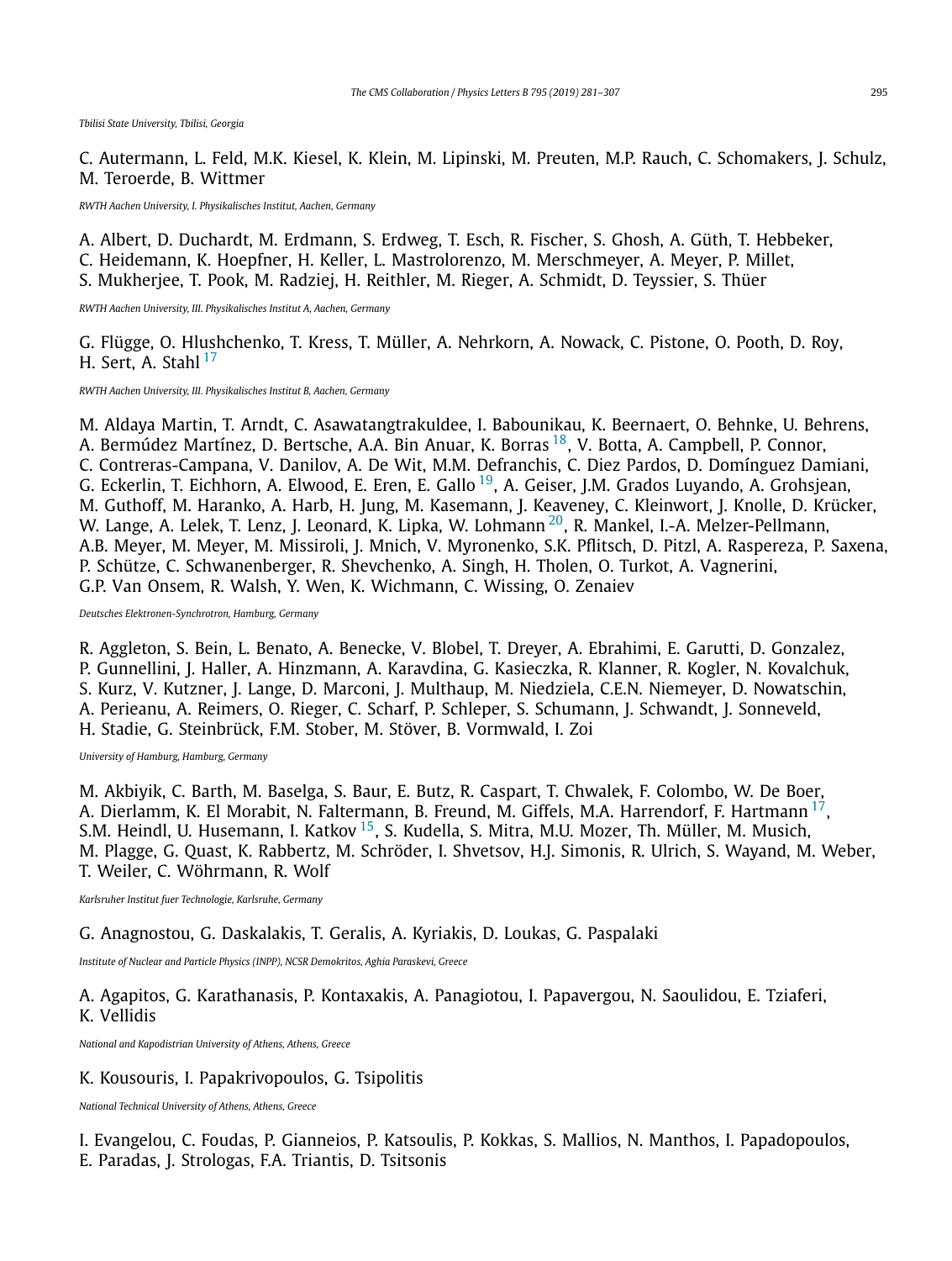C. Autermann, L. Feld, M.K. Kiesel, K. Klein, M. Lipinski, M. Preuten, M.P. Rauch, C. Schomakers, J. Schulz, M. Teroerde, B. Wittmer

*RWTH Aachen University, I. Physikalisches Institut, Aachen, Germany*

A. Albert, D. Duchardt, M. Erdmann, S. Erdweg, T. Esch, R. Fischer, S. Ghosh, A. Güth, T. Hebbeker, C. Heidemann, K. Hoepfner, H. Keller, L. Mastrolorenzo, M. Merschmeyer, A. Meyer, P. Millet, S. Mukherjee, T. Pook, M. Radziej, H. Reithler, M. Rieger, A. Schmidt, D. Teyssier, S. Thüer

*RWTH Aachen University, III. Physikalisches Institut A, Aachen, Germany*

G. Flügge, O. Hlushchenko, T. Kress, T. Müller, A. Nehrkorn, A. Nowack, C. Pistone, O. Pooth, D. Roy, H. Sert, A. Stahl $17$ 

*RWTH Aachen University, III. Physikalisches Institut B, Aachen, Germany*

M. Aldaya Martin, T. Arndt, C. Asawatangtrakuldee, I. Babounikau, K. Beernaert, O. Behnke, U. Behrens, A. Bermúdez Martínez, D. Bertsche, A.A. Bin Anuar, K. Borras [18,](#page-26-0) V. Botta, A. Campbell, P. Connor, C. Contreras-Campana, V. Danilov, A. De Wit, M.M. Defranchis, C. Diez Pardos, D. Domínguez Damiani, G. Eckerlin, T. Eichhorn, A. Elwood, E. Eren, E. Gallo<sup>19</sup>, A. Geiser, J.M. Grados Luyando, A. Grohsjean, M. Guthoff, M. Haranko, A. Harb, H. Jung, M. Kasemann, J. Keaveney, C. Kleinwort, J. Knolle, D. Krücker, W. Lange, A. Lelek, T. Lenz, J. Leonard, K. Lipka, W. Lohmann [20,](#page-26-0) R. Mankel, I.-A. Melzer-Pellmann, A.B. Meyer, M. Meyer, M. Missiroli, J. Mnich, V. Myronenko, S.K. Pflitsch, D. Pitzl, A. Raspereza, P. Saxena, P. Schütze, C. Schwanenberger, R. Shevchenko, A. Singh, H. Tholen, O. Turkot, A. Vagnerini, G.P. Van Onsem, R. Walsh, Y. Wen, K. Wichmann, C. Wissing, O. Zenaiev

*Deutsches Elektronen-Synchrotron, Hamburg, Germany*

R. Aggleton, S. Bein, L. Benato, A. Benecke, V. Blobel, T. Dreyer, A. Ebrahimi, E. Garutti, D. Gonzalez, P. Gunnellini, J. Haller, A. Hinzmann, A. Karavdina, G. Kasieczka, R. Klanner, R. Kogler, N. Kovalchuk, S. Kurz, V. Kutzner, J. Lange, D. Marconi, J. Multhaup, M. Niedziela, C.E.N. Niemeyer, D. Nowatschin, A. Perieanu, A. Reimers, O. Rieger, C. Scharf, P. Schleper, S. Schumann, J. Schwandt, J. Sonneveld, H. Stadie, G. Steinbrück, F.M. Stober, M. Stöver, B. Vormwald, I. Zoi

*University of Hamburg, Hamburg, Germany*

M. Akbiyik, C. Barth, M. Baselga, S. Baur, E. Butz, R. Caspart, T. Chwalek, F. Colombo, W. De Boer, A. Dierlamm, K. El Morabit, N. Faltermann, B. Freund, M. Giffels, M.A. Harrendorf, F. Hartmann [17,](#page-26-0) S.M. Heindl, U. Husemann, I. Katkov <sup>15</sup>, S. Kudella, S. Mitra, M.U. Mozer, Th. Müller, M. Musich, M. Plagge, G. Quast, K. Rabbertz, M. Schröder, I. Shvetsov, H.J. Simonis, R. Ulrich, S. Wayand, M. Weber, T. Weiler, C. Wöhrmann, R. Wolf

*Karlsruher Institut fuer Technologie, Karlsruhe, Germany*

G. Anagnostou, G. Daskalakis, T. Geralis, A. Kyriakis, D. Loukas, G. Paspalaki

*Institute of Nuclear and Particle Physics (INPP), NCSR Demokritos, Aghia Paraskevi, Greece*

### A. Agapitos, G. Karathanasis, P. Kontaxakis, A. Panagiotou, I. Papavergou, N. Saoulidou, E. Tziaferi, K. Vellidis

*National and Kapodistrian University of Athens, Athens, Greece*

### K. Kousouris, I. Papakrivopoulos, G. Tsipolitis

*National Technical University of Athens, Athens, Greece*

I. Evangelou, C. Foudas, P. Gianneios, P. Katsoulis, P. Kokkas, S. Mallios, N. Manthos, I. Papadopoulos, E. Paradas, J. Strologas, F.A. Triantis, D. Tsitsonis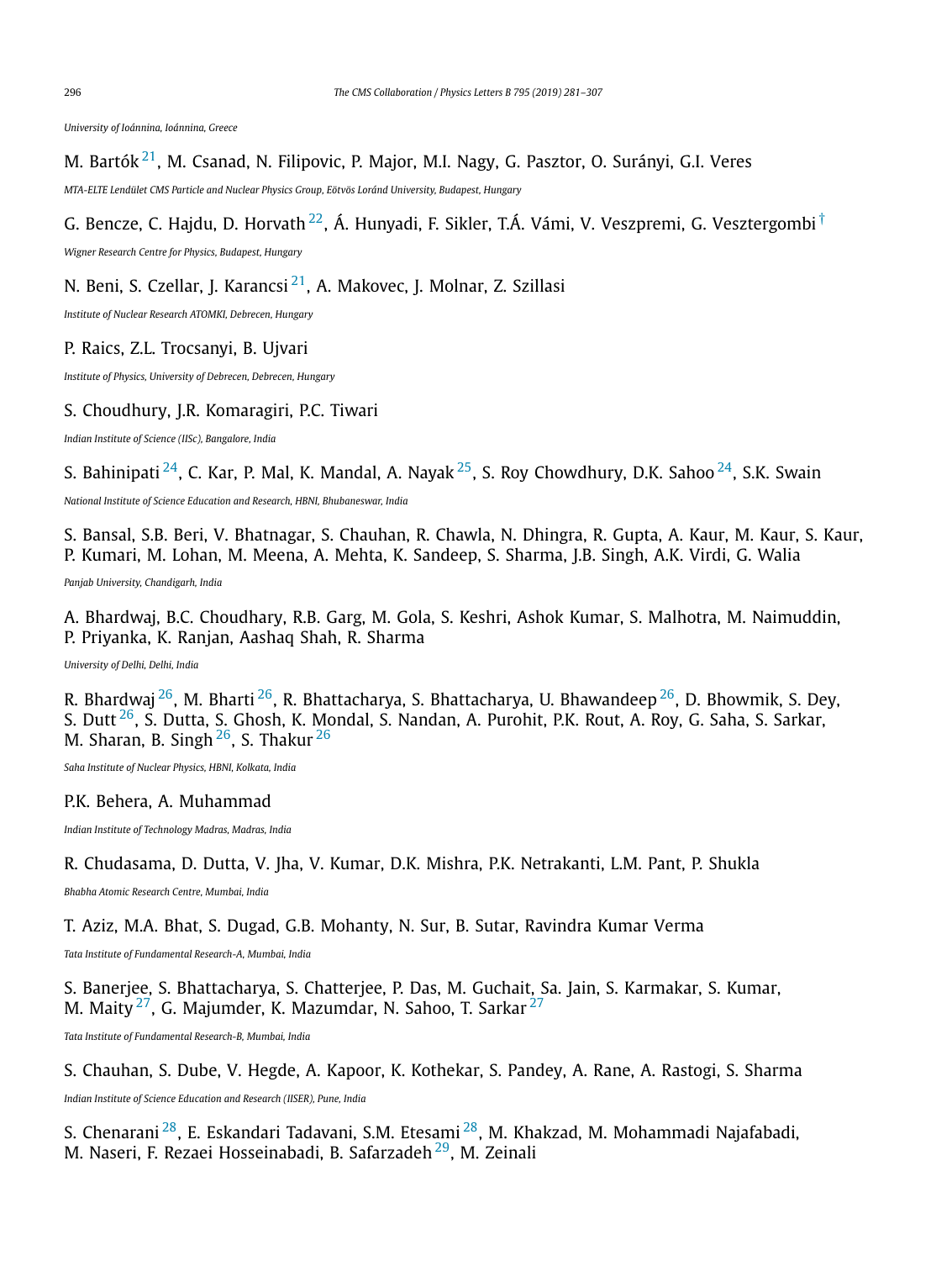*University of Ioánnina, Ioánnina, Greece*

## M. Bartók [21,](#page-26-0) M. Csanad, N. Filipovic, P. Major, M.I. Nagy, G. Pasztor, O. Surányi, G.I. Veres

*MTA-ELTE Lendület CMS Particle and Nuclear Physics Group, Eötvös Loránd University, Budapest, Hungary*

## G. Bencze, C. Hajdu, D. Horvath  $^{22}$ , Á. Hunyadi, F. Sikler, T.Á. Vámi, V. Veszpremi, G. Vesztergombi  $^{\dagger}$

*Wigner Research Centre for Physics, Budapest, Hungary*

## N. Beni, S. Czellar, J. Karancsi [21,](#page-26-0) A. Makovec, J. Molnar, Z. Szillasi

*Institute of Nuclear Research ATOMKI, Debrecen, Hungary*

### P. Raics, Z.L. Trocsanyi, B. Ujvari

*Institute of Physics, University of Debrecen, Debrecen, Hungary*

## S. Choudhury, J.R. Komaragiri, P.C. Tiwari

*Indian Institute of Science (IISc), Bangalore, India*

S. Bahinipati  $^{24}$ , C. Kar, P. Mal, K. Mandal, A. Nayak  $^{25}$ , S. Roy Chowdhury, D.K. Sahoo  $^{24}$ , S.K. Swain

*National Institute of Science Education and Research, HBNI, Bhubaneswar, India*

S. Bansal, S.B. Beri, V. Bhatnagar, S. Chauhan, R. Chawla, N. Dhingra, R. Gupta, A. Kaur, M. Kaur, S. Kaur, P. Kumari, M. Lohan, M. Meena, A. Mehta, K. Sandeep, S. Sharma, J.B. Singh, A.K. Virdi, G. Walia

*Panjab University, Chandigarh, India*

A. Bhardwaj, B.C. Choudhary, R.B. Garg, M. Gola, S. Keshri, Ashok Kumar, S. Malhotra, M. Naimuddin, P. Priyanka, K. Ranjan, Aashaq Shah, R. Sharma

*University of Delhi, Delhi, India*

R. Bhardwaj [26,](#page-26-0) M. Bharti [26,](#page-26-0) R. Bhattacharya, S. Bhattacharya, U. Bhawandeep [26,](#page-26-0) D. Bhowmik, S. Dey, S. Dutt<sup>26</sup>, S. Dutta, S. Ghosh, K. Mondal, S. Nandan, A. Purohit, P.K. Rout, A. Roy, G. Saha, S. Sarkar, M. Sharan, B. Singh  $^{26}$  $^{26}$  $^{26}$ , S. Thakur  $^{26}$ 

*Saha Institute of Nuclear Physics, HBNI, Kolkata, India*

P.K. Behera, A. Muhammad

*Indian Institute of Technology Madras, Madras, India*

R. Chudasama, D. Dutta, V. Jha, V. Kumar, D.K. Mishra, P.K. Netrakanti, L.M. Pant, P. Shukla

*Bhabha Atomic Research Centre, Mumbai, India*

T. Aziz, M.A. Bhat, S. Dugad, G.B. Mohanty, N. Sur, B. Sutar, Ravindra Kumar Verma

*Tata Institute of Fundamental Research-A, Mumbai, India*

S. Banerjee, S. Bhattacharya, S. Chatterjee, P. Das, M. Guchait, Sa. Jain, S. Karmakar, S. Kumar, M. Maity<sup>[27](#page-26-0)</sup>, G. Majumder, K. Mazumdar, N. Sahoo, T. Sarkar<sup>27</sup>

*Tata Institute of Fundamental Research-B, Mumbai, India*

S. Chauhan, S. Dube, V. Hegde, A. Kapoor, K. Kothekar, S. Pandey, A. Rane, A. Rastogi, S. Sharma

*Indian Institute of Science Education and Research (IISER), Pune, India*

S. Chenarani [28,](#page-26-0) E. Eskandari Tadavani, S.M. Etesami [28,](#page-26-0) M. Khakzad, M. Mohammadi Najafabadi, M. Naseri, F. Rezaei Hosseinabadi, B. Safarzadeh [29,](#page-26-0) M. Zeinali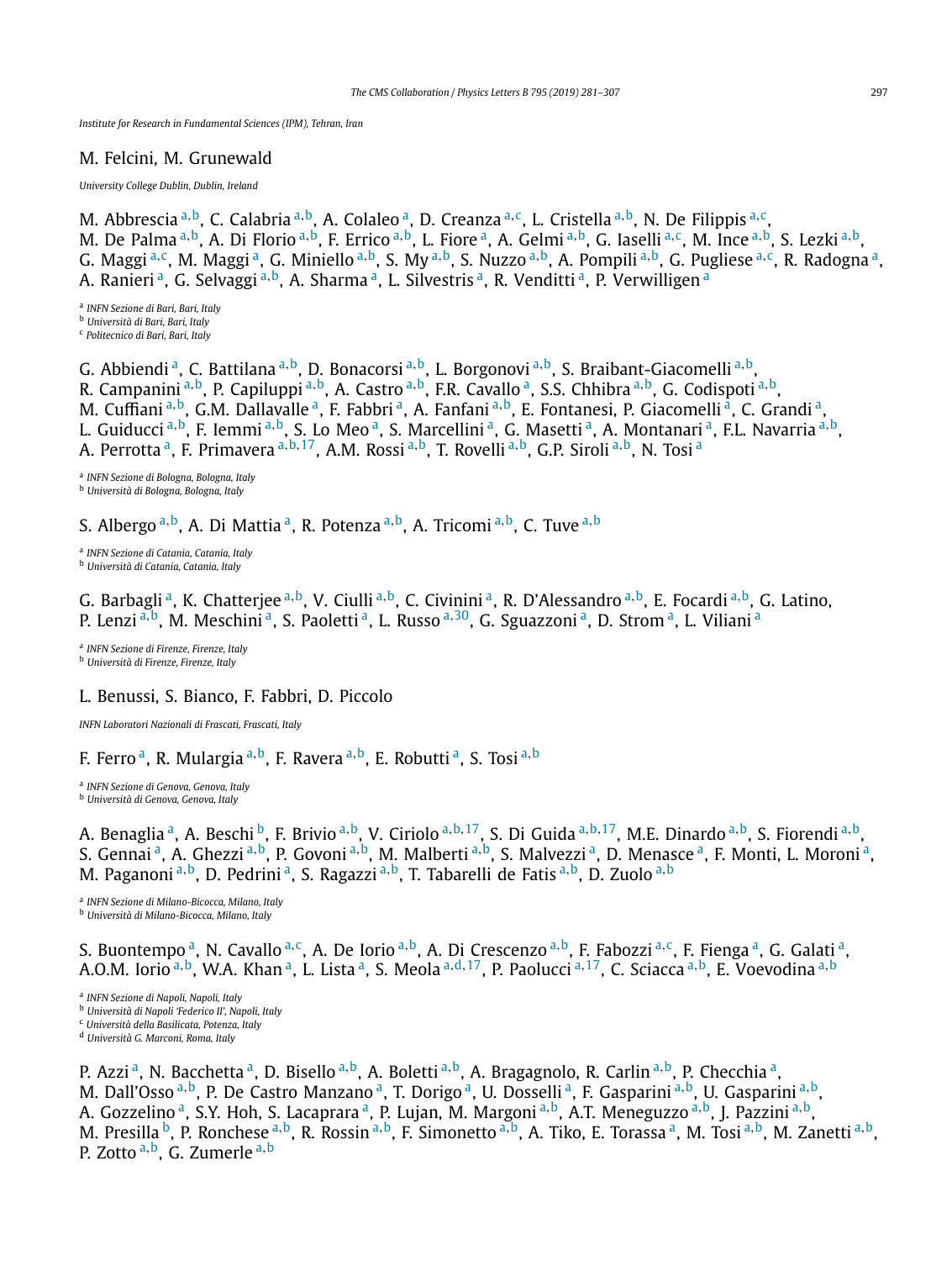*Institute for Research in Fundamental Sciences (IPM), Tehran, Iran*

### M. Felcini, M. Grunewald

*University College Dublin, Dublin, Ireland*

```
M. Abbrescia a,b, C. Calabria a,b, A. Colaleo a, D. Creanza a,c, L. Cristella a,b, N. De Filippis a,c,
M. De Palma a,b, A. Di Florio a,b, F. Errico a,b, L. Fiore a, A. Gelmi a,b, G. Iaselli a,c, M. Ince a,b, S. Lezki a,b,
G. Maggi a,c, M. Maggi a, G. Miniello a,b, S. My a,b, S. Nuzzo a,b, A. Pompili a,b, G. Pugliese a,c, R. Radogna a,
A. Ranieri<sup>a</sup>, G. Selvaggi<sup>a, b</sup>. A. Sharma<sup>a</sup>, L. Silvestris<sup>a</sup>, R. Venditti<sup>a</sup>, P. Verwilligen a
```
<sup>a</sup> *INFN Sezione di Bari, Bari, Italy*

<sup>b</sup> *Università di Bari, Bari, Italy* <sup>c</sup> *Politecnico di Bari, Bari, Italy*

G. Abbiendi a, C. Battilana <sup>a</sup>*,*b, D. Bonacorsi <sup>a</sup>*,*b, L. Borgonovi <sup>a</sup>*,*b, S. Braibant-Giacomelli <sup>a</sup>*,*b, R. Campanini <sup>a</sup>*,*b, P. Capiluppi <sup>a</sup>*,*b, A. Castro <sup>a</sup>*,*b, F.R. Cavallo a, S.S. Chhibra <sup>a</sup>*,*b, G. Codispoti <sup>a</sup>*,*b, M. Cuffiani<sup>a,b</sup>, G.M. Dallavalle<sup>a</sup>, F. Fabbri<sup>a</sup>, A. Fanfani<sup>a,b</sup>, E. Fontanesi, P. Giacomelli<sup>a</sup>, C. Grandi<sup>a</sup>, L. Guiducci <sup>a,b</sup>, F. Iemmi <sup>a,b</sup>, S. Lo Meo <sup>a</sup>, S. Marcellini <sup>a</sup>, G. Masetti <sup>a</sup>, A. Montanari <sup>a</sup>, F.L. Navarria <sup>a,b</sup>, A. Perrotta a, F. Primavera <sup>a</sup>*,*b*,*[17,](#page-26-0) A.M. Rossi <sup>a</sup>*,*b, T. Rovelli <sup>a</sup>*,*b, G.P. Siroli <sup>a</sup>*,*b, N. Tosi <sup>a</sup>

<sup>a</sup> *INFN Sezione di Bologna, Bologna, Italy* <sup>b</sup> *Università di Bologna, Bologna, Italy*

## S. Albergo <sup>a</sup>*,*b, A. Di Mattia a, R. Potenza <sup>a</sup>*,*b, A. Tricomi <sup>a</sup>*,*b, C. Tuve <sup>a</sup>*,*<sup>b</sup>

<sup>a</sup> *INFN Sezione di Catania, Catania, Italy*

<sup>b</sup> *Università di Catania, Catania, Italy*

G. Barbagli a, K. Chatterjee <sup>a</sup>*,*b, V. Ciulli <sup>a</sup>*,*b, C. Civinini a, R. D'Alessandro <sup>a</sup>*,*b, E. Focardi <sup>a</sup>*,*b, G. Latino, P. Lenzi a, b, M. Meschini<sup>a</sup>, S. Paoletti<sup>a</sup>, L. Russo<sup>a, 30</sup>, G. Sguazzoni<sup>a</sup>, D. Strom<sup>a</sup>, L. Viliani<sup>a</sup>

<sup>a</sup> *INFN Sezione di Firenze, Firenze, Italy* <sup>b</sup> *Università di Firenze, Firenze, Italy*

#### L. Benussi, S. Bianco, F. Fabbri, D. Piccolo

*INFN Laboratori Nazionali di Frascati, Frascati, Italy*

F. Ferro a, R. Mulargia <sup>a</sup>*,*b, F. Ravera <sup>a</sup>*,*b, E. Robutti a, S. Tosi <sup>a</sup>*,*<sup>b</sup>

<sup>a</sup> *INFN Sezione di Genova, Genova, Italy* <sup>b</sup> *Università di Genova, Genova, Italy*

A. Benaglia a, A. Beschi b, F. Brivio <sup>a</sup>*,*b, V. Ciriolo <sup>a</sup>*,*b*,*[17,](#page-26-0) S. Di Guida <sup>a</sup>*,*b*,*[17,](#page-26-0) M.E. Dinardo <sup>a</sup>*,*b, S. Fiorendi <sup>a</sup>*,*b, S. Gennai<sup>a</sup>, A. Ghezzi<sup>a,b</sup>, P. Govoni<sup>a,b</sup>, M. Malberti<sup>a,b</sup>, S. Malvezzi<sup>a</sup>, D. Menasce<sup>a</sup>, F. Monti, L. Moroni<sup>a</sup>, M. Paganoni <sup>a</sup>*,*b, D. Pedrini a, S. Ragazzi <sup>a</sup>*,*b, T. Tabarelli de Fatis <sup>a</sup>*,*b, D. Zuolo <sup>a</sup>*,*<sup>b</sup>

<sup>a</sup> *INFN Sezione di Milano-Bicocca, Milano, Italy* <sup>b</sup> *Università di Milano-Bicocca, Milano, Italy*

S. Buontempo<sup>a</sup>, N. Cavallo<sup>a, c</sup>, A. De Iorio<sup>a, b</sup>, A. Di Crescenzo<sup>a, b</sup>, F. Fabozzi<sup>a, c</sup>, F. Fienga<sup>a</sup>, G. Galati<sup>a</sup>, A.O.M. Iorio <sup>a</sup>*,*b, W.A. Khan a, L. Lista a, S. Meola <sup>a</sup>*,*d*,*[17,](#page-26-0) P. Paolucci <sup>a</sup>*,*[17](#page-26-0), C. Sciacca <sup>a</sup>*,*b, E. Voevodina <sup>a</sup>*,*<sup>b</sup>

<sup>a</sup> *INFN Sezione di Napoli, Napoli, Italy*

<sup>b</sup> *Università di Napoli 'Federico II', Napoli, Italy*

<sup>c</sup> *Università della Basilicata, Potenza, Italy*

<sup>d</sup> *Università G. Marconi, Roma, Italy*

P. Azzi a, N. Bacchetta a, D. Bisello <sup>a</sup>*,*[b,](#page-17-0) A. Boletti <sup>a</sup>*,*[b,](#page-17-0) A. Bragagnolo, R. Carlin <sup>a</sup>*,*[b](#page-17-0), P. Checchia a, M. Dall'Osso a, [b,](#page-17-0) P. De Castro Manzano <sup>a</sup>, T. Dorigo <sup>a</sup>, U. Dosselli <sup>a</sup>, F. Gasparini a, b, U. Gasparini a, b, A. Gozzelino a, S.Y. Hoh, S. Lacaprara a, P. Lujan, M. Margoni <sup>a</sup>*,*[b,](#page-17-0) A.T. Meneguzzo <sup>a</sup>*,*[b,](#page-17-0) J. Pazzini <sup>a</sup>*,*[b,](#page-17-0) M. Presilla [b,](#page-17-0) P. Ronchese <sup>a</sup>*,*[b,](#page-17-0) R. Rossin <sup>a</sup>*,*[b,](#page-17-0) F. Simonetto <sup>a</sup>*,*[b,](#page-17-0) A. Tiko, E. Torassa a, M. Tosi <sup>a</sup>*,*[b,](#page-17-0) M. Zanetti <sup>a</sup>*,*[b,](#page-17-0) P. Zotto <sup>a</sup>*,*[b,](#page-17-0) G. Zumerle <sup>a</sup>*,*[b](#page-17-0)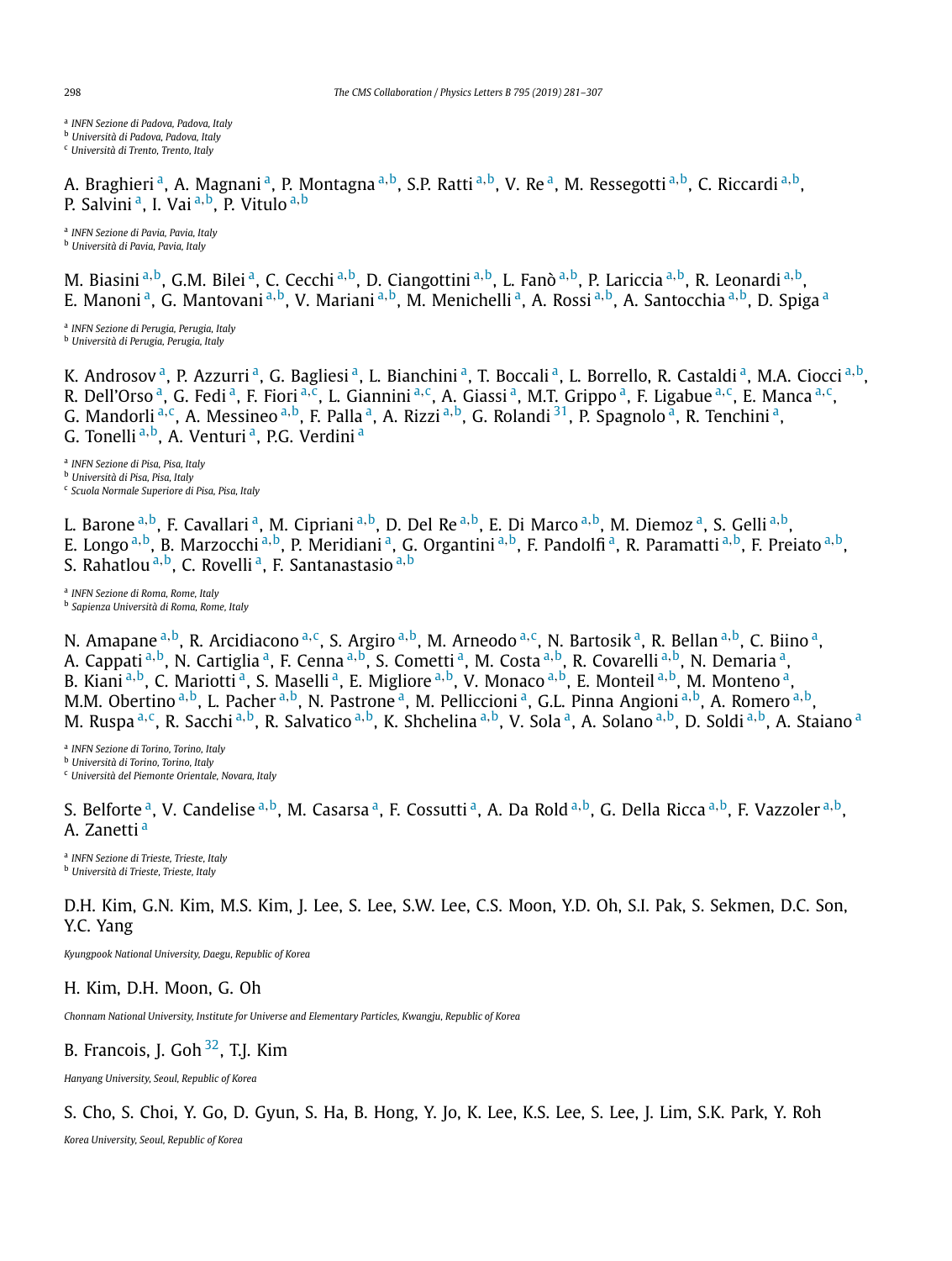<span id="page-17-0"></span><sup>a</sup> *INFN Sezione di Padova, Padova, Italy* <sup>b</sup> *Università di Padova, Padova, Italy* <sup>c</sup> *Università di Trento, Trento, Italy*

A. Braghieri a, A. Magnani a, P. Montagna <sup>a</sup>*,*b, S.P. Ratti <sup>a</sup>*,*b, V. Re a, M. Ressegotti <sup>a</sup>*,*b, C. Riccardi <sup>a</sup>*,*b, P. Salvini a, I. Vai <sup>a</sup>*,*b, P. Vitulo <sup>a</sup>*,*<sup>b</sup>

<sup>a</sup> *INFN Sezione di Pavia, Pavia, Italy* <sup>b</sup> *Università di Pavia, Pavia, Italy*

M. Biasini <sup>a</sup>*,*b, G.M. Bilei a, C. Cecchi <sup>a</sup>*,*b, D. Ciangottini <sup>a</sup>*,*b, L. Fanò <sup>a</sup>*,*b, P. Lariccia <sup>a</sup>*,*b, R. Leonardi <sup>a</sup>*,*b, E. Manoni<sup>a</sup>, G. Mantovani<sup>a,b</sup>, V. Mariani<sup>a,b</sup>, M. Menichelli<sup>a</sup>, A. Rossi<sup>a,b</sup>, A. Santocchia <sup>a,b</sup>, D. Spiga <sup>a</sup>

<sup>a</sup> *INFN Sezione di Perugia, Perugia, Italy* <sup>b</sup> *Università di Perugia, Perugia, Italy*

K. Androsov<sup>a</sup>, P. Azzurri<sup>a</sup>, G. Bagliesi<sup>a</sup>, L. Bianchini<sup>a</sup>, T. Boccali<sup>a</sup>, L. Borrello, R. Castaldi<sup>a</sup>, M.A. Ciocci<sup>a,b</sup>, R. Dell'Orso a, G. Fedi a, F. Fiori <sup>a</sup>*,*c, L. Giannini <sup>a</sup>*,*c, A. Giassi a, M.T. Grippo a, F. Ligabue <sup>a</sup>*,*c, E. Manca <sup>a</sup>*,*c, G. Mandorli <sup>a</sup>*,*c, A. Messineo <sup>a</sup>*,*b, F. Palla a, A. Rizzi <sup>a</sup>*,*b, G. Rolandi [31,](#page-26-0) P. Spagnolo a, R. Tenchini a, G. Tonelli a, <sup>b</sup>, A. Venturi<sup>a</sup>, P.G. Verdini<sup>a</sup>

<sup>a</sup> *INFN Sezione di Pisa, Pisa, Italy* <sup>b</sup> *Università di Pisa, Pisa, Italy* <sup>c</sup> *Scuola Normale Superiore di Pisa, Pisa, Italy*

L. Barone a,b, F. Cavallari <sup>a</sup>, M. Cipriani <sup>a, b</sup>, D. Del Re <sup>a, b</sup>, E. Di Marco <sup>a, b</sup>, M. Diemoz <sup>a</sup>, S. Gelli <sup>a, b</sup>, E. Longo <sup>a</sup>*,*b, B. Marzocchi <sup>a</sup>*,*b, P. Meridiani a, G. Organtini <sup>a</sup>*,*b, F. Pandolfi a, R. Paramatti <sup>a</sup>*,*b, F. Preiato <sup>a</sup>*,*b, S. Rahatlou <sup>a</sup>*,*b, C. Rovelli a, F. Santanastasio <sup>a</sup>*,*<sup>b</sup>

<sup>a</sup> *INFN Sezione di Roma, Rome, Italy* <sup>b</sup> *Sapienza Università di Roma, Rome, Italy*

N. Amapane <sup>a</sup>*,*b, R. Arcidiacono <sup>a</sup>*,*c, S. Argiro <sup>a</sup>*,*b, M. Arneodo <sup>a</sup>*,*c, N. Bartosik a, R. Bellan <sup>a</sup>*,*b, C. Biino a, A. Cappati <sup>a</sup>*,*b, N. Cartiglia a, F. Cenna <sup>a</sup>*,*b, S. Cometti a, M. Costa <sup>a</sup>*,*b, R. Covarelli <sup>a</sup>*,*b, N. Demaria a, B. Kiani <sup>a,b</sup>, C. Mariotti <sup>a</sup>, S. Maselli <sup>a</sup>, E. Migliore <sup>a,b</sup>, V. Monaco <sup>a,b</sup>, E. Monteil <sup>a,b</sup>, M. Monteno <sup>a</sup>, M.M. Obertino <sup>a</sup>*,*b, L. Pacher <sup>a</sup>*,*b, N. Pastrone a, M. Pelliccioni a, G.L. Pinna Angioni <sup>a</sup>*,*b, A. Romero <sup>a</sup>*,*b, M. Ruspa <sup>a</sup>*,*c, R. Sacchi <sup>a</sup>*,*b, R. Salvatico <sup>a</sup>*,*b, K. Shchelina <sup>a</sup>*,*b, V. Sola a, A. Solano <sup>a</sup>*,*b, D. Soldi <sup>a</sup>*,*b, A. Staiano <sup>a</sup>

<sup>a</sup> *INFN Sezione di Torino, Torino, Italy*

<sup>b</sup> *Università di Torino, Torino, Italy* <sup>c</sup> *Università del Piemonte Orientale, Novara, Italy*

S. Belforte a, V. Candelise <sup>a</sup>*,*b, M. Casarsa a, F. Cossutti a, A. Da Rold <sup>a</sup>*,*b, G. Della Ricca <sup>a</sup>*,*b, F. Vazzoler <sup>a</sup>*,*b, A. Zanetti<sup>a</sup>

<sup>a</sup> *INFN Sezione di Trieste, Trieste, Italy* <sup>b</sup> *Università di Trieste, Trieste, Italy*

D.H. Kim, G.N. Kim, M.S. Kim, J. Lee, S. Lee, S.W. Lee, C.S. Moon, Y.D. Oh, S.I. Pak, S. Sekmen, D.C. Son, Y.C. Yang

*Kyungpook National University, Daegu, Republic of Korea*

## H. Kim, D.H. Moon, G. Oh

*Chonnam National University, Institute for Universe and Elementary Particles, Kwangju, Republic of Korea*

## B. Francois, J. Goh $^{32}$  $^{32}$  $^{32}$ , T.J. Kim

*Hanyang University, Seoul, Republic of Korea*

S. Cho, S. Choi, Y. Go, D. Gyun, S. Ha, B. Hong, Y. Jo, K. Lee, K.S. Lee, S. Lee, J. Lim, S.K. Park, Y. Roh

*Korea University, Seoul, Republic of Korea*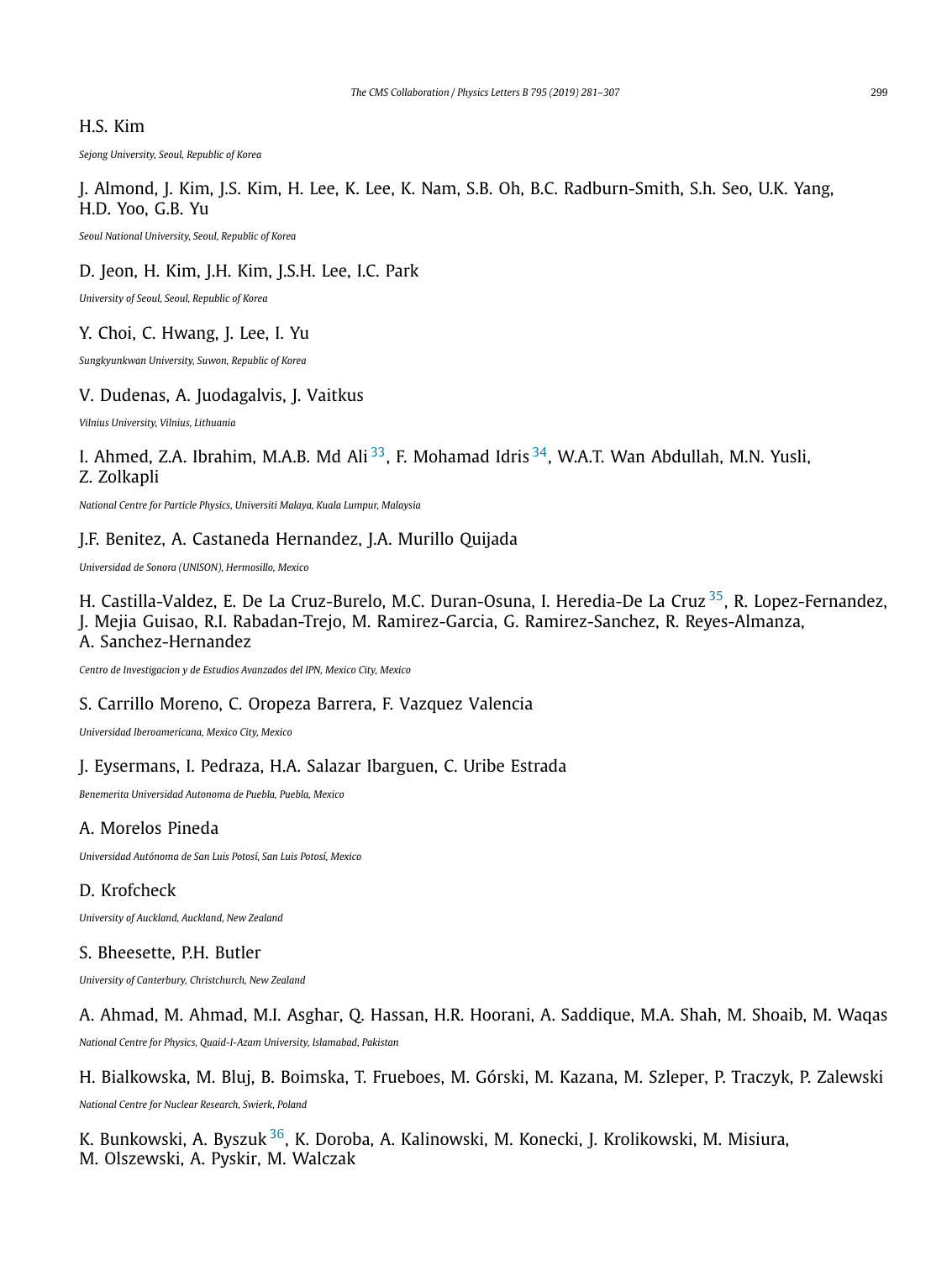## H.S. Kim

*Sejong University, Seoul, Republic of Korea*

## J. Almond, J. Kim, J.S. Kim, H. Lee, K. Lee, K. Nam, S.B. Oh, B.C. Radburn-Smith, S.h. Seo, U.K. Yang, H.D. Yoo, G.B. Yu

*Seoul National University, Seoul, Republic of Korea*

## D. Jeon, H. Kim, J.H. Kim, J.S.H. Lee, I.C. Park

*University of Seoul, Seoul, Republic of Korea*

## Y. Choi, C. Hwang, J. Lee, I. Yu

*Sungkyunkwan University, Suwon, Republic of Korea*

## V. Dudenas, A. Juodagalvis, J. Vaitkus

*Vilnius University, Vilnius, Lithuania*

## I. Ahmed, Z.A. Ibrahim, M.A.B. Md Ali  $^{33}$ , F. Mohamad Idris  $^{34}$ , W.A.T. Wan Abdullah, M.N. Yusli, Z. Zolkapli

*National Centre for Particle Physics, Universiti Malaya, Kuala Lumpur, Malaysia*

## J.F. Benitez, A. Castaneda Hernandez, J.A. Murillo Quijada

*Universidad de Sonora (UNISON), Hermosillo, Mexico*

H. Castilla-Valdez, E. De La Cruz-Burelo, M.C. Duran-Osuna, I. Heredia-De La Cruz<sup>35</sup>, R. Lopez-Fernandez, J. Mejia Guisao, R.I. Rabadan-Trejo, M. Ramirez-Garcia, G. Ramirez-Sanchez, R. Reyes-Almanza, A. Sanchez-Hernandez

*Centro de Investigacion y de Estudios Avanzados del IPN, Mexico City, Mexico*

## S. Carrillo Moreno, C. Oropeza Barrera, F. Vazquez Valencia

*Universidad Iberoamericana, Mexico City, Mexico*

## J. Eysermans, I. Pedraza, H.A. Salazar Ibarguen, C. Uribe Estrada

*Benemerita Universidad Autonoma de Puebla, Puebla, Mexico*

## A. Morelos Pineda

*Universidad Autónoma de San Luis Potosí, San Luis Potosí, Mexico*

## D. Krofcheck

*University of Auckland, Auckland, New Zealand*

## S. Bheesette, P.H. Butler

*University of Canterbury, Christchurch, New Zealand*

A. Ahmad, M. Ahmad, M.I. Asghar, Q. Hassan, H.R. Hoorani, A. Saddique, M.A. Shah, M. Shoaib, M. Waqas *National Centre for Physics, Quaid-I-Azam University, Islamabad, Pakistan*

H. Bialkowska, M. Bluj, B. Boimska, T. Frueboes, M. Górski, M. Kazana, M. Szleper, P. Traczyk, P. Zalewski *National Centre for Nuclear Research, Swierk, Poland*

K. Bunkowski, A. Byszuk<sup>36</sup>, K. Doroba, A. Kalinowski, M. Konecki, J. Krolikowski, M. Misiura, M. Olszewski, A. Pyskir, M. Walczak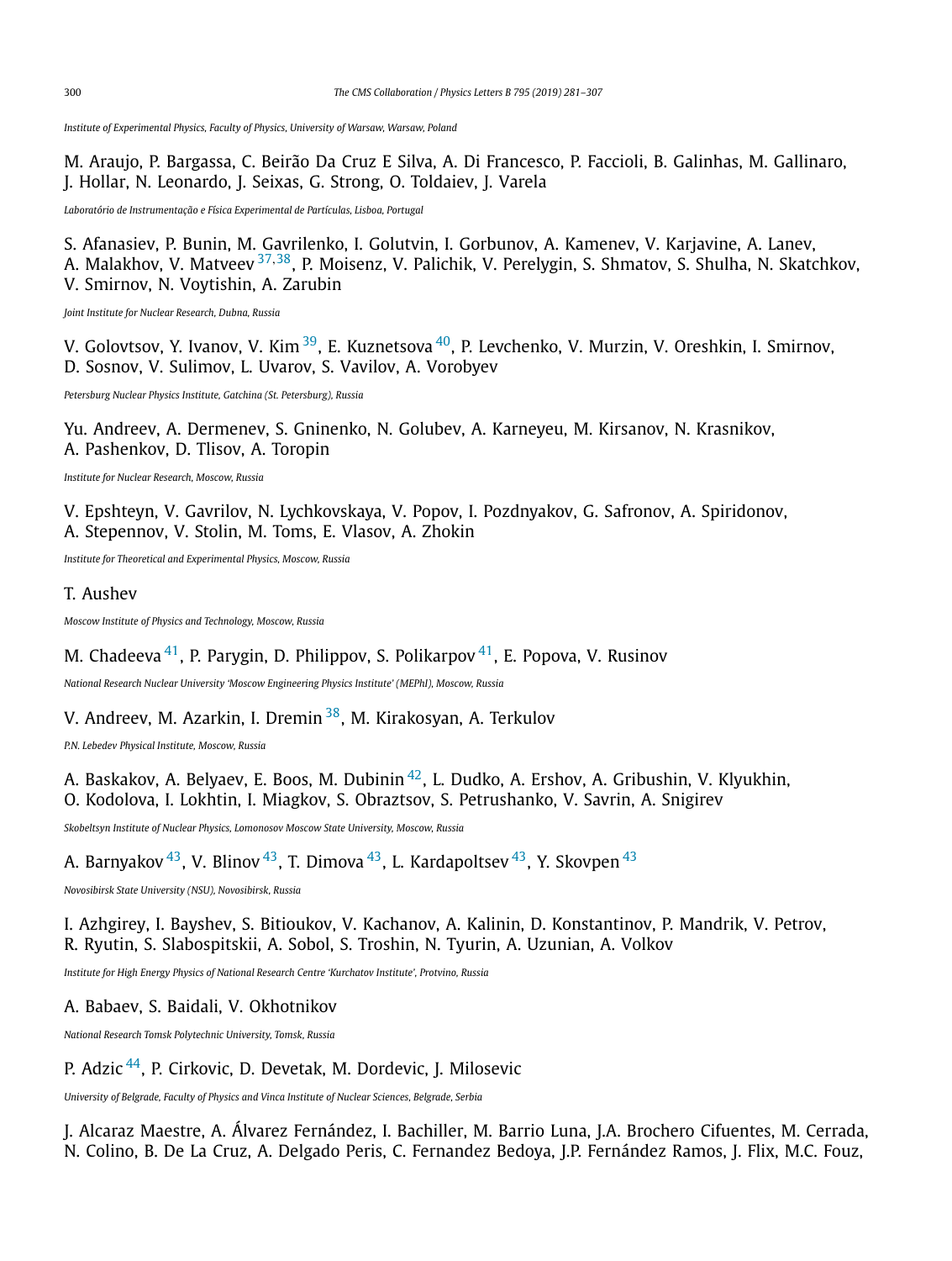*Institute of Experimental Physics, Faculty of Physics, University of Warsaw, Warsaw, Poland*

M. Araujo, P. Bargassa, C. Beirão Da Cruz E Silva, A. Di Francesco, P. Faccioli, B. Galinhas, M. Gallinaro, J. Hollar, N. Leonardo, J. Seixas, G. Strong, O. Toldaiev, J. Varela

*Laboratório de Instrumentação e Física Experimental de Partículas, Lisboa, Portugal*

S. Afanasiev, P. Bunin, M. Gavrilenko, I. Golutvin, I. Gorbunov, A. Kamenev, V. Karjavine, A. Lanev, A. Malakhov, V. Matveev [37](#page-26-0)*,*[38,](#page-26-0) P. Moisenz, V. Palichik, V. Perelygin, S. Shmatov, S. Shulha, N. Skatchkov, V. Smirnov, N. Voytishin, A. Zarubin

*Joint Institute for Nuclear Research, Dubna, Russia*

V. Golovtsov, Y. Ivanov, V. Kim [39](#page-26-0), E. Kuznetsova [40,](#page-26-0) P. Levchenko, V. Murzin, V. Oreshkin, I. Smirnov, D. Sosnov, V. Sulimov, L. Uvarov, S. Vavilov, A. Vorobyev

*Petersburg Nuclear Physics Institute, Gatchina (St. Petersburg), Russia*

Yu. Andreev, A. Dermenev, S. Gninenko, N. Golubev, A. Karneyeu, M. Kirsanov, N. Krasnikov, A. Pashenkov, D. Tlisov, A. Toropin

*Institute for Nuclear Research, Moscow, Russia*

V. Epshteyn, V. Gavrilov, N. Lychkovskaya, V. Popov, I. Pozdnyakov, G. Safronov, A. Spiridonov, A. Stepennov, V. Stolin, M. Toms, E. Vlasov, A. Zhokin

*Institute for Theoretical and Experimental Physics, Moscow, Russia*

#### T. Aushev

*Moscow Institute of Physics and Technology, Moscow, Russia*

## M. Chadeeva  $41$ , P. Parygin, D. Philippov, S. Polikarpov  $41$ , E. Popova, V. Rusinov

*National Research Nuclear University 'Moscow Engineering Physics Institute' (MEPhI), Moscow, Russia*

## V. Andreev, M. Azarkin, I. Dremin [38,](#page-26-0) M. Kirakosyan, A. Terkulov

*P.N. Lebedev Physical Institute, Moscow, Russia*

A. Baskakov, A. Belyaev, E. Boos, M. Dubinin [42,](#page-26-0) L. Dudko, A. Ershov, A. Gribushin, V. Klyukhin, O. Kodolova, I. Lokhtin, I. Miagkov, S. Obraztsov, S. Petrushanko, V. Savrin, A. Snigirev

*Skobeltsyn Institute of Nuclear Physics, Lomonosov Moscow State University, Moscow, Russia*

## A. Barnyakov  $^{43}$  $^{43}$  $^{43}$ , V. Blinov  $^{43}$ , T. Dimova  $^{43}$ , L. Kardapoltsev  $^{43}$ , Y. Skovpen  $^{43}$

*Novosibirsk State University (NSU), Novosibirsk, Russia*

I. Azhgirey, I. Bayshev, S. Bitioukov, V. Kachanov, A. Kalinin, D. Konstantinov, P. Mandrik, V. Petrov, R. Ryutin, S. Slabospitskii, A. Sobol, S. Troshin, N. Tyurin, A. Uzunian, A. Volkov

*Institute for High Energy Physics of National Research Centre 'Kurchatov Institute', Protvino, Russia*

#### A. Babaev, S. Baidali, V. Okhotnikov

*National Research Tomsk Polytechnic University, Tomsk, Russia*

## P. Adzic [44,](#page-26-0) P. Cirkovic, D. Devetak, M. Dordevic, J. Milosevic

*University of Belgrade, Faculty of Physics and Vinca Institute of Nuclear Sciences, Belgrade, Serbia*

J. Alcaraz Maestre, A. Álvarez Fernández, I. Bachiller, M. Barrio Luna, J.A. Brochero Cifuentes, M. Cerrada, N. Colino, B. De La Cruz, A. Delgado Peris, C. Fernandez Bedoya, J.P. Fernández Ramos, J. Flix, M.C. Fouz,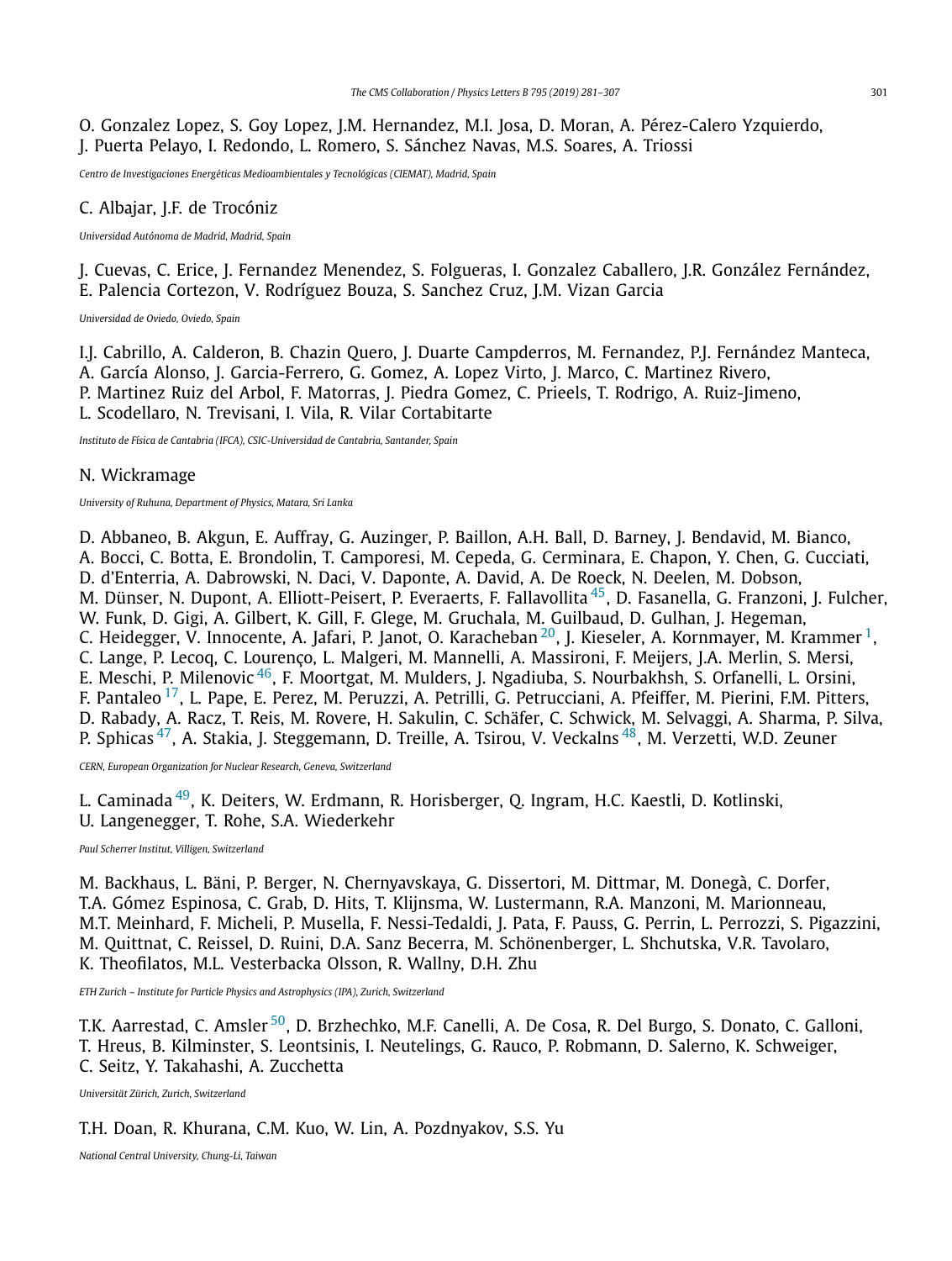O. Gonzalez Lopez, S. Goy Lopez, J.M. Hernandez, M.I. Josa, D. Moran, A. Pérez-Calero Yzquierdo, J. Puerta Pelayo, I. Redondo, L. Romero, S. Sánchez Navas, M.S. Soares, A. Triossi

*Centro de Investigaciones Energéticas Medioambientales y Tecnológicas (CIEMAT), Madrid, Spain*

## C. Albajar, J.F. de Trocóniz

*Universidad Autónoma de Madrid, Madrid, Spain*

J. Cuevas, C. Erice, J. Fernandez Menendez, S. Folgueras, I. Gonzalez Caballero, J.R. González Fernández, E. Palencia Cortezon, V. Rodríguez Bouza, S. Sanchez Cruz, J.M. Vizan Garcia

*Universidad de Oviedo, Oviedo, Spain*

I.J. Cabrillo, A. Calderon, B. Chazin Quero, J. Duarte Campderros, M. Fernandez, P.J. Fernández Manteca, A. García Alonso, J. Garcia-Ferrero, G. Gomez, A. Lopez Virto, J. Marco, C. Martinez Rivero, P. Martinez Ruiz del Arbol, F. Matorras, J. Piedra Gomez, C. Prieels, T. Rodrigo, A. Ruiz-Jimeno, L. Scodellaro, N. Trevisani, I. Vila, R. Vilar Cortabitarte

*Instituto de Física de Cantabria (IFCA), CSIC-Universidad de Cantabria, Santander, Spain*

### N. Wickramage

*University of Ruhuna, Department of Physics, Matara, Sri Lanka*

D. Abbaneo, B. Akgun, E. Auffray, G. Auzinger, P. Baillon, A.H. Ball, D. Barney, J. Bendavid, M. Bianco, A. Bocci, C. Botta, E. Brondolin, T. Camporesi, M. Cepeda, G. Cerminara, E. Chapon, Y. Chen, G. Cucciati, D. d'Enterria, A. Dabrowski, N. Daci, V. Daponte, A. David, A. De Roeck, N. Deelen, M. Dobson, M. Dünser, N. Dupont, A. Elliott-Peisert, P. Everaerts, F. Fallavollita [45,](#page-26-0) D. Fasanella, G. Franzoni, J. Fulcher, W. Funk, D. Gigi, A. Gilbert, K. Gill, F. Glege, M. Gruchala, M. Guilbaud, D. Gulhan, J. Hegeman, C. Heidegger, V. Innocente, A. Jafari, P. Janot, O. Karacheban <sup>20</sup>, J. Kieseler, A. Kornmayer, M. Krammer <sup>[1](#page-25-0)</sup>, C. Lange, P. Lecoq, C. Lourenço, L. Malgeri, M. Mannelli, A. Massironi, F. Meijers, J.A. Merlin, S. Mersi, E. Meschi, P. Milenovic [46,](#page-26-0) F. Moortgat, M. Mulders, J. Ngadiuba, S. Nourbakhsh, S. Orfanelli, L. Orsini, F. Pantaleo [17,](#page-26-0) L. Pape, E. Perez, M. Peruzzi, A. Petrilli, G. Petrucciani, A. Pfeiffer, M. Pierini, F.M. Pitters, D. Rabady, A. Racz, T. Reis, M. Rovere, H. Sakulin, C. Schäfer, C. Schwick, M. Selvaggi, A. Sharma, P. Silva, P. Sphicas<sup>47</sup>, A. Stakia, J. Steggemann, D. Treille, A. Tsirou, V. Veckalns<sup>48</sup>, M. Verzetti, W.D. Zeuner

*CERN, European Organization for Nuclear Research, Geneva, Switzerland*

L. Caminada<sup>49</sup>, K. Deiters, W. Erdmann, R. Horisberger, Q. Ingram, H.C. Kaestli, D. Kotlinski, U. Langenegger, T. Rohe, S.A. Wiederkehr

*Paul Scherrer Institut, Villigen, Switzerland*

M. Backhaus, L. Bäni, P. Berger, N. Chernyavskaya, G. Dissertori, M. Dittmar, M. Donegà, C. Dorfer, T.A. Gómez Espinosa, C. Grab, D. Hits, T. Klijnsma, W. Lustermann, R.A. Manzoni, M. Marionneau, M.T. Meinhard, F. Micheli, P. Musella, F. Nessi-Tedaldi, J. Pata, F. Pauss, G. Perrin, L. Perrozzi, S. Pigazzini, M. Quittnat, C. Reissel, D. Ruini, D.A. Sanz Becerra, M. Schönenberger, L. Shchutska, V.R. Tavolaro, K. Theofilatos, M.L. Vesterbacka Olsson, R. Wallny, D.H. Zhu

*ETH Zurich – Institute for Particle Physics and Astrophysics (IPA), Zurich, Switzerland*

T.K. Aarrestad, C. Amsler<sup>50</sup>, D. Brzhechko, M.F. Canelli, A. De Cosa, R. Del Burgo, S. Donato, C. Galloni, T. Hreus, B. Kilminster, S. Leontsinis, I. Neutelings, G. Rauco, P. Robmann, D. Salerno, K. Schweiger, C. Seitz, Y. Takahashi, A. Zucchetta

*Universität Zürich, Zurich, Switzerland*

T.H. Doan, R. Khurana, C.M. Kuo, W. Lin, A. Pozdnyakov, S.S. Yu

*National Central University, Chung-Li, Taiwan*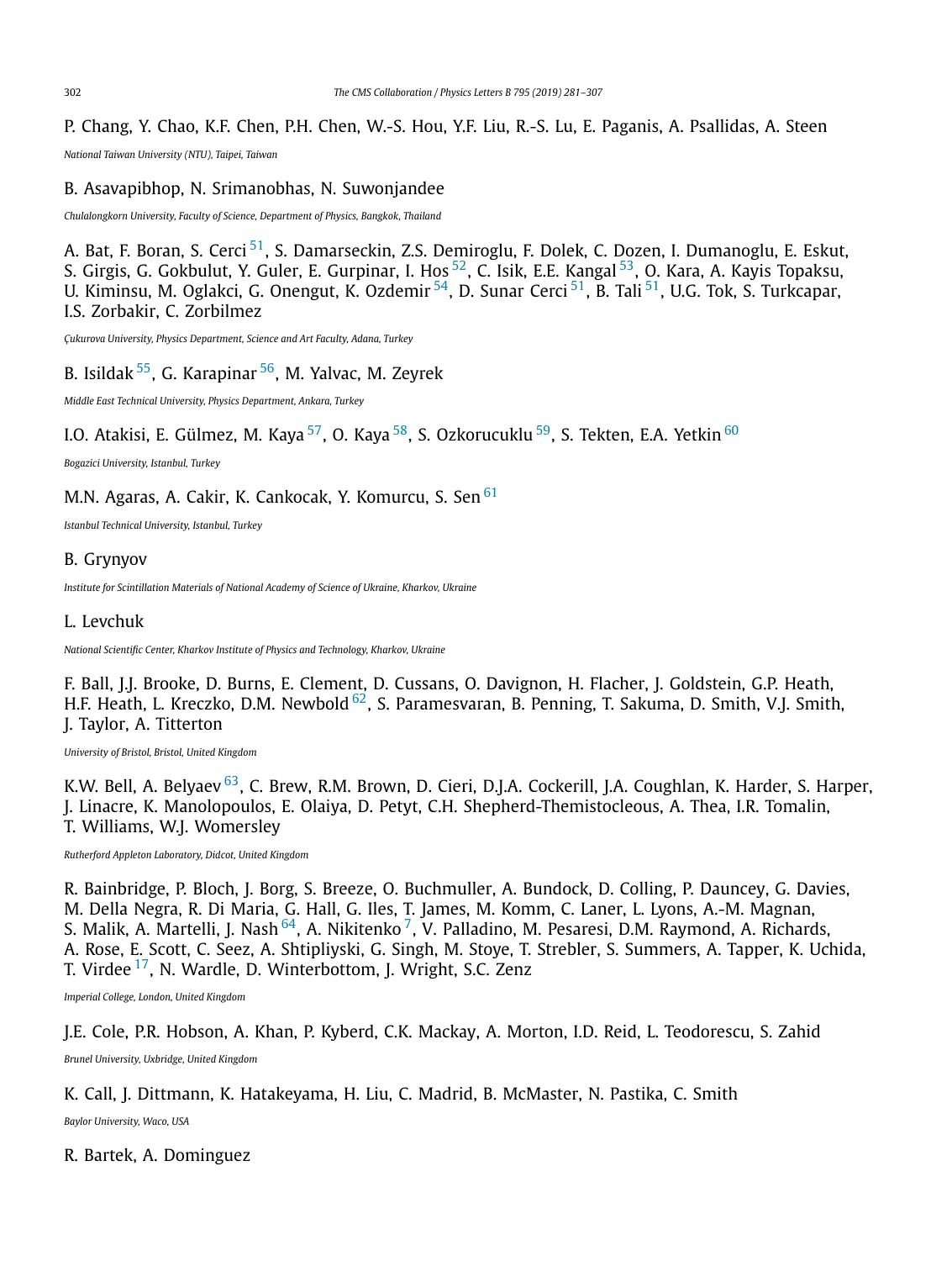P. Chang, Y. Chao, K.F. Chen, P.H. Chen, W.-S. Hou, Y.F. Liu, R.-S. Lu, E. Paganis, A. Psallidas, A. Steen

*National Taiwan University (NTU), Taipei, Taiwan*

## B. Asavapibhop, N. Srimanobhas, N. Suwonjandee

*Chulalongkorn University, Faculty of Science, Department of Physics, Bangkok, Thailand*

A. Bat, F. Boran, S. Cerci<sup>[51](#page-26-0)</sup>, S. Damarseckin, Z.S. Demiroglu, F. Dolek, C. Dozen, I. Dumanoglu, E. Eskut, S. Girgis, G. Gokbulut, Y. Guler, E. Gurpinar, I. Hos [52,](#page-26-0) C. Isik, E.E. Kangal [53,](#page-26-0) O. Kara, A. Kayis Topaksu, U. Kiminsu, M. Oglakci, G. Onengut, K. Ozdemir [54,](#page-26-0) D. Sunar Cerci [51,](#page-26-0) B. Tali [51,](#page-26-0) U.G. Tok, S. Turkcapar, I.S. Zorbakir, C. Zorbilmez

*Çukurova University, Physics Department, Science and Art Faculty, Adana, Turkey*

B. Isildak [55,](#page-26-0) G. Karapinar [56,](#page-26-0) M. Yalvac, M. Zeyrek

*Middle East Technical University, Physics Department, Ankara, Turkey*

I.O. Atakisi, E. Gülmez, M. Kaya<sup>[57](#page-26-0)</sup>, O. Kaya<sup>58</sup>, S. Ozkorucuklu<sup>59</sup>, S. Tekten, E.A. Yetkin <sup>[60](#page-26-0)</sup>

*Bogazici University, Istanbul, Turkey*

## M.N. Agaras, A. Cakir, K. Cankocak, Y. Komurcu, S. Sen <sup>[61](#page-26-0)</sup>

*Istanbul Technical University, Istanbul, Turkey*

### B. Grynyov

*Institute for Scintillation Materials of National Academy of Science of Ukraine, Kharkov, Ukraine*

### L. Levchuk

*National Scientific Center, Kharkov Institute of Physics and Technology, Kharkov, Ukraine*

F. Ball, J.J. Brooke, D. Burns, E. Clement, D. Cussans, O. Davignon, H. Flacher, J. Goldstein, G.P. Heath, H.F. Heath, L. Kreczko, D.M. Newbold <sup>62</sup>, S. Paramesvaran, B. Penning, T. Sakuma, D. Smith, V.J. Smith, J. Taylor, A. Titterton

*University of Bristol, Bristol, United Kingdom*

K.W. Bell, A. Belyaev <sup>63</sup>, C. Brew, R.M. Brown, D. Cieri, D.J.A. Cockerill, J.A. Coughlan, K. Harder, S. Harper, J. Linacre, K. Manolopoulos, E. Olaiya, D. Petyt, C.H. Shepherd-Themistocleous, A. Thea, I.R. Tomalin, T. Williams, W.J. Womersley

*Rutherford Appleton Laboratory, Didcot, United Kingdom*

R. Bainbridge, P. Bloch, J. Borg, S. Breeze, O. Buchmuller, A. Bundock, D. Colling, P. Dauncey, G. Davies, M. Della Negra, R. Di Maria, G. Hall, G. Iles, T. James, M. Komm, C. Laner, L. Lyons, A.-M. Magnan, S. Malik, A. Martelli, J. Nash  $64$ , A. Nikitenko<sup>7</sup>, V. Palladino, M. Pesaresi, D.M. Raymond, A. Richards, A. Rose, E. Scott, C. Seez, A. Shtipliyski, G. Singh, M. Stoye, T. Strebler, S. Summers, A. Tapper, K. Uchida, T. Virdee [17,](#page-26-0) N. Wardle, D. Winterbottom, J. Wright, S.C. Zenz

*Imperial College, London, United Kingdom*

J.E. Cole, P.R. Hobson, A. Khan, P. Kyberd, C.K. Mackay, A. Morton, I.D. Reid, L. Teodorescu, S. Zahid

*Brunel University, Uxbridge, United Kingdom*

K. Call, J. Dittmann, K. Hatakeyama, H. Liu, C. Madrid, B. McMaster, N. Pastika, C. Smith

*Baylor University, Waco, USA*

R. Bartek, A. Dominguez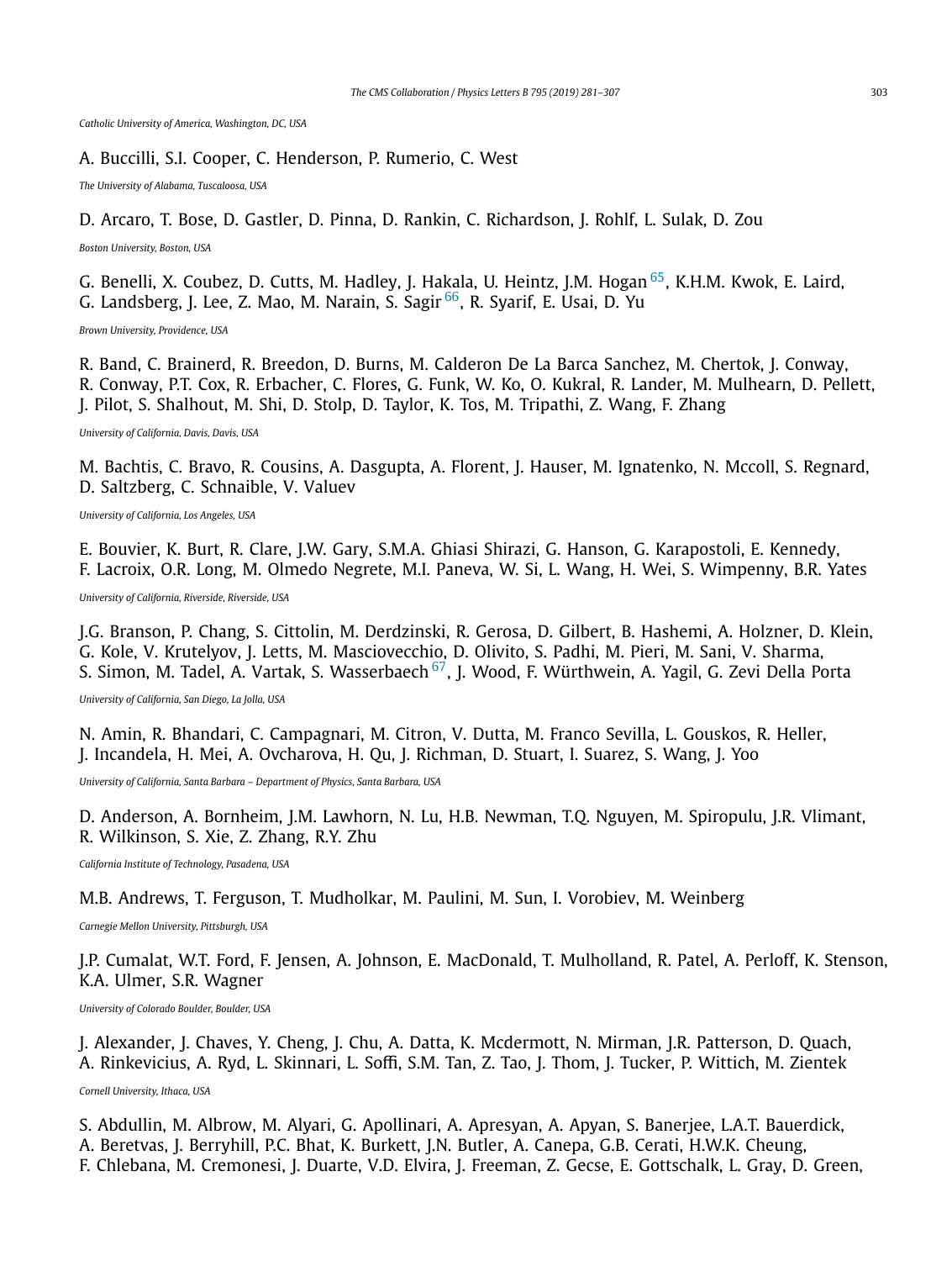*Catholic University of America, Washington, DC, USA*

### A. Buccilli, S.I. Cooper, C. Henderson, P. Rumerio, C. West

*The University of Alabama, Tuscaloosa, USA*

## D. Arcaro, T. Bose, D. Gastler, D. Pinna, D. Rankin, C. Richardson, J. Rohlf, L. Sulak, D. Zou

*Boston University, Boston, USA*

G. Benelli, X. Coubez, D. Cutts, M. Hadley, J. Hakala, U. Heintz, J.M. Hogan <sup>65</sup>, K.H.M. Kwok, E. Laird, G. Landsberg, J. Lee, Z. Mao, M. Narain, S. Sagir [66,](#page-26-0) R. Syarif, E. Usai, D. Yu

*Brown University, Providence, USA*

R. Band, C. Brainerd, R. Breedon, D. Burns, M. Calderon De La Barca Sanchez, M. Chertok, J. Conway, R. Conway, P.T. Cox, R. Erbacher, C. Flores, G. Funk, W. Ko, O. Kukral, R. Lander, M. Mulhearn, D. Pellett, J. Pilot, S. Shalhout, M. Shi, D. Stolp, D. Taylor, K. Tos, M. Tripathi, Z. Wang, F. Zhang

*University of California, Davis, Davis, USA*

M. Bachtis, C. Bravo, R. Cousins, A. Dasgupta, A. Florent, J. Hauser, M. Ignatenko, N. Mccoll, S. Regnard, D. Saltzberg, C. Schnaible, V. Valuev

*University of California, Los Angeles, USA*

E. Bouvier, K. Burt, R. Clare, J.W. Gary, S.M.A. Ghiasi Shirazi, G. Hanson, G. Karapostoli, E. Kennedy, F. Lacroix, O.R. Long, M. Olmedo Negrete, M.I. Paneva, W. Si, L. Wang, H. Wei, S. Wimpenny, B.R. Yates

*University of California, Riverside, Riverside, USA*

J.G. Branson, P. Chang, S. Cittolin, M. Derdzinski, R. Gerosa, D. Gilbert, B. Hashemi, A. Holzner, D. Klein, G. Kole, V. Krutelyov, J. Letts, M. Masciovecchio, D. Olivito, S. Padhi, M. Pieri, M. Sani, V. Sharma, S. Simon, M. Tadel, A. Vartak, S. Wasserbaech <sup>67</sup>, J. Wood, F. Würthwein, A. Yagil, G. Zevi Della Porta

*University of California, San Diego, La Jolla, USA*

N. Amin, R. Bhandari, C. Campagnari, M. Citron, V. Dutta, M. Franco Sevilla, L. Gouskos, R. Heller, J. Incandela, H. Mei, A. Ovcharova, H. Qu, J. Richman, D. Stuart, I. Suarez, S. Wang, J. Yoo

*University of California, Santa Barbara – Department of Physics, Santa Barbara, USA*

D. Anderson, A. Bornheim, J.M. Lawhorn, N. Lu, H.B. Newman, T.Q. Nguyen, M. Spiropulu, J.R. Vlimant, R. Wilkinson, S. Xie, Z. Zhang, R.Y. Zhu

*California Institute of Technology, Pasadena, USA*

M.B. Andrews, T. Ferguson, T. Mudholkar, M. Paulini, M. Sun, I. Vorobiev, M. Weinberg

*Carnegie Mellon University, Pittsburgh, USA*

J.P. Cumalat, W.T. Ford, F. Jensen, A. Johnson, E. MacDonald, T. Mulholland, R. Patel, A. Perloff, K. Stenson, K.A. Ulmer, S.R. Wagner

*University of Colorado Boulder, Boulder, USA*

J. Alexander, J. Chaves, Y. Cheng, J. Chu, A. Datta, K. Mcdermott, N. Mirman, J.R. Patterson, D. Quach, A. Rinkevicius, A. Ryd, L. Skinnari, L. Soffi, S.M. Tan, Z. Tao, J. Thom, J. Tucker, P. Wittich, M. Zientek

*Cornell University, Ithaca, USA*

S. Abdullin, M. Albrow, M. Alyari, G. Apollinari, A. Apresyan, A. Apyan, S. Banerjee, L.A.T. Bauerdick, A. Beretvas, J. Berryhill, P.C. Bhat, K. Burkett, J.N. Butler, A. Canepa, G.B. Cerati, H.W.K. Cheung, F. Chlebana, M. Cremonesi, J. Duarte, V.D. Elvira, J. Freeman, Z. Gecse, E. Gottschalk, L. Gray, D. Green,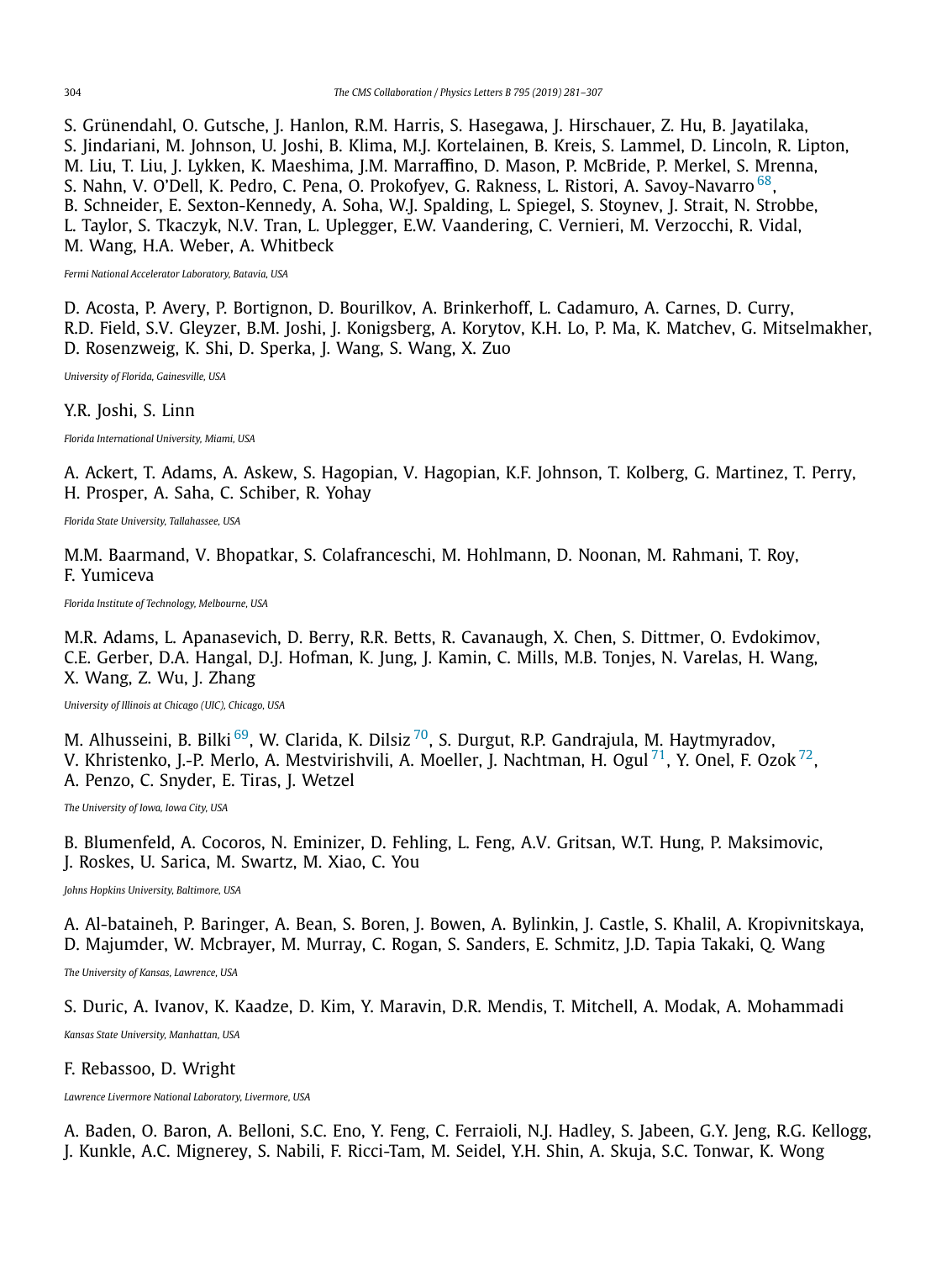S. Grünendahl, O. Gutsche, J. Hanlon, R.M. Harris, S. Hasegawa, J. Hirschauer, Z. Hu, B. Jayatilaka, S. Jindariani, M. Johnson, U. Joshi, B. Klima, M.J. Kortelainen, B. Kreis, S. Lammel, D. Lincoln, R. Lipton, M. Liu, T. Liu, J. Lykken, K. Maeshima, J.M. Marraffino, D. Mason, P. McBride, P. Merkel, S. Mrenna, S. Nahn, V. O'Dell, K. Pedro, C. Pena, O. Prokofyev, G. Rakness, L. Ristori, A. Savoy-Navarro [68,](#page-26-0) B. Schneider, E. Sexton-Kennedy, A. Soha, W.J. Spalding, L. Spiegel, S. Stoynev, J. Strait, N. Strobbe, L. Taylor, S. Tkaczyk, N.V. Tran, L. Uplegger, E.W. Vaandering, C. Vernieri, M. Verzocchi, R. Vidal, M. Wang, H.A. Weber, A. Whitbeck

*Fermi National Accelerator Laboratory, Batavia, USA*

D. Acosta, P. Avery, P. Bortignon, D. Bourilkov, A. Brinkerhoff, L. Cadamuro, A. Carnes, D. Curry, R.D. Field, S.V. Gleyzer, B.M. Joshi, J. Konigsberg, A. Korytov, K.H. Lo, P. Ma, K. Matchev, G. Mitselmakher, D. Rosenzweig, K. Shi, D. Sperka, J. Wang, S. Wang, X. Zuo

*University of Florida, Gainesville, USA*

Y.R. Joshi, S. Linn

*Florida International University, Miami, USA*

A. Ackert, T. Adams, A. Askew, S. Hagopian, V. Hagopian, K.F. Johnson, T. Kolberg, G. Martinez, T. Perry, H. Prosper, A. Saha, C. Schiber, R. Yohay

*Florida State University, Tallahassee, USA*

M.M. Baarmand, V. Bhopatkar, S. Colafranceschi, M. Hohlmann, D. Noonan, M. Rahmani, T. Roy, F. Yumiceva

*Florida Institute of Technology, Melbourne, USA*

M.R. Adams, L. Apanasevich, D. Berry, R.R. Betts, R. Cavanaugh, X. Chen, S. Dittmer, O. Evdokimov, C.E. Gerber, D.A. Hangal, D.J. Hofman, K. Jung, J. Kamin, C. Mills, M.B. Tonjes, N. Varelas, H. Wang, X. Wang, Z. Wu, J. Zhang

*University of Illinois at Chicago (UIC), Chicago, USA*

M. Alhusseini, B. Bilki  $^{69}$ , W. Clarida, K. Dilsiz  $^{70}$ , S. Durgut, R.P. Gandrajula, M. Haytmyradov, V. Khristenko, J.-P. Merlo, A. Mestvirishvili, A. Moeller, J. Nachtman, H. Ogul [71,](#page-26-0) Y. Onel, F. Ozok [72,](#page-26-0) A. Penzo, C. Snyder, E. Tiras, J. Wetzel

*The University of Iowa, Iowa City, USA*

B. Blumenfeld, A. Cocoros, N. Eminizer, D. Fehling, L. Feng, A.V. Gritsan, W.T. Hung, P. Maksimovic, J. Roskes, U. Sarica, M. Swartz, M. Xiao, C. You

*Johns Hopkins University, Baltimore, USA*

A. Al-bataineh, P. Baringer, A. Bean, S. Boren, J. Bowen, A. Bylinkin, J. Castle, S. Khalil, A. Kropivnitskaya, D. Majumder, W. Mcbrayer, M. Murray, C. Rogan, S. Sanders, E. Schmitz, J.D. Tapia Takaki, Q. Wang

*The University of Kansas, Lawrence, USA*

S. Duric, A. Ivanov, K. Kaadze, D. Kim, Y. Maravin, D.R. Mendis, T. Mitchell, A. Modak, A. Mohammadi *Kansas State University, Manhattan, USA*

F. Rebassoo, D. Wright

*Lawrence Livermore National Laboratory, Livermore, USA*

A. Baden, O. Baron, A. Belloni, S.C. Eno, Y. Feng, C. Ferraioli, N.J. Hadley, S. Jabeen, G.Y. Jeng, R.G. Kellogg, J. Kunkle, A.C. Mignerey, S. Nabili, F. Ricci-Tam, M. Seidel, Y.H. Shin, A. Skuja, S.C. Tonwar, K. Wong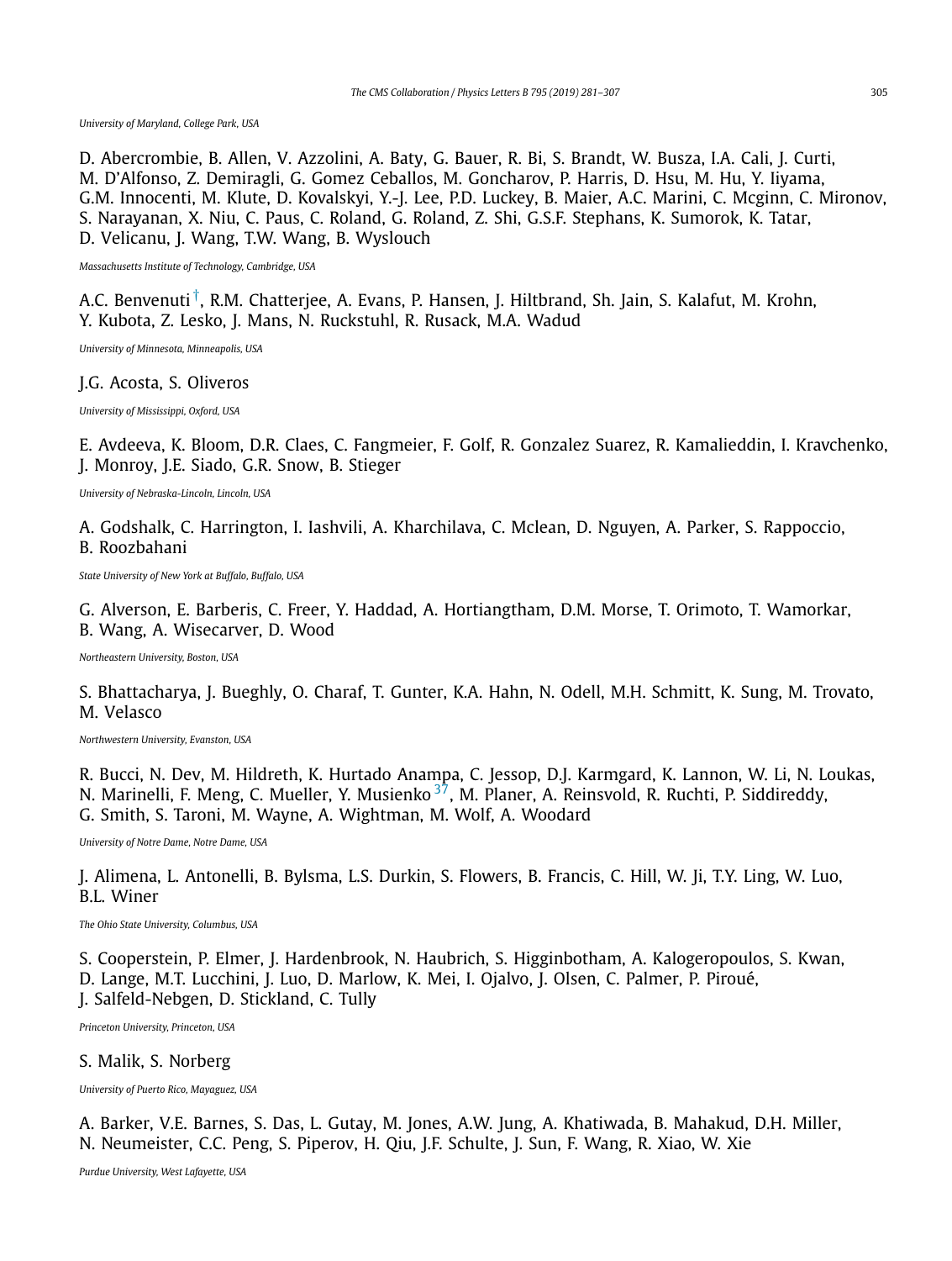*University of Maryland, College Park, USA*

D. Abercrombie, B. Allen, V. Azzolini, A. Baty, G. Bauer, R. Bi, S. Brandt, W. Busza, I.A. Cali, J. Curti, M. D'Alfonso, Z. Demiragli, G. Gomez Ceballos, M. Goncharov, P. Harris, D. Hsu, M. Hu, Y. Iiyama, G.M. Innocenti, M. Klute, D. Kovalskyi, Y.-J. Lee, P.D. Luckey, B. Maier, A.C. Marini, C. Mcginn, C. Mironov, S. Narayanan, X. Niu, C. Paus, C. Roland, G. Roland, Z. Shi, G.S.F. Stephans, K. Sumorok, K. Tatar, D. Velicanu, J. Wang, T.W. Wang, B. Wyslouch

*Massachusetts Institute of Technology, Cambridge, USA*

A.C. Benvenuti [†,](#page-25-0) R.M. Chatterjee, A. Evans, P. Hansen, J. Hiltbrand, Sh. Jain, S. Kalafut, M. Krohn, Y. Kubota, Z. Lesko, J. Mans, N. Ruckstuhl, R. Rusack, M.A. Wadud

*University of Minnesota, Minneapolis, USA*

J.G. Acosta, S. Oliveros

*University of Mississippi, Oxford, USA*

E. Avdeeva, K. Bloom, D.R. Claes, C. Fangmeier, F. Golf, R. Gonzalez Suarez, R. Kamalieddin, I. Kravchenko, J. Monroy, J.E. Siado, G.R. Snow, B. Stieger

*University of Nebraska-Lincoln, Lincoln, USA*

A. Godshalk, C. Harrington, I. Iashvili, A. Kharchilava, C. Mclean, D. Nguyen, A. Parker, S. Rappoccio, B. Roozbahani

*State University of New York at Buffalo, Buffalo, USA*

G. Alverson, E. Barberis, C. Freer, Y. Haddad, A. Hortiangtham, D.M. Morse, T. Orimoto, T. Wamorkar, B. Wang, A. Wisecarver, D. Wood

*Northeastern University, Boston, USA*

S. Bhattacharya, J. Bueghly, O. Charaf, T. Gunter, K.A. Hahn, N. Odell, M.H. Schmitt, K. Sung, M. Trovato, M. Velasco

*Northwestern University, Evanston, USA*

R. Bucci, N. Dev, M. Hildreth, K. Hurtado Anampa, C. Jessop, D.J. Karmgard, K. Lannon, W. Li, N. Loukas, N. Marinelli, F. Meng, C. Mueller, Y. Musienko [37,](#page-26-0) M. Planer, A. Reinsvold, R. Ruchti, P. Siddireddy, G. Smith, S. Taroni, M. Wayne, A. Wightman, M. Wolf, A. Woodard

*University of Notre Dame, Notre Dame, USA*

J. Alimena, L. Antonelli, B. Bylsma, L.S. Durkin, S. Flowers, B. Francis, C. Hill, W. Ji, T.Y. Ling, W. Luo, B.L. Winer

*The Ohio State University, Columbus, USA*

S. Cooperstein, P. Elmer, J. Hardenbrook, N. Haubrich, S. Higginbotham, A. Kalogeropoulos, S. Kwan, D. Lange, M.T. Lucchini, J. Luo, D. Marlow, K. Mei, I. Ojalvo, J. Olsen, C. Palmer, P. Piroué, J. Salfeld-Nebgen, D. Stickland, C. Tully

*Princeton University, Princeton, USA*

S. Malik, S. Norberg

*University of Puerto Rico, Mayaguez, USA*

A. Barker, V.E. Barnes, S. Das, L. Gutay, M. Jones, A.W. Jung, A. Khatiwada, B. Mahakud, D.H. Miller, N. Neumeister, C.C. Peng, S. Piperov, H. Qiu, J.F. Schulte, J. Sun, F. Wang, R. Xiao, W. Xie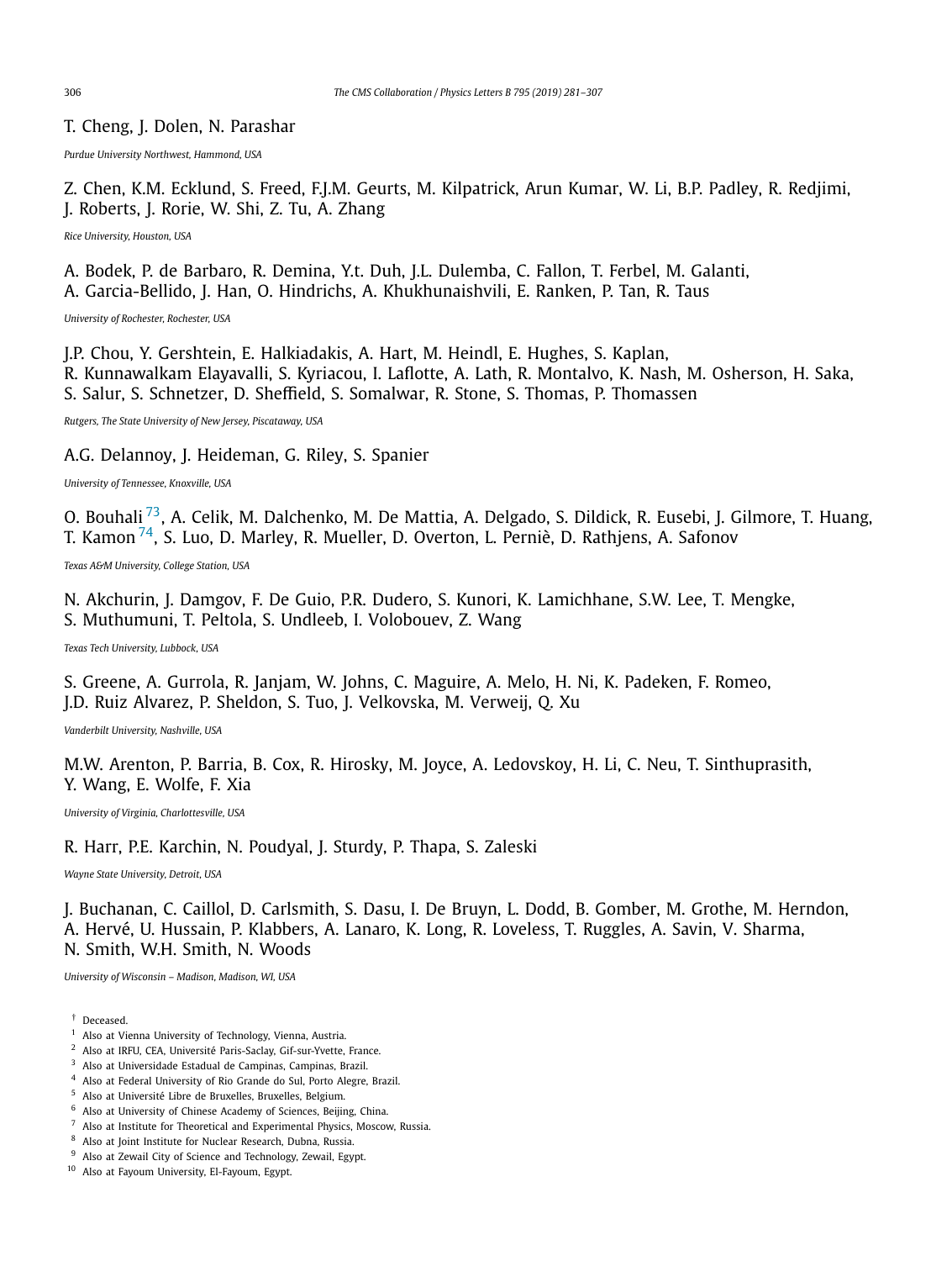### <span id="page-25-0"></span>T. Cheng, J. Dolen, N. Parashar

*Purdue University Northwest, Hammond, USA*

Z. Chen, K.M. Ecklund, S. Freed, F.J.M. Geurts, M. Kilpatrick, Arun Kumar, W. Li, B.P. Padley, R. Redjimi, J. Roberts, J. Rorie, W. Shi, Z. Tu, A. Zhang

*Rice University, Houston, USA*

A. Bodek, P. de Barbaro, R. Demina, Y.t. Duh, J.L. Dulemba, C. Fallon, T. Ferbel, M. Galanti, A. Garcia-Bellido, J. Han, O. Hindrichs, A. Khukhunaishvili, E. Ranken, P. Tan, R. Taus

*University of Rochester, Rochester, USA*

J.P. Chou, Y. Gershtein, E. Halkiadakis, A. Hart, M. Heindl, E. Hughes, S. Kaplan, R. Kunnawalkam Elayavalli, S. Kyriacou, I. Laflotte, A. Lath, R. Montalvo, K. Nash, M. Osherson, H. Saka, S. Salur, S. Schnetzer, D. Sheffield, S. Somalwar, R. Stone, S. Thomas, P. Thomassen

*Rutgers, The State University of New Jersey, Piscataway, USA*

A.G. Delannoy, J. Heideman, G. Riley, S. Spanier

*University of Tennessee, Knoxville, USA*

O. Bouhali [73,](#page-26-0) A. Celik, M. Dalchenko, M. De Mattia, A. Delgado, S. Dildick, R. Eusebi, J. Gilmore, T. Huang, T. Kamon  $^{74}$ , S. Luo, D. Marley, R. Mueller, D. Overton, L. Perniè, D. Rathjens, A. Safonov

*Texas A&M University, College Station, USA*

N. Akchurin, J. Damgov, F. De Guio, P.R. Dudero, S. Kunori, K. Lamichhane, S.W. Lee, T. Mengke, S. Muthumuni, T. Peltola, S. Undleeb, I. Volobouev, Z. Wang

*Texas Tech University, Lubbock, USA*

S. Greene, A. Gurrola, R. Janjam, W. Johns, C. Maguire, A. Melo, H. Ni, K. Padeken, F. Romeo, J.D. Ruiz Alvarez, P. Sheldon, S. Tuo, J. Velkovska, M. Verweij, Q. Xu

*Vanderbilt University, Nashville, USA*

M.W. Arenton, P. Barria, B. Cox, R. Hirosky, M. Joyce, A. Ledovskoy, H. Li, C. Neu, T. Sinthuprasith, Y. Wang, E. Wolfe, F. Xia

*University of Virginia, Charlottesville, USA*

R. Harr, P.E. Karchin, N. Poudyal, J. Sturdy, P. Thapa, S. Zaleski

*Wayne State University, Detroit, USA*

J. Buchanan, C. Caillol, D. Carlsmith, S. Dasu, I. De Bruyn, L. Dodd, B. Gomber, M. Grothe, M. Herndon, A. Hervé, U. Hussain, P. Klabbers, A. Lanaro, K. Long, R. Loveless, T. Ruggles, A. Savin, V. Sharma, N. Smith, W.H. Smith, N. Woods

*University of Wisconsin – Madison, Madison, WI, USA*

† Deceased.

<sup>1</sup> Also at Vienna University of Technology, Vienna, Austria.

<sup>2</sup> Also at IRFU, CEA, Université Paris-Saclay, Gif-sur-Yvette, France.

<sup>3</sup> Also at Universidade Estadual de Campinas, Campinas, Brazil.

<sup>4</sup> Also at Federal University of Rio Grande do Sul, Porto Alegre, Brazil.

<sup>5</sup> Also at Université Libre de Bruxelles, Bruxelles, Belgium.

<sup>6</sup> Also at University of Chinese Academy of Sciences, Beijing, China.

<sup>7</sup> Also at Institute for Theoretical and Experimental Physics, Moscow, Russia.

<sup>8</sup> Also at Joint Institute for Nuclear Research, Dubna, Russia.

 $9$  Also at Zewail City of Science and Technology, Zewail, Egypt.

<sup>10</sup> Also at Fayoum University, El-Fayoum, Egypt.